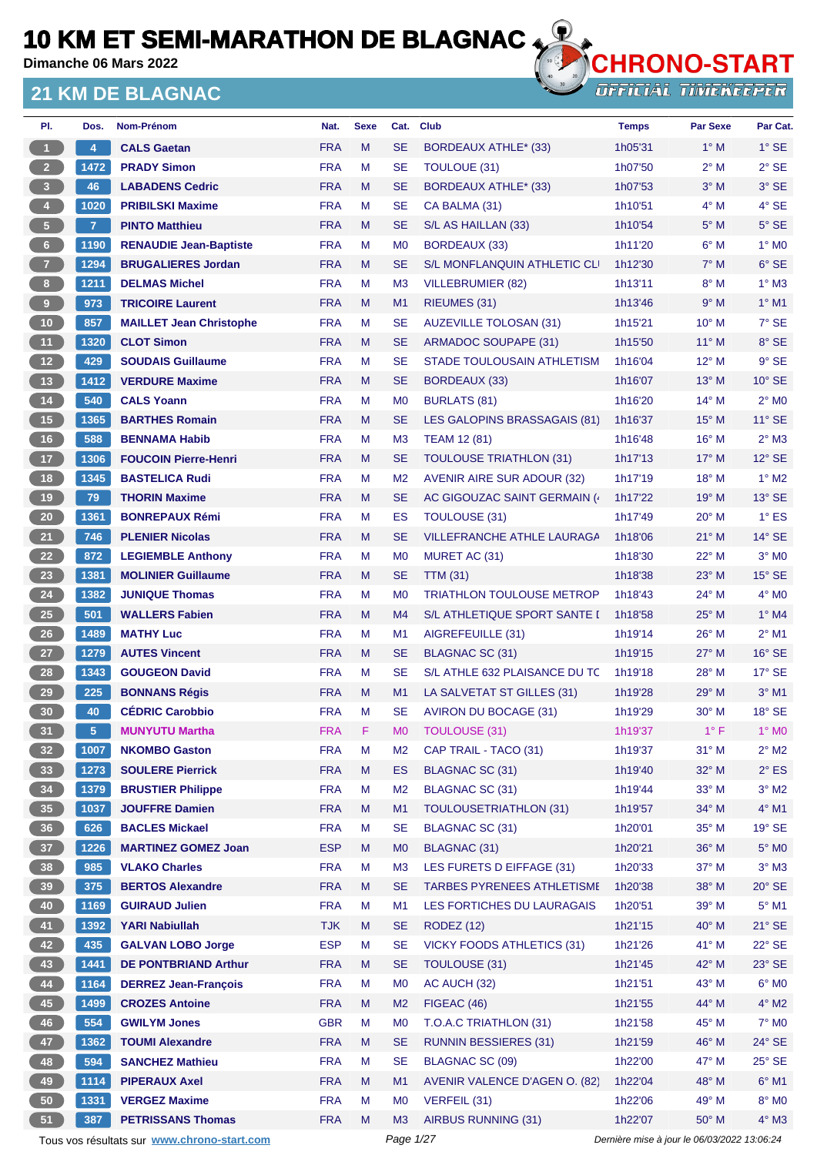**Dimanche 06 Mars 2022**

#### **21 KM DE BLAGNAC**



| PI.                     | Dos.           | Nom-Prénom                                  | Nat.       | <b>Sexe</b> | Cat.           | <b>Club</b>                       | <b>Temps</b> | <b>Par Sexe</b>                             | Par Cat.        |
|-------------------------|----------------|---------------------------------------------|------------|-------------|----------------|-----------------------------------|--------------|---------------------------------------------|-----------------|
| $\mathbf{1}$            | 4              | <b>CALS Gaetan</b>                          | <b>FRA</b> | M           | <b>SE</b>      | BORDEAUX ATHLE* (33)              | 1h05'31      | $1^\circ$ M                                 | $1^\circ$ SE    |
| 2 <sup>7</sup>          | 1472           | <b>PRADY Simon</b>                          | <b>FRA</b> | M           | <b>SE</b>      | TOULOUE (31)                      | 1h07'50      | $2^{\circ}$ M                               | $2°$ SE         |
| $\overline{\mathbf{3}}$ | 46             | <b>LABADENS Cedric</b>                      | <b>FRA</b> | M           | <b>SE</b>      | <b>BORDEAUX ATHLE* (33)</b>       | 1h07'53      | $3^\circ$ M                                 | 3° SE           |
| $\overline{4}$          | 1020           | <b>PRIBILSKI Maxime</b>                     | <b>FRA</b> | M           | <b>SE</b>      | CA BALMA (31)                     | 1h10'51      | $4^\circ$ M                                 | 4° SE           |
| 5 <sub>1</sub>          | $\overline{7}$ | <b>PINTO Matthieu</b>                       | <b>FRA</b> | M           | <b>SE</b>      | S/L AS HAILLAN (33)               | 1h10'54      | $5^\circ$ M                                 | $5^\circ$ SE    |
| 6                       | 1190           | <b>RENAUDIE Jean-Baptiste</b>               | <b>FRA</b> | М           | M <sub>0</sub> | <b>BORDEAUX (33)</b>              | 1h11'20      | $6^\circ$ M                                 | $1^\circ$ MO    |
| $\mathbf{7}$            | 1294           | <b>BRUGALIERES Jordan</b>                   | <b>FRA</b> | M           | <b>SE</b>      | S/L MONFLANQUIN ATHLETIC CLI      | 1h12'30      | $7^\circ$ M                                 | $6°$ SE         |
| 8 <sub>1</sub>          | 1211           | <b>DELMAS Michel</b>                        | <b>FRA</b> | М           | M <sub>3</sub> | VILLEBRUMIER (82)                 | 1h13'11      | $8^\circ$ M                                 | $1^\circ$ M3    |
| 9                       | 973            | <b>TRICOIRE Laurent</b>                     | <b>FRA</b> | M           | M1             | RIEUMES (31)                      | 1h13'46      | 9° M                                        | $1^\circ$ M1    |
| 10 <sub>1</sub>         | 857            | <b>MAILLET Jean Christophe</b>              | <b>FRA</b> | М           | <b>SE</b>      | <b>AUZEVILLE TOLOSAN (31)</b>     | 1h15'21      | $10^{\circ}$ M                              | 7° SE           |
| 11 <sub>1</sub>         | 1320           | <b>CLOT Simon</b>                           | <b>FRA</b> | M           | <b>SE</b>      | <b>ARMADOC SOUPAPE (31)</b>       | 1h15'50      | $11^{\circ}$ M                              | 8° SE           |
| 12                      | 429            | <b>SOUDAIS Guillaume</b>                    | <b>FRA</b> | М           | <b>SE</b>      | STADE TOULOUSAIN ATHLETISM        | 1h16'04      | $12^{\circ}$ M                              | $9°$ SE         |
| 13                      | 1412           | <b>VERDURE Maxime</b>                       | <b>FRA</b> | M           | <b>SE</b>      | <b>BORDEAUX (33)</b>              | 1h16'07      | $13^\circ$ M                                | $10^{\circ}$ SE |
| 14                      | 540            | <b>CALS Yoann</b>                           | <b>FRA</b> | M           | M <sub>0</sub> | BURLATS (81)                      | 1h16'20      | $14^{\circ}$ M                              | $2^{\circ}$ MO  |
| 15                      | 1365           | <b>BARTHES Romain</b>                       | <b>FRA</b> | M           | <b>SE</b>      | LES GALOPINS BRASSAGAIS (81)      | 1h16'37      | $15^{\circ}$ M                              | $11^{\circ}$ SE |
| 16                      | 588            | <b>BENNAMA Habib</b>                        | <b>FRA</b> | M           | M <sub>3</sub> | <b>TEAM 12 (81)</b>               | 1h16'48      | $16^{\circ}$ M                              | $2^{\circ}$ M3  |
| 17 <sup>2</sup>         | 1306           | <b>FOUCOIN Pierre-Henri</b>                 | <b>FRA</b> | M           | <b>SE</b>      | <b>TOULOUSE TRIATHLON (31)</b>    | 1h17'13      | $17^\circ$ M                                | $12^{\circ}$ SE |
| 18                      | 1345           | <b>BASTELICA Rudi</b>                       | <b>FRA</b> | M           | M <sub>2</sub> | <b>AVENIR AIRE SUR ADOUR (32)</b> | 1h17'19      | $18^{\circ}$ M                              | $1^\circ$ M2    |
| 19                      | 79             | <b>THORIN Maxime</b>                        | <b>FRA</b> | M           | <b>SE</b>      | AC GIGOUZAC SAINT GERMAIN (       | 1h17'22      | $19^{\circ}$ M                              | $13^\circ$ SE   |
| ${\bf 20}$              | 1361           | <b>BONREPAUX Rémi</b>                       | <b>FRA</b> | M           | ES             | <b>TOULOUSE (31)</b>              | 1h17'49      | $20^\circ$ M                                | $1^{\circ}$ ES  |
| 21                      | 746            | <b>PLENIER Nicolas</b>                      | <b>FRA</b> | M           | <b>SE</b>      | <b>VILLEFRANCHE ATHLE LAURAGA</b> | 1h18'06      | $21^{\circ}$ M                              | $14^{\circ}$ SE |
| 22                      | 872            | <b>LEGIEMBLE Anthony</b>                    | <b>FRA</b> | M           | M <sub>0</sub> | MURET AC (31)                     | 1h18'30      | 22° M                                       | $3°$ MO         |
| 23                      | 1381           | <b>MOLINIER Guillaume</b>                   | <b>FRA</b> | M           | <b>SE</b>      | <b>TTM (31)</b>                   | 1h18'38      | $23^\circ$ M                                | $15^\circ$ SE   |
| 24                      | 1382           | <b>JUNIQUE Thomas</b>                       | <b>FRA</b> | M           | M <sub>0</sub> | <b>TRIATHLON TOULOUSE METROP</b>  | 1h18'43      | 24° M                                       | $4^\circ$ MO    |
| $25\phantom{.0}$        | 501            | <b>WALLERS Fabien</b>                       | <b>FRA</b> | M           | M4             | S/L ATHLETIQUE SPORT SANTE I      | 1h18'58      | $25^{\circ}$ M                              | $1^\circ$ M4    |
| 26                      | 1489           | <b>MATHY Luc</b>                            | <b>FRA</b> | M           | M <sub>1</sub> | AIGREFEUILLE (31)                 | 1h19'14      | $26^{\circ}$ M                              | $2^{\circ}$ M1  |
| 27                      | 1279           | <b>AUTES Vincent</b>                        | <b>FRA</b> | M           | <b>SE</b>      | <b>BLAGNAC SC (31)</b>            | 1h19'15      | 27° M                                       | $16°$ SE        |
| 28                      | 1343           | <b>GOUGEON David</b>                        | <b>FRA</b> | М           | <b>SE</b>      | S/L ATHLE 632 PLAISANCE DU TC     | 1h19'18      | $28^{\circ}$ M                              | $17^\circ$ SE   |
| 29                      | 225            | <b>BONNANS Régis</b>                        | <b>FRA</b> | M           | M1             | LA SALVETAT ST GILLES (31)        | 1h19'28      | $29^\circ$ M                                | $3°$ M1         |
| 30 <sub>o</sub>         | 40             | <b>CÉDRIC Carobbio</b>                      | <b>FRA</b> | M           | <b>SE</b>      | AVIRON DU BOCAGE (31)             | 1h19'29      | $30^\circ$ M                                | $18°$ SE        |
| 31                      | 5              | <b>MUNYUTU Martha</b>                       | <b>FRA</b> | F           | M <sub>0</sub> | <b>TOULOUSE (31)</b>              | 1h19'37      | $1^{\circ}$ F                               | $1^\circ$ MO    |
| 32 <sub>2</sub>         | 1007           | <b>NKOMBO Gaston</b>                        | <b>FRA</b> | M           | M <sub>2</sub> | CAP TRAIL - TACO (31)             | 1h19'37      | $31^\circ$ M                                | $2^\circ$ M2    |
| 33 <sup>°</sup>         | 1273           | <b>SOULERE Pierrick</b>                     | <b>FRA</b> | M           | ES             | <b>BLAGNAC SC (31)</b>            | 1h19'40      | $32^\circ$ M                                | $2^{\circ}$ ES  |
| 34                      | 1379           | <b>BRUSTIER Philippe</b>                    | <b>FRA</b> | М           | M <sub>2</sub> | BLAGNAC SC (31)                   | 1h19'44      | $33^\circ$ M                                | $3^\circ$ M2    |
| 35                      | 1037           | <b>JOUFFRE Damien</b>                       | <b>FRA</b> | M           | M1             | <b>TOULOUSETRIATHLON (31)</b>     | 1h19'57      | 34° M                                       | 4° M1           |
| 36 <sup>°</sup>         | 626            | <b>BACLES Mickael</b>                       | <b>FRA</b> | М           | <b>SE</b>      | BLAGNAC SC (31)                   | 1h20'01      | 35° M                                       | $19°$ SE        |
| 37 <sup>°</sup>         | 1226           | <b>MARTINEZ GOMEZ Joan</b>                  | <b>ESP</b> | M           | M <sub>0</sub> | <b>BLAGNAC (31)</b>               | 1h20'21      | 36° M                                       | $5^\circ$ MO    |
| 38                      | 985            | <b>VLAKO Charles</b>                        | <b>FRA</b> | M           | M <sub>3</sub> | LES FURETS D EIFFAGE (31)         | 1h20'33      | 37° M                                       | $3^\circ$ M3    |
| 39 <sup>°</sup>         | 375            | <b>BERTOS Alexandre</b>                     | <b>FRA</b> | M           | <b>SE</b>      | TARBES PYRENEES ATHLETISME        | 1h20'38      | 38° M                                       | $20^\circ$ SE   |
| 40                      | 1169           | <b>GUIRAUD Julien</b>                       | <b>FRA</b> | M           | M <sub>1</sub> | LES FORTICHES DU LAURAGAIS        | 1h20'51      | 39° M                                       | $5^\circ$ M1    |
| 41                      | 1392           | <b>YARI Nabiullah</b>                       | <b>TJK</b> | M           | <b>SE</b>      | <b>RODEZ (12)</b>                 | 1h21'15      | 40° M                                       | 21° SE          |
| 42                      | 435            | <b>GALVAN LOBO Jorge</b>                    | <b>ESP</b> | M           | <b>SE</b>      | <b>VICKY FOODS ATHLETICS (31)</b> | 1h21'26      | 41° M                                       | 22° SE          |
| 43                      | 1441           | <b>DE PONTBRIAND Arthur</b>                 | <b>FRA</b> | M           | <b>SE</b>      | TOULOUSE (31)                     | 1h21'45      | 42° M                                       | 23° SE          |
| 44                      | 1164           | <b>DERREZ Jean-François</b>                 | <b>FRA</b> | М           | M <sub>0</sub> | AC AUCH (32)                      | 1h21'51      | 43° M                                       | $6^\circ$ MO    |
| 45                      | 1499           | <b>CROZES Antoine</b>                       | <b>FRA</b> | M           | M <sub>2</sub> | FIGEAC (46)                       | 1h21'55      | 44° M                                       | $4^\circ$ M2    |
| 46                      | 554            | <b>GWILYM Jones</b>                         | <b>GBR</b> | М           | M <sub>0</sub> | T.O.A.C TRIATHLON (31)            | 1h21'58      | 45° M                                       | 7° M0           |
| 47                      | 1362           | <b>TOUMI Alexandre</b>                      | <b>FRA</b> | M           | <b>SE</b>      | <b>RUNNIN BESSIERES (31)</b>      | 1h21'59      | 46° M                                       | 24° SE          |
| 48                      | 594            | <b>SANCHEZ Mathieu</b>                      | <b>FRA</b> | М           | <b>SE</b>      | BLAGNAC SC (09)                   | 1h22'00      | 47° M                                       | $25^\circ$ SE   |
| 49                      | 1114           | <b>PIPERAUX Axel</b>                        | <b>FRA</b> | M           | M1             | AVENIR VALENCE D'AGEN O. (82)     | 1h22'04      | 48° M                                       | $6^{\circ}$ M1  |
| 50                      | 1331           | <b>VERGEZ Maxime</b>                        | <b>FRA</b> | М           | M <sub>0</sub> | VERFEIL (31)                      | 1h22'06      | 49° M                                       | $8^\circ$ MO    |
| 51                      | 387            | <b>PETRISSANS Thomas</b>                    | <b>FRA</b> | M           | M3             | AIRBUS RUNNING (31)               | 1h22'07      | 50° M                                       | 4° M3           |
|                         |                | Tous vos résultats sur www.chrono-start.com |            |             | Page 1/27      |                                   |              | Dernière mise à jour le 06/03/2022 13:06:24 |                 |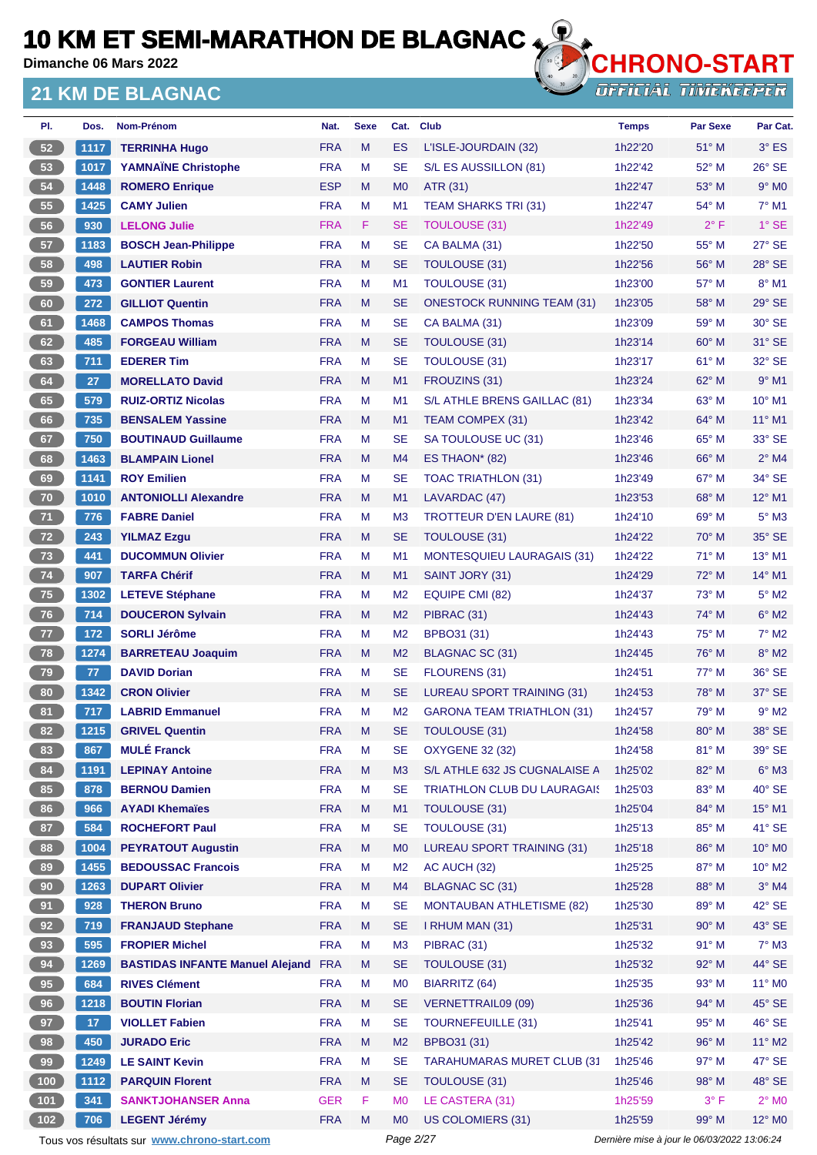**Dimanche 06 Mars 2022**

#### **21 KM DE BLAGNAC**



| PI.                                        | Dos.            | Nom-Prénom                                 | Nat.       | <b>Sexe</b> | Cat.           | <b>Club</b>                        | <b>Temps</b> | <b>Par Sexe</b> | Par Cat.        |
|--------------------------------------------|-----------------|--------------------------------------------|------------|-------------|----------------|------------------------------------|--------------|-----------------|-----------------|
| 52                                         | 1117            | <b>TERRINHA Hugo</b>                       | <b>FRA</b> | M           | ES             | L'ISLE-JOURDAIN (32)               | 1h22'20      | 51° M           | $3°$ ES         |
| 53                                         | 1017            | <b>YAMNAÏNE Christophe</b>                 | <b>FRA</b> | M           | <b>SE</b>      | S/L ES AUSSILLON (81)              | 1h22'42      | 52° M           | 26° SE          |
| 54                                         | 1448            | <b>ROMERO Enrique</b>                      | <b>ESP</b> | M           | M <sub>0</sub> | ATR (31)                           | 1h22'47      | $53^\circ$ M    | $9°$ MO         |
| 55                                         | 1425            | <b>CAMY Julien</b>                         | <b>FRA</b> | M           | M1             | <b>TEAM SHARKS TRI (31)</b>        | 1h22'47      | 54° M           | $7°$ M1         |
| 56                                         | 930             | <b>LELONG Julie</b>                        | <b>FRA</b> | F           | SE             | <b>TOULOUSE (31)</b>               | 1h22'49      | $2^{\circ}$ F   | $1°$ SE         |
| 57                                         | 1183            | <b>BOSCH Jean-Philippe</b>                 | <b>FRA</b> | M           | <b>SE</b>      | CA BALMA (31)                      | 1h22'50      | 55° M           | 27° SE          |
| 58                                         | 498             | <b>LAUTIER Robin</b>                       | <b>FRA</b> | M           | SE             | <b>TOULOUSE (31)</b>               | 1h22'56      | 56° M           | 28° SE          |
| 59                                         | 473             | <b>GONTIER Laurent</b>                     | <b>FRA</b> | M           | M1             | <b>TOULOUSE (31)</b>               | 1h23'00      | 57° M           | 8° M1           |
| 60                                         | 272             | <b>GILLIOT Quentin</b>                     | <b>FRA</b> | M           | SE             | <b>ONESTOCK RUNNING TEAM (31)</b>  | 1h23'05      | $58^{\circ}$ M  | $29°$ SE        |
| 61                                         | 1468            | <b>CAMPOS Thomas</b>                       | <b>FRA</b> | M           | SE             | CA BALMA (31)                      | 1h23'09      | 59° M           | 30° SE          |
| 62                                         | 485             | <b>FORGEAU William</b>                     | <b>FRA</b> | M           | <b>SE</b>      | TOULOUSE (31)                      | 1h23'14      | $60^\circ$ M    | 31° SE          |
| 63                                         | 711             | <b>EDERER Tim</b>                          | <b>FRA</b> | M           | <b>SE</b>      | <b>TOULOUSE (31)</b>               | 1h23'17      | 61° M           | 32° SE          |
| 64                                         | 27              | <b>MORELLATO David</b>                     | <b>FRA</b> | M           | M1             | FROUZINS (31)                      | 1h23'24      | $62^{\circ}$ M  | $9°$ M1         |
| 65                                         | 579             | <b>RUIZ-ORTIZ Nicolas</b>                  | <b>FRA</b> | M           | M <sub>1</sub> | S/L ATHLE BRENS GAILLAC (81)       | 1h23'34      | $63^\circ$ M    | 10° M1          |
| 66                                         | 735             | <b>BENSALEM Yassine</b>                    | <b>FRA</b> | M           | M1             | TEAM COMPEX (31)                   | 1h23'42      | 64° M           | $11^{\circ}$ M1 |
| 67                                         | 750             | <b>BOUTINAUD Guillaume</b>                 | <b>FRA</b> | M           | <b>SE</b>      | SA TOULOUSE UC (31)                | 1h23'46      | 65° M           | 33° SE          |
| 68                                         | 1463            | <b>BLAMPAIN Lionel</b>                     | <b>FRA</b> | M           | M4             | ES THAON* (82)                     | 1h23'46      | $66^{\circ}$ M  | $2^{\circ}$ M4  |
| 69                                         | 1141            | <b>ROY Emilien</b>                         | <b>FRA</b> | M           | SE             | <b>TOAC TRIATHLON (31)</b>         | 1h23'49      | 67° M           | 34° SE          |
| 70                                         | 1010            | <b>ANTONIOLLI Alexandre</b>                | <b>FRA</b> | M           | M1             | LAVARDAC (47)                      | 1h23'53      | 68° M           | 12° M1          |
| 71                                         | 776             | <b>FABRE Daniel</b>                        | <b>FRA</b> | M           | M <sub>3</sub> | <b>TROTTEUR D'EN LAURE (81)</b>    | 1h24'10      | $69^\circ$ M    | $5^\circ$ M3    |
| 72                                         | 243             | <b>YILMAZ Ezgu</b>                         | <b>FRA</b> | M           | SE             | <b>TOULOUSE (31)</b>               | 1h24'22      | $70^\circ$ M    | 35° SE          |
| 73                                         | 441             | <b>DUCOMMUN Olivier</b>                    | <b>FRA</b> | M           | M <sub>1</sub> | <b>MONTESQUIEU LAURAGAIS (31)</b>  | 1h24'22      | $71^\circ$ M    | 13° M1          |
| 74                                         | 907             | <b>TARFA Chérif</b>                        | <b>FRA</b> | M           | M1             | SAINT JORY (31)                    | 1h24'29      | $72^{\circ}$ M  | 14° M1          |
| 75                                         | 1302            | <b>LETEVE Stéphane</b>                     | <b>FRA</b> | M           | M <sub>2</sub> | EQUIPE CMI (82)                    | 1h24'37      | 73° M           | $5^\circ$ M2    |
| 76                                         | 714             | <b>DOUCERON Sylvain</b>                    | <b>FRA</b> | M           | M <sub>2</sub> | PIBRAC (31)                        | 1h24'43      | 74° M           | $6^\circ$ M2    |
| 77                                         | 172             | <b>SORLI Jérôme</b>                        | <b>FRA</b> | M           | M <sub>2</sub> | BPBO31 (31)                        | 1h24'43      | $75^{\circ}$ M  | $7^\circ$ M2    |
| 78                                         | 1274            | <b>BARRETEAU Joaquim</b>                   | <b>FRA</b> | M           | M <sub>2</sub> | BLAGNAC SC (31)                    | 1h24'45      | 76° M           | 8° M2           |
| 79                                         | 77              | <b>DAVID Dorian</b>                        | <b>FRA</b> | M           | <b>SE</b>      | <b>FLOURENS (31)</b>               | 1h24'51      | $77^\circ$ M    | 36° SE          |
| 80                                         | 1342            | <b>CRON Olivier</b>                        | <b>FRA</b> | M           | SE             | <b>LUREAU SPORT TRAINING (31)</b>  | 1h24'53      | 78° M           | 37° SE          |
| 81                                         | 717             | <b>LABRID Emmanuel</b>                     | <b>FRA</b> | M           | M <sub>2</sub> | <b>GARONA TEAM TRIATHLON (31)</b>  | 1h24'57      | 79° M           | $9°$ M2         |
| 82                                         | 1215            | <b>GRIVEL Quentin</b>                      | <b>FRA</b> | M           | SE             | <b>TOULOUSE (31)</b>               | 1h24'58      | 80° M           | 38° SE          |
| 83                                         | 867             | <b>MULÉ Franck</b>                         | <b>FRA</b> | M           | <b>SE</b>      | <b>OXYGENE 32 (32)</b>             | 1h24'58      | 81° M           | 39° SE          |
| 84                                         | 1191            | <b>LEPINAY Antoine</b>                     | <b>FRA</b> | M           | M <sub>3</sub> | S/L ATHLE 632 JS CUGNALAISE A      | 1h25'02      | 82° M           | $6^\circ$ M3    |
| 85                                         | 878             | <b>BERNOU Damien</b>                       | <b>FRA</b> | M           | <b>SE</b>      | <b>TRIATHLON CLUB DU LAURAGAIS</b> | 1h25'03      | 83° M           | $40^\circ$ SE   |
| 86                                         | 966             | <b>AYADI Khemaïes</b>                      | <b>FRA</b> | M           | M1             | <b>TOULOUSE (31)</b>               | 1h25'04      | 84° M           | $15^{\circ}$ M1 |
| 87                                         | 584             | <b>ROCHEFORT Paul</b>                      | <b>FRA</b> | M           | <b>SE</b>      | TOULOUSE (31)                      | 1h25'13      | 85° M           | $41^\circ$ SE   |
| 88                                         | 1004            | <b>PEYRATOUT Augustin</b>                  | <b>FRA</b> | M           | M <sub>0</sub> | LUREAU SPORT TRAINING (31)         | 1h25'18      | 86° M           | $10^{\circ}$ MO |
| 89                                         | 1455            | <b>BEDOUSSAC Francois</b>                  | <b>FRA</b> | M           | M <sub>2</sub> | AC AUCH (32)                       | 1h25'25      | 87° M           | $10^{\circ}$ M2 |
| 90                                         | 1263            | <b>DUPART Olivier</b>                      | <b>FRA</b> | M           | M4             | BLAGNAC SC (31)                    | 1h25'28      | 88° M           | $3°$ M4         |
| 91                                         | 928             | <b>THERON Bruno</b>                        | <b>FRA</b> | M           | <b>SE</b>      | <b>MONTAUBAN ATHLETISME (82)</b>   | 1h25'30      | 89° M           | 42° SE          |
| 92                                         | 719             | <b>FRANJAUD Stephane</b>                   | <b>FRA</b> | M           | <b>SE</b>      | I RHUM MAN (31)                    | 1h25'31      | 90° M           | 43° SE          |
| 93                                         | 595             | <b>FROPIER Michel</b>                      | <b>FRA</b> | M           | M <sub>3</sub> | PIBRAC (31)                        | 1h25'32      | 91° M           | $7^\circ$ M3    |
| 94                                         | 1269            | <b>BASTIDAS INFANTE Manuel Alejand FRA</b> |            | M           | <b>SE</b>      | <b>TOULOUSE (31)</b>               | 1h25'32      | 92° M           | 44° SE          |
| 95                                         | 684             | <b>RIVES Clément</b>                       | <b>FRA</b> | M           | M <sub>0</sub> | <b>BIARRITZ (64)</b>               | 1h25'35      | 93° M           | $11^{\circ}$ MO |
| 96                                         | 1218            | <b>BOUTIN Florian</b>                      | <b>FRA</b> | M           | <b>SE</b>      | <b>VERNETTRAIL09 (09)</b>          | 1h25'36      | 94° M           | $45^\circ$ SE   |
| 97                                         | 17 <sub>2</sub> | <b>VIOLLET Fabien</b>                      | <b>FRA</b> | M           | <b>SE</b>      | <b>TOURNEFEUILLE (31)</b>          | 1h25'41      | 95° M           | 46° SE          |
| 98                                         | 450             | <b>JURADO Eric</b>                         | <b>FRA</b> | M           | M <sub>2</sub> | BPBO31 (31)                        | 1h25'42      | 96° M           | $11^{\circ}$ M2 |
| 99                                         | 1249            | <b>LE SAINT Kevin</b>                      | <b>FRA</b> | M           | <b>SE</b>      | <b>TARAHUMARAS MURET CLUB (31</b>  | 1h25'46      | 97° M           | 47° SE          |
| $100$                                      | 1112            | <b>PARQUIN Florent</b>                     | <b>FRA</b> | M           | SE             | <b>TOULOUSE (31)</b>               | 1h25'46      | 98° M           | 48° SE          |
| $\begin{array}{c} \boxed{101} \end{array}$ | 341             | <b>SANKTJOHANSER Anna</b>                  | <b>GER</b> | F           | M <sub>0</sub> | LE CASTERA (31)                    | 1h25'59      | $3^{\circ}$ F   | $2^\circ$ MO    |
| 102                                        | 706             | <b>LEGENT Jérémy</b>                       | <b>FRA</b> | M           | МO             | US COLOMIERS (31)                  | 1h25'59      | $99^\circ$ M    | $12^{\circ}$ MO |

Tous vos résultats sur **[www.chrono-start.com](https://www.chrono-start.com/)** Page 2/27 Page 2/27 Dernière mise à jour le 06/03/2022 13:06:24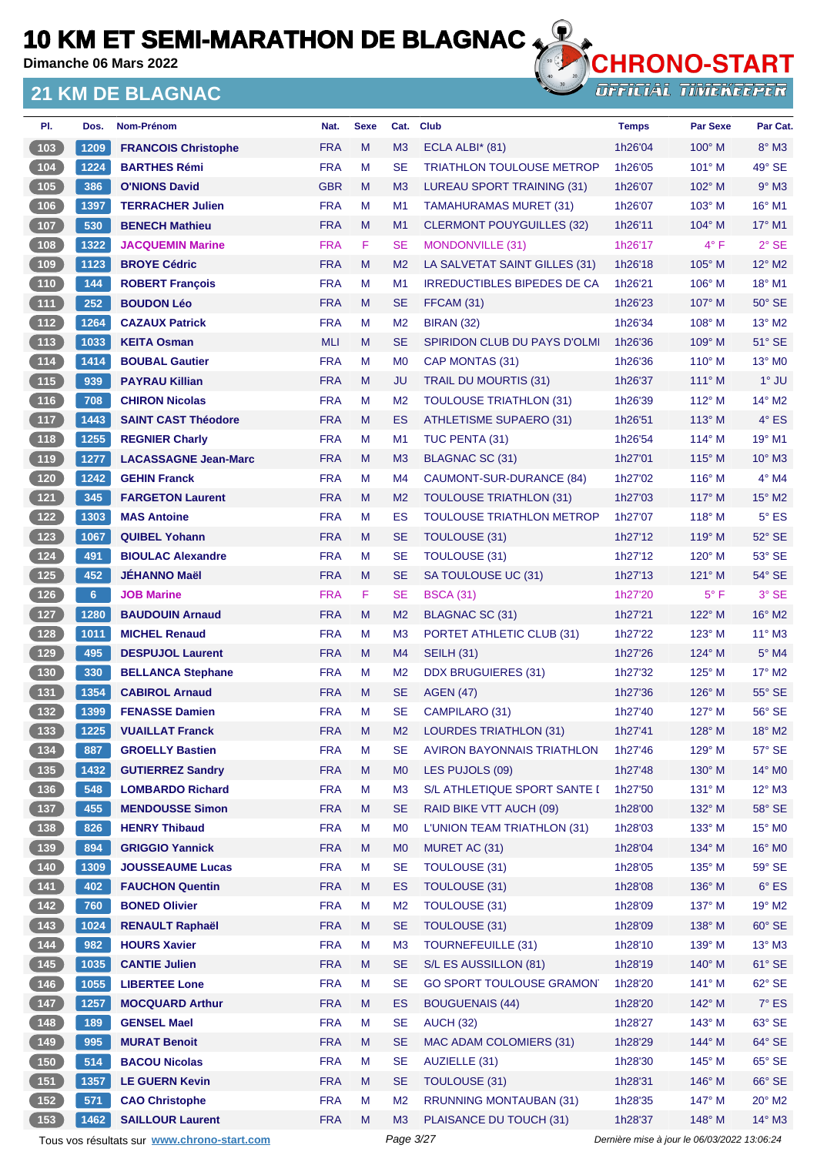**Dimanche 06 Mars 2022**

#### **21 KM DE BLAGNAC**



**OFFICIAL TIMEKEEPER** 

| PI.                                              | Dos.           | Nom-Prénom                  | Nat.       | <b>Sexe</b> | Cat.           | <b>Club</b>                        | <b>Temps</b> | <b>Par Sexe</b> | Par Cat.                    |
|--------------------------------------------------|----------------|-----------------------------|------------|-------------|----------------|------------------------------------|--------------|-----------------|-----------------------------|
| (103)                                            | 1209           | <b>FRANCOIS Christophe</b>  | <b>FRA</b> | M           | M3             | ECLA ALBI $*$ (81)                 | 1h26'04      | $100^\circ$ M   | $8^\circ$ M3                |
| $\begin{array}{c} \hline 104 \end{array}$        | 1224           | <b>BARTHES Rémi</b>         | <b>FRA</b> | м           | <b>SE</b>      | <b>TRIATHLON TOULOUSE METROP</b>   | 1h26'05      | 101° M          | 49° SE                      |
| (105)                                            | 386            | <b>O'NIONS David</b>        | <b>GBR</b> | M           | M <sub>3</sub> | LUREAU SPORT TRAINING (31)         | 1h26'07      | $102^\circ$ M   | $9°$ M3                     |
| 106                                              | 1397           | <b>TERRACHER Julien</b>     | <b>FRA</b> | м           | M <sub>1</sub> | <b>TAMAHURAMAS MURET (31)</b>      | 1h26'07      | $103^\circ$ M   | 16° M1                      |
| (107)                                            | 530            | <b>BENECH Mathieu</b>       | <b>FRA</b> | M           | M <sub>1</sub> | <b>CLERMONT POUYGUILLES (32)</b>   | 1h26'11      | 104° M          | 17° M1                      |
| $\boxed{108}$                                    | 1322           | <b>JACQUEMIN Marine</b>     | <b>FRA</b> | F           | <b>SE</b>      | <b>MONDONVILLE (31)</b>            | 1h26'17      | $4^{\circ}$ F   | $2^{\circ}$ SE              |
| (109                                             | 1123           | <b>BROYE Cédric</b>         | <b>FRA</b> | M           | M <sub>2</sub> | LA SALVETAT SAINT GILLES (31)      | 1h26'18      | $105^\circ$ M   | 12° M2                      |
| 110                                              | 144            | <b>ROBERT François</b>      | <b>FRA</b> | M           | M1             | <b>IRREDUCTIBLES BIPEDES DE CA</b> | 1h26'21      | $106^\circ$ M   | 18° M1                      |
| (111)                                            | 252            | <b>BOUDON Léo</b>           | <b>FRA</b> | M           | <b>SE</b>      | FFCAM (31)                         | 1h26'23      | $107^\circ$ M   | $50^\circ$ SE               |
| $112$                                            | 1264           | <b>CAZAUX Patrick</b>       | <b>FRA</b> | м           | M <sub>2</sub> | <b>BIRAN (32)</b>                  | 1h26'34      | $108^\circ$ M   | 13° M2                      |
| (113)                                            | 1033           | <b>KEITA Osman</b>          | <b>MLI</b> | M           | <b>SE</b>      | SPIRIDON CLUB DU PAYS D'OLMI       | 1h26'36      | $109^\circ$ M   | 51° SE                      |
| $\boxed{114}$                                    | 1414           | <b>BOUBAL Gautier</b>       | <b>FRA</b> | м           | M <sub>0</sub> | CAP MONTAS (31)                    | 1h26'36      | $110^\circ$ M   | 13° MO                      |
| (115)                                            | 939            | <b>PAYRAU Killian</b>       | <b>FRA</b> | M           | <b>JU</b>      | <b>TRAIL DU MOURTIS (31)</b>       | 1h26'37      | $111^\circ$ M   | $1^\circ$ JU                |
| (116)                                            | 708            | <b>CHIRON Nicolas</b>       | <b>FRA</b> | M           | M <sub>2</sub> | <b>TOULOUSE TRIATHLON (31)</b>     | 1h26'39      | $112^\circ$ M   | 14° M2                      |
| (117)                                            | 1443           | <b>SAINT CAST Théodore</b>  | <b>FRA</b> | M           | ES             | <b>ATHLETISME SUPAERO (31)</b>     | 1h26'51      | $113^\circ$ M   | $4^\circ$ ES                |
| $\begin{array}{c} \n \textbf{118}\n \end{array}$ | 1255           | <b>REGNIER Charly</b>       | <b>FRA</b> | M           | M <sub>1</sub> | TUC PENTA (31)                     | 1h26'54      | $114^{\circ}$ M | 19° M1                      |
| (119)                                            | 1277           | <b>LACASSAGNE Jean-Marc</b> | <b>FRA</b> | M           | M <sub>3</sub> | BLAGNAC SC (31)                    | 1h27'01      | $115^\circ$ M   | $10^{\circ}$ M3             |
| $(120)$                                          | 1242           | <b>GEHIN Franck</b>         | <b>FRA</b> | м           | M <sub>4</sub> | CAUMONT-SUR-DURANCE (84)           | 1h27'02      | $116^\circ$ M   | $4^\circ$ M4                |
| $\sqrt{121}$                                     | 345            | <b>FARGETON Laurent</b>     | <b>FRA</b> | M           | M <sub>2</sub> | <b>TOULOUSE TRIATHLON (31)</b>     | 1h27'03      | $117^\circ$ M   | $15^{\circ}$ M2             |
| 122                                              | 1303           | <b>MAS Antoine</b>          | <b>FRA</b> | M           | ES             | <b>TOULOUSE TRIATHLON METROP</b>   | 1h27'07      | $118°$ M        | $5^{\circ}$ ES              |
| 123                                              | 1067           | <b>QUIBEL Yohann</b>        | <b>FRA</b> | M           | <b>SE</b>      | TOULOUSE (31)                      | 1h27'12      | $119^\circ$ M   | 52° SE                      |
| $\boxed{124}$                                    | 491            | <b>BIOULAC Alexandre</b>    | <b>FRA</b> | M           | <b>SE</b>      | <b>TOULOUSE (31)</b>               | 1h27'12      | $120^\circ$ M   | 53° SE                      |
| (125)                                            | 452            | <b>JEHANNO Maël</b>         | <b>FRA</b> | M           | <b>SE</b>      | SA TOULOUSE UC (31)                | 1h27'13      | $121^\circ$ M   | 54° SE                      |
| $126$                                            | 6 <sup>1</sup> | <b>JOB Marine</b>           | <b>FRA</b> | F           | <b>SE</b>      | <b>BSCA (31)</b>                   | 1h27'20      | $5^{\circ}$ F   | 3° SE                       |
| (127)                                            | 1280           | <b>BAUDOUIN Arnaud</b>      | <b>FRA</b> | M           | M <sub>2</sub> | BLAGNAC SC (31)                    | 1h27'21      | $122^{\circ}$ M | $16^{\circ}$ M <sub>2</sub> |
| 128                                              | 1011           | <b>MICHEL Renaud</b>        | <b>FRA</b> | м           | M <sub>3</sub> | PORTET ATHLETIC CLUB (31)          | 1h27'22      | $123^\circ$ M   | $11^{\circ}$ M3             |
| (129)                                            | 495            | <b>DESPUJOL Laurent</b>     | <b>FRA</b> | M           | M <sub>4</sub> | <b>SEILH (31)</b>                  | 1h27'26      | $124^\circ$ M   | $5^\circ$ M4                |
| 130                                              | 330            | <b>BELLANCA Stephane</b>    | <b>FRA</b> | М           | M <sub>2</sub> | <b>DDX BRUGUIERES (31)</b>         | 1h27'32      | $125^\circ$ M   | $17^\circ$ M2               |
| (131)                                            | 1354           | <b>CABIROL Arnaud</b>       | <b>FRA</b> | M           | <b>SE</b>      | <b>AGEN (47)</b>                   | 1h27'36      | $126^\circ$ M   | 55° SE                      |
| 132                                              | 1399           | <b>FENASSE Damien</b>       | <b>FRA</b> | M           | <b>SE</b>      | CAMPILARO (31)                     | 1h27'40      | $127^\circ$ M   | 56° SE                      |
| (133)                                            | 1225           | <b>VUAILLAT Franck</b>      | <b>FRA</b> | M           | M <sub>2</sub> | LOURDES TRIATHLON (31)             | 1h27'41      | $128^\circ$ M   | $18^\circ$ M2               |
| $134$                                            | 887            | <b>GROELLY Bastien</b>      | <b>FRA</b> | M           | SE             | <b>AVIRON BAYONNAIS TRIATHLON</b>  | 1h27'46      | 129° M          | $57^\circ$ SE               |
| (135)                                            | 1432           | <b>GUTIERREZ Sandry</b>     | <b>FRA</b> | M           | M <sub>0</sub> | LES PUJOLS (09)                    | 1h27'48      | 130° M          | 14° MO                      |
| $136$                                            | 548            | <b>LOMBARDO Richard</b>     | <b>FRA</b> | M           | M <sub>3</sub> | S/L ATHLETIQUE SPORT SANTE I       | 1h27'50      | $131^\circ$ M   | 12° M3                      |
| (137)                                            | 455            | <b>MENDOUSSE Simon</b>      | <b>FRA</b> | M           | <b>SE</b>      | RAID BIKE VTT AUCH (09)            | 1h28'00      | 132° M          | 58° SE                      |
| [138]                                            | 826            | <b>HENRY Thibaud</b>        | <b>FRA</b> | M           | M <sub>0</sub> | L'UNION TEAM TRIATHLON (31)        | 1h28'03      | $133^\circ$ M   | $15^{\circ}$ MO             |
| (139)                                            | 894            | <b>GRIGGIO Yannick</b>      | <b>FRA</b> | M           | M <sub>0</sub> | MURET AC (31)                      | 1h28'04      | 134° M          | 16° M0                      |
|                                                  | 1309           | <b>JOUSSEAUME Lucas</b>     | <b>FRA</b> | M           | <b>SE</b>      | <b>TOULOUSE (31)</b>               | 1h28'05      | $135^\circ$ M   | $59^\circ$ SE               |
| (141)                                            | 402            | <b>FAUCHON Quentin</b>      | <b>FRA</b> | M           | ES             | TOULOUSE (31)                      | 1h28'08      | 136° M          | $6^{\circ}$ ES              |
| $\begin{array}{c} \n \text{142}\n \end{array}$   | 760            | <b>BONED Olivier</b>        | <b>FRA</b> | М           | M <sub>2</sub> | TOULOUSE (31)                      | 1h28'09      | 137° M          | 19° M2                      |
| $\sqrt{143}$                                     | 1024           | <b>RENAULT Raphaël</b>      | <b>FRA</b> | M           | <b>SE</b>      | TOULOUSE (31)                      | 1h28'09      | 138° M          | $60^\circ$ SE               |
| $\begin{array}{c} \n144\n\end{array}$            | 982            | <b>HOURS Xavier</b>         | <b>FRA</b> | M           | M <sub>3</sub> | <b>TOURNEFEUILLE (31)</b>          | 1h28'10      | 139° M          | $13^\circ$ M3               |
| (145)                                            | 1035           | <b>CANTIE Julien</b>        | <b>FRA</b> | M           | <b>SE</b>      | S/L ES AUSSILLON (81)              | 1h28'19      | 140° M          | $61^\circ$ SE               |
| $146$                                            | 1055           | <b>LIBERTEE Lone</b>        | <b>FRA</b> | M           | <b>SE</b>      | <b>GO SPORT TOULOUSE GRAMON</b>    | 1h28'20      | $141^\circ$ M   | $62^\circ$ SE               |
| (147)                                            | 1257           | <b>MOCQUARD Arthur</b>      | <b>FRA</b> | M           | ES             | <b>BOUGUENAIS (44)</b>             | 1h28'20      | 142° M          | $7^\circ$ ES                |
| $\begin{array}{c} \n \text{148}\n \end{array}$   | 189            | <b>GENSEL Mael</b>          | <b>FRA</b> | M           | <b>SE</b>      | <b>AUCH (32)</b>                   | 1h28'27      | $143^\circ$ M   | 63° SE                      |
| (149)                                            | 995            | <b>MURAT Benoit</b>         | <b>FRA</b> | M           | <b>SE</b>      | MAC ADAM COLOMIERS (31)            | 1h28'29      | 144° M          | $64^\circ$ SE               |
| 150                                              | 514            | <b>BACOU Nicolas</b>        | <b>FRA</b> | М           | <b>SE</b>      | AUZIELLE (31)                      | 1h28'30      | 145° M          | $65^\circ$ SE               |
| (151)                                            | 1357           | <b>LE GUERN Kevin</b>       | <b>FRA</b> | M           | <b>SE</b>      | TOULOUSE (31)                      | 1h28'31      | 146° M          | $66^\circ$ SE               |
| $152$                                            | 571            | <b>CAO Christophe</b>       | <b>FRA</b> | M           | M <sub>2</sub> | <b>RRUNNING MONTAUBAN (31)</b>     | 1h28'35      | 147° M          | $20^\circ$ M2               |
| (153)                                            | 1462           | <b>SAILLOUR Laurent</b>     | <b>FRA</b> | M           | M <sub>3</sub> | PLAISANCE DU TOUCH (31)            | 1h28'37      | 148° M          | 14° M3                      |

Tous vos résultats sur **[www.chrono-start.com](https://www.chrono-start.com/)** Page 3/27 Page 3/27 Dernière mise à jour le 06/03/2022 13:06:24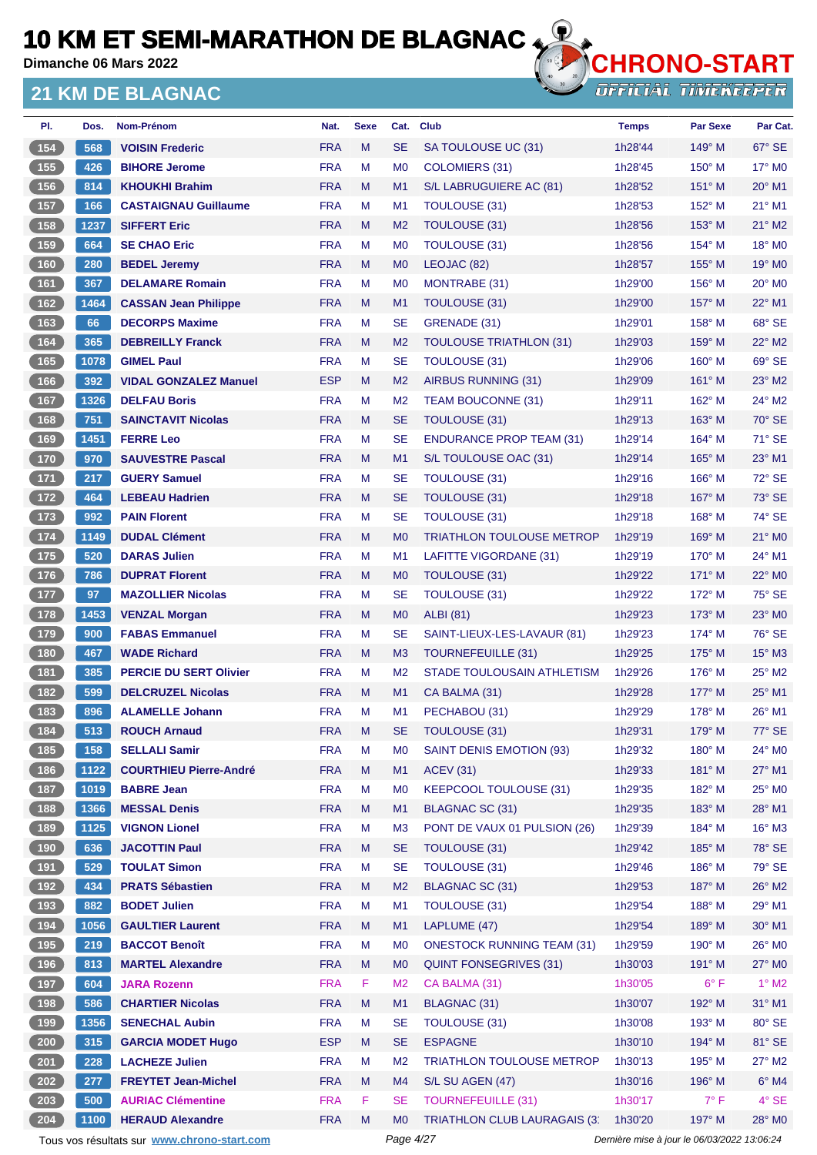**Dimanche 06 Mars 2022**

#### **21 KM DE BLAGNAC**



**OFFICIAL TIMEKEEPER** 

| Dos. | Nom-Prénom                    | Nat.       | <b>Sexe</b> | Cat.           | <b>Club</b>                         | <b>Temps</b> | <b>Par Sexe</b> | Par Cat.                  |
|------|-------------------------------|------------|-------------|----------------|-------------------------------------|--------------|-----------------|---------------------------|
| 568  | <b>VOISIN Frederic</b>        | <b>FRA</b> | M           | <b>SE</b>      | SA TOULOUSE UC (31)                 | 1h28'44      | $149^\circ$ M   | $67^\circ$ SE             |
| 426  | <b>BIHORE Jerome</b>          | <b>FRA</b> | M           | M <sub>0</sub> | COLOMIERS (31)                      | 1h28'45      | $150^\circ$ M   | $17^\circ$ MO             |
| 814  | <b>KHOUKHI Brahim</b>         | <b>FRA</b> | M           | M1             | S/L LABRUGUIERE AC (81)             | 1h28'52      | 151° M          | 20° M1                    |
| 166  | <b>CASTAIGNAU Guillaume</b>   | <b>FRA</b> | M           | M1             | TOULOUSE (31)                       | 1h28'53      | $152^{\circ}$ M | 21° M1                    |
| 1237 | <b>SIFFERT Eric</b>           | <b>FRA</b> | M           | M <sub>2</sub> | TOULOUSE (31)                       | 1h28'56      | $153^\circ$ M   | $21^\circ$ M <sub>2</sub> |
| 664  | <b>SE CHAO Eric</b>           | <b>FRA</b> | м           | M <sub>0</sub> | <b>TOULOUSE (31)</b>                | 1h28'56      | 154° M          | 18° MO                    |
| 280  | <b>BEDEL Jeremy</b>           | <b>FRA</b> | M           | M <sub>0</sub> | LEOJAC (82)                         | 1h28'57      | $155^{\circ}$ M | 19° M <sub>0</sub>        |
| 367  | <b>DELAMARE Romain</b>        | <b>FRA</b> | м           | M <sub>0</sub> | MONTRABE (31)                       | 1h29'00      | $156^\circ$ M   | $20^\circ$ M <sub>0</sub> |
| 1464 | <b>CASSAN Jean Philippe</b>   | <b>FRA</b> | M           | M <sub>1</sub> | <b>TOULOUSE (31)</b>                | 1h29'00      | $157^\circ$ M   | 22° M1                    |
| 66   | <b>DECORPS Maxime</b>         | <b>FRA</b> | м           | <b>SE</b>      | GRENADE (31)                        | 1h29'01      | $158^\circ$ M   | 68° SE                    |
| 365  | <b>DEBREILLY Franck</b>       | <b>FRA</b> | M           | M <sub>2</sub> | <b>TOULOUSE TRIATHLON (31)</b>      | 1h29'03      | $159^\circ$ M   | $22^{\circ}$ M2           |
| 1078 | <b>GIMEL Paul</b>             | <b>FRA</b> | м           | <b>SE</b>      | <b>TOULOUSE (31)</b>                | 1h29'06      | $160^\circ$ M   | 69° SE                    |
| 392  | <b>VIDAL GONZALEZ Manuel</b>  | <b>ESP</b> | M           | M <sub>2</sub> | AIRBUS RUNNING (31)                 | 1h29'09      | $161^\circ$ M   | $23^\circ$ M2             |
| 1326 | <b>DELFAU Boris</b>           | <b>FRA</b> | М           | M <sub>2</sub> | <b>TEAM BOUCONNE (31)</b>           | 1h29'11      | 162° M          | $24^{\circ}$ M2           |
| 751  | <b>SAINCTAVIT Nicolas</b>     | <b>FRA</b> | M           | <b>SE</b>      | TOULOUSE (31)                       | 1h29'13      | $163^\circ$ M   | 70° SE                    |
| 1451 | <b>FERRE Leo</b>              | <b>FRA</b> | м           | <b>SE</b>      | <b>ENDURANCE PROP TEAM (31)</b>     | 1h29'14      | $164^\circ$ M   | 71° SE                    |
| 970  | <b>SAUVESTRE Pascal</b>       | <b>FRA</b> | M           | M1             | S/L TOULOUSE OAC (31)               | 1h29'14      | 165° M          | 23° M1                    |
| 217  | <b>GUERY Samuel</b>           | <b>FRA</b> | M           | <b>SE</b>      | TOULOUSE (31)                       | 1h29'16      | $166^\circ$ M   | 72° SE                    |
| 464  | <b>LEBEAU Hadrien</b>         | <b>FRA</b> | M           | <b>SE</b>      | <b>TOULOUSE (31)</b>                | 1h29'18      | 167° M          | 73° SE                    |
| 992  | <b>PAIN Florent</b>           | <b>FRA</b> | M           | <b>SE</b>      | <b>TOULOUSE (31)</b>                | 1h29'18      | $168^\circ$ M   | 74° SE                    |
| 1149 | <b>DUDAL Clément</b>          | <b>FRA</b> | M           | M <sub>0</sub> | <b>TRIATHLON TOULOUSE METROP</b>    | 1h29'19      | 169° M          | 21° MO                    |
| 520  | <b>DARAS Julien</b>           | <b>FRA</b> | М           | M1             | LAFITTE VIGORDANE (31)              | 1h29'19      | $170^\circ$ M   | 24° M1                    |
| 786  | <b>DUPRAT Florent</b>         | <b>FRA</b> | M           | M <sub>0</sub> | <b>TOULOUSE (31)</b>                | 1h29'22      | $171^\circ$ M   | $22^\circ$ MO             |
|      | <b>MAZOLLIER Nicolas</b>      | <b>FRA</b> | M           | <b>SE</b>      | <b>TOULOUSE (31)</b>                | 1h29'22      | 172° M          | $75^\circ$ SE             |
|      | <b>VENZAL Morgan</b>          | <b>FRA</b> | M           | M <sub>0</sub> | <b>ALBI</b> (81)                    | 1h29'23      | $173^\circ$ M   | $23^\circ$ MO             |
| 900  | <b>FABAS Emmanuel</b>         | <b>FRA</b> | M           | <b>SE</b>      | SAINT-LIEUX-LES-LAVAUR (81)         | 1h29'23      | $174^\circ$ M   | 76° SE                    |
| 467  | <b>WADE Richard</b>           | <b>FRA</b> | M           | M <sub>3</sub> | <b>TOURNEFEUILLE (31)</b>           | 1h29'25      | $175^\circ$ M   | 15° M3                    |
| 385  | <b>PERCIE DU SERT Olivier</b> | <b>FRA</b> | м           | M <sub>2</sub> | STADE TOULOUSAIN ATHLETISM          | 1h29'26      | $176^\circ$ M   | 25° M2                    |
| 599  | <b>DELCRUZEL Nicolas</b>      | <b>FRA</b> | M           | M1             | CA BALMA (31)                       | 1h29'28      | $177^\circ$ M   | $25^{\circ}$ M1           |
| 896  | <b>ALAMELLE Johann</b>        | <b>FRA</b> | M           | M1             | PECHABOU (31)                       | 1h29'29      | 178° M          | 26° M1                    |
| 513  | <b>ROUCH Arnaud</b>           | <b>FRA</b> | M           | <b>SE</b>      | TOULOUSE (31)                       | 1h29'31      | 179° M          | 77° SE                    |
| 158  | <b>SELLALI Samir</b>          | <b>FRA</b> | M           | M <sub>0</sub> | SAINT DENIS EMOTION (93)            | 1h29'32      | 180° M          | 24° MO                    |
| 1122 | <b>COURTHIEU Pierre-André</b> | <b>FRA</b> | M           | M1             | <b>ACEV (31)</b>                    | 1h29'33      | 181° M          | 27° M1                    |
| 1019 | <b>BABRE Jean</b>             | <b>FRA</b> | M           | M <sub>0</sub> | KEEPCOOL TOULOUSE (31)              | 1h29'35      | 182° M          | 25° MO                    |
| 1366 | <b>MESSAL Denis</b>           | <b>FRA</b> | M           | M1             | <b>BLAGNAC SC (31)</b>              | 1h29'35      | 183° M          | 28° M1                    |
| 1125 | <b>VIGNON Lionel</b>          | <b>FRA</b> | M           | M <sub>3</sub> | PONT DE VAUX 01 PULSION (26)        | 1h29'39      | 184° M          | $16^\circ$ M3             |
| 636  | <b>JACOTTIN Paul</b>          | <b>FRA</b> | M           | <b>SE</b>      | TOULOUSE (31)                       | 1h29'42      | 185° M          | 78° SE                    |
| 529  | <b>TOULAT Simon</b>           | <b>FRA</b> | M           | <b>SE</b>      | <b>TOULOUSE (31)</b>                | 1h29'46      | 186° M          | 79° SE                    |
| 434  | <b>PRATS Sébastien</b>        | <b>FRA</b> | M           | M <sub>2</sub> | <b>BLAGNAC SC (31)</b>              | 1h29'53      | 187° M          | $26^\circ$ M2             |
| 882  | <b>BODET Julien</b>           | <b>FRA</b> | M           | M1             | <b>TOULOUSE (31)</b>                | 1h29'54      | 188° M          | 29° M1                    |
| 1056 | <b>GAULTIER Laurent</b>       | <b>FRA</b> | M           | M1             | LAPLUME (47)                        | 1h29'54      | 189° M          | 30° M1                    |
| 219  | <b>BACCOT Benoît</b>          | <b>FRA</b> | M           | M <sub>0</sub> | <b>ONESTOCK RUNNING TEAM (31)</b>   | 1h29'59      | 190° M          | 26° MO                    |
| 813  | <b>MARTEL Alexandre</b>       | <b>FRA</b> | M           | M <sub>0</sub> | <b>QUINT FONSEGRIVES (31)</b>       | 1h30'03      | 191° M          | 27° M0                    |
| 604  | <b>JARA Rozenn</b>            | <b>FRA</b> | F           | M <sub>2</sub> | CA BALMA (31)                       | 1h30'05      | $6^{\circ}$ F   | $1^\circ$ M2              |
| 586  | <b>CHARTIER Nicolas</b>       | <b>FRA</b> | M           | M1             | <b>BLAGNAC (31)</b>                 | 1h30'07      | 192° M          | 31° M1                    |
| 1356 | <b>SENECHAL Aubin</b>         | <b>FRA</b> | M           | <b>SE</b>      | <b>TOULOUSE (31)</b>                | 1h30'08      | 193° M          | 80° SE                    |
| 315  | <b>GARCIA MODET Hugo</b>      | <b>ESP</b> | M           | <b>SE</b>      | <b>ESPAGNE</b>                      | 1h30'10      | 194° M          | 81° SE                    |
| 228  | <b>LACHEZE Julien</b>         | <b>FRA</b> | M           | M <sub>2</sub> | <b>TRIATHLON TOULOUSE METROP</b>    | 1h30'13      | 195° M          | 27° M2                    |
| 277  | <b>FREYTET Jean-Michel</b>    | <b>FRA</b> | M           | M4             | S/L SU AGEN (47)                    | 1h30'16      | 196° M          | $6^\circ$ M4              |
| 500  | <b>AURIAC Clémentine</b>      | <b>FRA</b> | F           | <b>SE</b>      | <b>TOURNEFEUILLE (31)</b>           | 1h30'17      | $7^\circ$ F     | $4^\circ$ SE              |
| 1100 | <b>HERAUD Alexandre</b>       | <b>FRA</b> | M           | M <sub>0</sub> | <b>TRIATHLON CLUB LAURAGAIS (3)</b> | 1h30'20      | $197^\circ$ M   | 28° MO                    |
|      | 97<br>1453                    |            |             |                |                                     |              |                 |                           |

Tous vos résultats sur **[www.chrono-start.com](https://www.chrono-start.com/)** Page 4/27 Page 4/27 Dernière mise à jour le 06/03/2022 13:06:24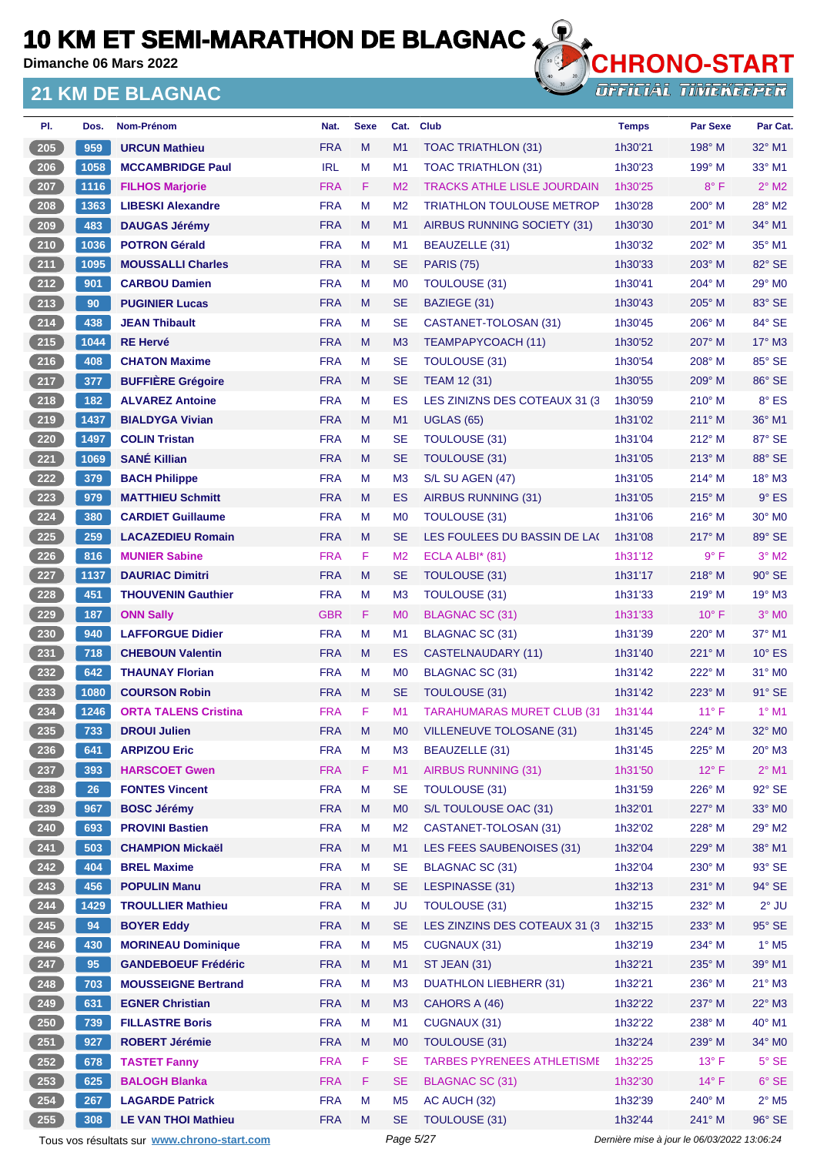**Dimanche 06 Mars 2022**

#### **21 KM DE BLAGNAC**



| PI.                 | Dos. | <b>Nom-Prénom</b>                           | Nat.       | <b>Sexe</b> | Cat.           | <b>Club</b>                        | <b>Temps</b> | <b>Par Sexe</b>                             | Par Cat.                   |
|---------------------|------|---------------------------------------------|------------|-------------|----------------|------------------------------------|--------------|---------------------------------------------|----------------------------|
| 205                 | 959  | <b>URCUN Mathieu</b>                        | <b>FRA</b> | M           | M1             | TOAC TRIATHLON (31)                | 1h30'21      | 198° M                                      | $32^{\circ}$ M1            |
| $206$               | 1058 | <b>MCCAMBRIDGE Paul</b>                     | <b>IRL</b> | M           | M <sub>1</sub> | TOAC TRIATHLON (31)                | 1h30'23      | 199° M                                      | $33^\circ$ M1              |
| 207                 | 1116 | <b>FILHOS Marjorie</b>                      | <b>FRA</b> | F           | M <sub>2</sub> | <b>TRACKS ATHLE LISLE JOURDAIN</b> | 1h30'25      | $8^{\circ}$ F                               | $2^{\circ}$ M2             |
| 208                 | 1363 | <b>LIBESKI Alexandre</b>                    | <b>FRA</b> | M           | M <sub>2</sub> | <b>TRIATHLON TOULOUSE METROP</b>   | 1h30'28      | $200^\circ$ M                               | 28° M2                     |
| $\frac{209}{200}$   | 483  | <b>DAUGAS Jérémy</b>                        | <b>FRA</b> | M           | M <sub>1</sub> | AIRBUS RUNNING SOCIETY (31)        | 1h30'30      | $201^\circ$ M                               | 34° M1                     |
| $210$               | 1036 | <b>POTRON Gérald</b>                        | <b>FRA</b> | м           | M1             | BEAUZELLE (31)                     | 1h30'32      | 202° M                                      | 35° M1                     |
| 211                 | 1095 | <b>MOUSSALLI Charles</b>                    | <b>FRA</b> | M           | <b>SE</b>      | <b>PARIS (75)</b>                  | 1h30'33      | $203^\circ$ M                               | 82° SE                     |
| $212$               | 901  | <b>CARBOU Damien</b>                        | <b>FRA</b> | м           | M <sub>0</sub> | <b>TOULOUSE (31)</b>               | 1h30'41      | 204° M                                      | $29^\circ$ MO              |
| 213                 | 90   | <b>PUGINIER Lucas</b>                       | <b>FRA</b> | M           | <b>SE</b>      | BAZIEGE (31)                       | 1h30'43      | 205° M                                      | 83° SE                     |
| $214$               | 438  | <b>JEAN Thibault</b>                        | <b>FRA</b> | M           | <b>SE</b>      | CASTANET-TOLOSAN (31)              | 1h30'45      | $206^\circ$ M                               | 84° SE                     |
| $215$               | 1044 | <b>RE Hervé</b>                             | <b>FRA</b> | M           | M <sub>3</sub> | TEAMPAPYCOACH (11)                 | 1h30'52      | 207° M                                      | $17^\circ$ M3              |
| $216$               | 408  | <b>CHATON Maxime</b>                        | <b>FRA</b> | M           | <b>SE</b>      | TOULOUSE (31)                      | 1h30'54      | 208° M                                      | 85° SE                     |
| 217                 | 377  | <b>BUFFIÈRE Grégoire</b>                    | <b>FRA</b> | M           | <b>SE</b>      | <b>TEAM 12 (31)</b>                | 1h30'55      | $209^\circ$ M                               | 86° SE                     |
| $218$               | 182  | <b>ALVAREZ Antoine</b>                      | <b>FRA</b> | M           | ES             | LES ZINIZNS DES COTEAUX 31 (3)     | 1h30'59      | 210° M                                      | $8^\circ$ ES               |
| 219                 | 1437 | <b>BIALDYGA Vivian</b>                      | <b>FRA</b> | M           | M1             | <b>UGLAS (65)</b>                  | 1h31'02      | $211^\circ$ M                               | 36° M1                     |
| 220                 | 1497 | <b>COLIN Tristan</b>                        | <b>FRA</b> | M           | <b>SE</b>      | <b>TOULOUSE (31)</b>               | 1h31'04      | 212° M                                      | 87° SE                     |
| 221                 | 1069 | <b>SANÉ Killian</b>                         | <b>FRA</b> | M           | <b>SE</b>      | <b>TOULOUSE (31)</b>               | 1h31'05      | $213^\circ$ M                               | 88° SE                     |
| 222                 | 379  | <b>BACH Philippe</b>                        | <b>FRA</b> | М           | M <sub>3</sub> | S/L SU AGEN (47)                   | 1h31'05      | $214^{\circ}$ M                             | $18^\circ$ M3              |
| 223                 | 979  | <b>MATTHIEU Schmitt</b>                     | <b>FRA</b> | M           | ES             | AIRBUS RUNNING (31)                | 1h31'05      | $215^\circ$ M                               | $9°$ ES                    |
| 224                 | 380  | <b>CARDIET Guillaume</b>                    | <b>FRA</b> | м           | M <sub>0</sub> | <b>TOULOUSE (31)</b>               | 1h31'06      | $216^{\circ}$ M                             | 30° MO                     |
| 225                 | 259  | <b>LACAZEDIEU Romain</b>                    | <b>FRA</b> | M           | <b>SE</b>      | LES FOULEES DU BASSIN DE LAC       | 1h31'08      | $217^\circ$ M                               | 89° SE                     |
| $226$               | 816  | <b>MUNIER Sabine</b>                        | <b>FRA</b> | F           | M <sub>2</sub> | ECLA ALBI $*$ (81)                 | 1h31'12      | $9^{\circ}$ F                               | $3°$ M2                    |
| 227                 | 1137 | <b>DAURIAC Dimitri</b>                      | <b>FRA</b> | M           | <b>SE</b>      | TOULOUSE (31)                      | 1h31'17      | $218^\circ$ M                               | 90° SE                     |
| $228$               | 451  | <b>THOUVENIN Gauthier</b>                   | <b>FRA</b> | M           | M <sub>3</sub> | <b>TOULOUSE (31)</b>               | 1h31'33      | $219°$ M                                    | $19^\circ$ M3              |
| 229                 | 187  | <b>ONN Sally</b>                            | <b>GBR</b> | F           | M <sub>0</sub> | <b>BLAGNAC SC (31)</b>             | 1h31'33      | $10^{\circ}$ F                              | $3°$ MO                    |
| 230                 | 940  | <b>LAFFORGUE Didier</b>                     | <b>FRA</b> | м           | M <sub>1</sub> | BLAGNAC SC (31)                    | 1h31'39      | 220° M                                      | 37° M1                     |
|                     |      |                                             | <b>FRA</b> | M           |                |                                    | 1h31'40      |                                             |                            |
| $231$               | 718  | <b>CHEBOUN Valentin</b>                     |            |             | ES             | CASTELNAUDARY (11)                 |              | 221° M                                      | $10^{\circ}$ ES            |
| $\boxed{232}$       | 642  | <b>THAUNAY Florian</b>                      | <b>FRA</b> | м           | M <sub>0</sub> | BLAGNAC SC (31)                    | 1h31'42      | 222° M                                      | $31^\circ$ MO              |
| $\left(233\right)$  | 1080 | <b>COURSON Robin</b>                        | <b>FRA</b> | M           | <b>SE</b>      | TOULOUSE (31)                      | 1h31'42      | 223° M                                      | $91^\circ$ SE              |
| 234                 | 1246 | <b>ORTA TALENS Cristina</b>                 | <b>FRA</b> | F           | M <sub>1</sub> | <b>TARAHUMARAS MURET CLUB (31)</b> | 1h31'44      | $11^{\circ}$ F                              | $1^{\circ}$ M1             |
| (235)               | 733  | <b>DROUI Julien</b>                         | <b>FRA</b> | M           | M <sub>0</sub> | <b>VILLENEUVE TOLOSANE (31)</b>    | 1h31'45      | 224° M                                      | 32° MO                     |
| $\left(236\right)$  | 641  | <b>ARPIZOU Eric</b>                         | <b>FRA</b> | M           | M <sub>3</sub> | BEAUZELLE (31)                     | 1h31'45      | 225° M                                      | $20^\circ$ M3              |
| $237$               | 393  | <b>HARSCOET Gwen</b>                        | <b>FRA</b> | F           | M1             | <b>AIRBUS RUNNING (31)</b>         | 1h31'50      | $12^{\circ}$ F                              | $2^{\circ}$ M1             |
| 238                 | 26   | <b>FONTES Vincent</b>                       | <b>FRA</b> | M           | <b>SE</b>      | <b>TOULOUSE (31)</b>               | 1h31'59      | 226° M                                      | 92° SE                     |
| 239                 | 967  | <b>BOSC Jérémy</b>                          | <b>FRA</b> | M           | M <sub>0</sub> | S/L TOULOUSE OAC (31)              | 1h32'01      | 227° M                                      | 33° MO                     |
| 240                 | 693  | <b>PROVINI Bastien</b>                      | <b>FRA</b> | М           | M <sub>2</sub> | CASTANET-TOLOSAN (31)              | 1h32'02      | 228° M                                      | 29° M2                     |
| $\left(241\right)$  | 503  | <b>CHAMPION Mickaël</b>                     | <b>FRA</b> | M           | M1             | LES FEES SAUBENOISES (31)          | 1h32'04      | 229° M                                      | 38° M1                     |
| $242$               | 404  | <b>BREL Maxime</b>                          | <b>FRA</b> | M           | <b>SE</b>      | BLAGNAC SC (31)                    | 1h32'04      | 230° M                                      | 93° SE                     |
| $243$               | 456  | <b>POPULIN Manu</b>                         | <b>FRA</b> | M           | <b>SE</b>      | LESPINASSE (31)                    | 1h32'13      | 231° M                                      | 94° SE                     |
| 244                 | 1429 | <b>TROULLIER Mathieu</b>                    | <b>FRA</b> | M           | <b>JU</b>      | TOULOUSE (31)                      | 1h32'15      | 232° M                                      | $2^{\circ}$ JU             |
| $\frac{245}{2}$     | 94   | <b>BOYER Eddy</b>                           | <b>FRA</b> | M           | <b>SE</b>      | LES ZINZINS DES COTEAUX 31 (3)     | 1h32'15      | $233^\circ$ M                               | 95° SE                     |
| $246$               | 430  | <b>MORINEAU Dominique</b>                   | <b>FRA</b> | М           | M <sub>5</sub> | CUGNAUX (31)                       | 1h32'19      | 234° M                                      | $1^\circ$ M <sub>5</sub>   |
| 247                 | 95   | <b>GANDEBOEUF Frédéric</b>                  | <b>FRA</b> | M           | M1             | <b>ST JEAN (31)</b>                | 1h32'21      | 235° M                                      | 39° M1                     |
| $248$               | 703  | <b>MOUSSEIGNE Bertrand</b>                  | <b>FRA</b> | M           | M <sub>3</sub> | <b>DUATHLON LIEBHERR (31)</b>      | 1h32'21      | 236° M                                      | $21^{\circ}$ M3            |
| 249                 | 631  | <b>EGNER Christian</b>                      | <b>FRA</b> | M           | M <sub>3</sub> | CAHORS A (46)                      | 1h32'22      | 237° M                                      | 22° M3                     |
| $250$               | 739  | <b>FILLASTRE Boris</b>                      | <b>FRA</b> | М           | M <sub>1</sub> | CUGNAUX (31)                       | 1h32'22      | 238° M                                      | 40° M1                     |
| 251                 | 927  | <b>ROBERT Jérémie</b>                       | <b>FRA</b> | M           | M <sub>0</sub> | <b>TOULOUSE (31)</b>               | 1h32'24      | 239° M                                      | 34° MO                     |
| 252                 | 678  | <b>TASTET Fanny</b>                         | <b>FRA</b> | F           | <b>SE</b>      | <b>TARBES PYRENEES ATHLETISME</b>  | 1h32'25      | $13^{\circ}$ F                              | $5^\circ$ SE               |
| $\left( 253\right)$ | 625  | <b>BALOGH Blanka</b>                        | <b>FRA</b> | F.          | <b>SE</b>      | <b>BLAGNAC SC (31)</b>             | 1h32'30      | $14^{\circ}$ F                              | $6°$ SE                    |
| 254                 | 267  | <b>LAGARDE Patrick</b>                      | <b>FRA</b> | М           | M <sub>5</sub> | AC AUCH (32)                       | 1h32'39      | 240° M                                      | $2^{\circ}$ M <sub>5</sub> |
| $255$               | 308  | <b>LE VAN THOI Mathieu</b>                  | <b>FRA</b> | M           | <b>SE</b>      | TOULOUSE (31)                      | 1h32'44      | 241° M                                      | 96° SE                     |
|                     |      | Tous vos résultats sur www.chrono-start.com |            |             | Page 5/27      |                                    |              | Dernière mise à jour le 06/03/2022 13:06:24 |                            |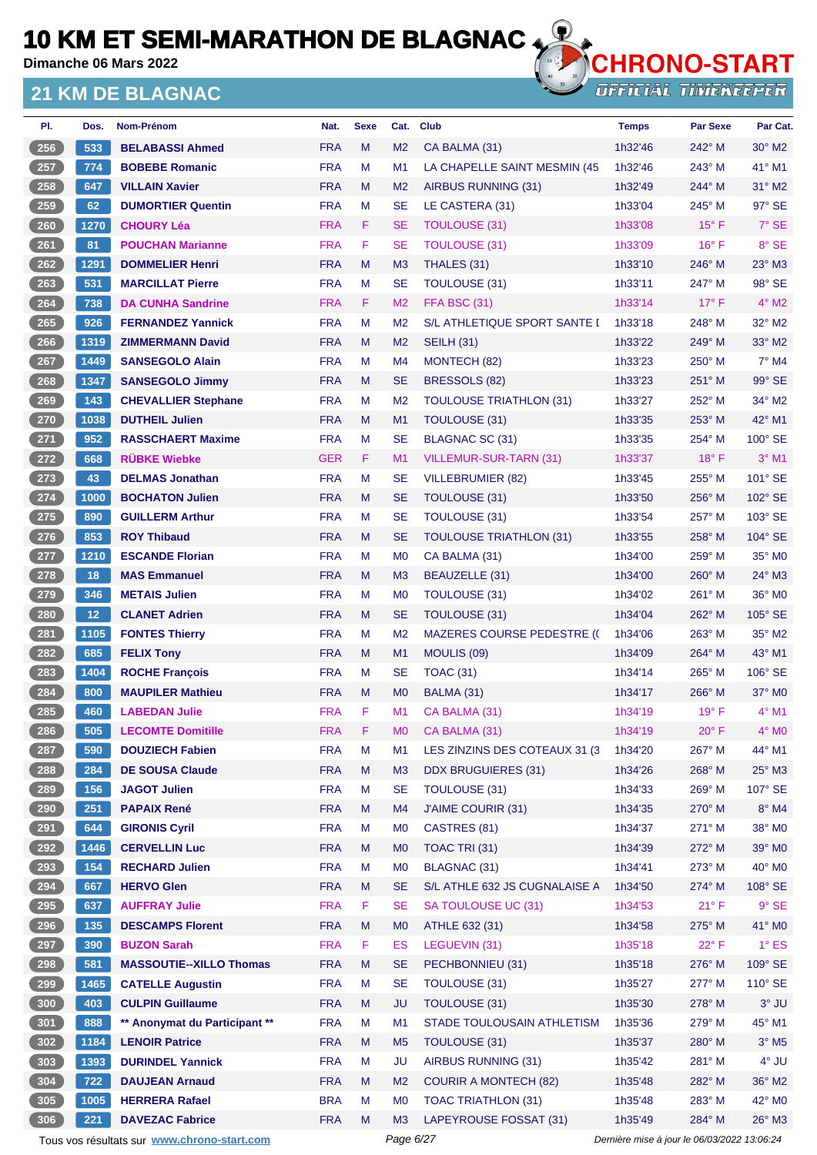**Dimanche 06 Mars 2022**

#### **21 KM DE BLAGNAC**



| PI.   | Dos.            | Nom-Prénom                     | Nat.       | <b>Sexe</b> | Cat.           | <b>Club</b>                       | <b>Temps</b> | <b>Par Sexe</b> | Par Cat.            |
|-------|-----------------|--------------------------------|------------|-------------|----------------|-----------------------------------|--------------|-----------------|---------------------|
| 256   | 533             | <b>BELABASSI Ahmed</b>         | <b>FRA</b> | M           | M <sub>2</sub> | CA BALMA (31)                     | 1h32'46      | $242^\circ$ M   | $30^\circ$ M2       |
| 257   | 774             | <b>BOBEBE Romanic</b>          | <b>FRA</b> | М           | M1             | LA CHAPELLE SAINT MESMIN (45      | 1h32'46      | 243° M          | 41° M1              |
| 258   | 647             | <b>VILLAIN Xavier</b>          | <b>FRA</b> | M           | M <sub>2</sub> | AIRBUS RUNNING (31)               | 1h32'49      | 244° M          | $31^\circ$ M2       |
| 259   | 62              | <b>DUMORTIER Quentin</b>       | <b>FRA</b> | M           | <b>SE</b>      | LE CASTERA (31)                   | 1h33'04      | $245^\circ$ M   | 97° SE              |
| 260   | 1270            | <b>CHOURY Léa</b>              | <b>FRA</b> | F           | <b>SE</b>      | <b>TOULOUSE (31)</b>              | 1h33'08      | $15^{\circ}$ F  | 7° SE               |
| 261   | 81              | <b>POUCHAN Marianne</b>        | <b>FRA</b> | F.          | <b>SE</b>      | <b>TOULOUSE (31)</b>              | 1h33'09      | $16^{\circ}$ F  | 8° SE               |
| 262   | 1291            | <b>DOMMELIER Henri</b>         | <b>FRA</b> | M           | M <sub>3</sub> | THALES (31)                       | 1h33'10      | 246° M          | 23° M3              |
| 263   | 531             | <b>MARCILLAT Pierre</b>        | <b>FRA</b> | М           | <b>SE</b>      | <b>TOULOUSE (31)</b>              | 1h33'11      | 247° M          | 98° SE              |
| 264   | 738             | <b>DA CUNHA Sandrine</b>       | <b>FRA</b> | F.          | M <sub>2</sub> | <b>FFA BSC (31)</b>               | 1h33'14      | $17^{\circ}$ F  | $4^\circ$ M2        |
| 265   | 926             | <b>FERNANDEZ Yannick</b>       | <b>FRA</b> | M           | M <sub>2</sub> | S/L ATHLETIQUE SPORT SANTE I      | 1h33'18      | $248^\circ$ M   | $32^\circ$ M2       |
| 266   | 1319            | <b>ZIMMERMANN David</b>        | <b>FRA</b> | M           | M <sub>2</sub> | <b>SEILH (31)</b>                 | 1h33'22      | $249^\circ$ M   | 33° M2              |
| 267   | 1449            | <b>SANSEGOLO Alain</b>         | <b>FRA</b> | М           | M <sub>4</sub> | MONTECH (82)                      | 1h33'23      | $250^\circ$ M   | $7^\circ$ M4        |
| 268   | 1347            | <b>SANSEGOLO Jimmy</b>         | <b>FRA</b> | M           | <b>SE</b>      | BRESSOLS (82)                     | 1h33'23      | $251^\circ$ M   | 99° SE              |
| 269   | 143             | <b>CHEVALLIER Stephane</b>     | <b>FRA</b> | М           | M <sub>2</sub> | <b>TOULOUSE TRIATHLON (31)</b>    | 1h33'27      | 252° M          | $34^\circ$ M2       |
| 270   | 1038            | <b>DUTHEIL Julien</b>          | <b>FRA</b> | M           | M <sub>1</sub> | <b>TOULOUSE (31)</b>              | 1h33'35      | $253^\circ$ M   | 42° M1              |
| $271$ | 952             | <b>RASSCHAERT Maxime</b>       | <b>FRA</b> | М           | <b>SE</b>      | <b>BLAGNAC SC (31)</b>            | 1h33'35      | $254^{\circ}$ M | 100° SE             |
| 272   | 668             | <b>RÜBKE Wiebke</b>            | <b>GER</b> | F.          | M1             | VILLEMUR-SUR-TARN (31)            | 1h33'37      | $18^{\circ}$ F  | $3°$ M1             |
| 273   | 43              | <b>DELMAS Jonathan</b>         | <b>FRA</b> | M           | <b>SE</b>      | <b>VILLEBRUMIER (82)</b>          | 1h33'45      | $255^{\circ}$ M | 101° SE             |
| $274$ | 1000            | <b>BOCHATON Julien</b>         | <b>FRA</b> | M           | <b>SE</b>      | <b>TOULOUSE (31)</b>              | 1h33'50      | $256^\circ$ M   | 102° SE             |
| $275$ | 890             | <b>GUILLERM Arthur</b>         | <b>FRA</b> | М           | <b>SE</b>      | <b>TOULOUSE (31)</b>              | 1h33'54      | $257^\circ$ M   | 103° SE             |
| 276   | 853             | <b>ROY Thibaud</b>             | <b>FRA</b> | M           | <b>SE</b>      | <b>TOULOUSE TRIATHLON (31)</b>    | 1h33'55      | $258^\circ$ M   | 104° SE             |
| 277   | 1210            | <b>ESCANDE Florian</b>         | <b>FRA</b> | M           | M <sub>0</sub> | CA BALMA (31)                     | 1h34'00      | $259^\circ$ M   | 35° MO              |
| 278   | 18              | <b>MAS Emmanuel</b>            | <b>FRA</b> | M           | M <sub>3</sub> | <b>BEAUZELLE (31)</b>             | 1h34'00      | $260^\circ$ M   | $24^\circ$ M3       |
| 279   | 346             | <b>METAIS Julien</b>           | <b>FRA</b> | М           | M <sub>0</sub> | <b>TOULOUSE (31)</b>              | 1h34'02      | $261^\circ$ M   | 36° MO              |
| 280   | 12 <sub>2</sub> | <b>CLANET Adrien</b>           | <b>FRA</b> | M           | <b>SE</b>      | TOULOUSE (31)                     | 1h34'04      | $262^\circ$ M   | $105^\circ$ SE      |
| 281   | 1105            | <b>FONTES Thierry</b>          | <b>FRA</b> | М           | M <sub>2</sub> | <b>MAZERES COURSE PEDESTRE (C</b> | 1h34'06      | $263^\circ$ M   | 35° M2              |
| 282   | 685             | <b>FELIX Tony</b>              | <b>FRA</b> | M           | M1             | MOULIS (09)                       | 1h34'09      | $264^\circ$ M   | 43° M1              |
| 283   | 1404            | <b>ROCHE François</b>          | <b>FRA</b> | М           | <b>SE</b>      | <b>TOAC (31)</b>                  | 1h34'14      | $265^\circ$ M   | 106° SE             |
| 284   | 800             | <b>MAUPILER Mathieu</b>        | <b>FRA</b> | M           | M <sub>0</sub> | BALMA (31)                        | 1h34'17      | 266° M          | $37^\circ$ MO       |
| 285   | 460             | <b>LABEDAN Julie</b>           | <b>FRA</b> | F           | M1             | CA BALMA (31)                     | 1h34'19      | $19^{\circ}$ F  | $4^\circ$ M1        |
| 286   | 505             | <b>LECOMTE Domitille</b>       | <b>FRA</b> | F           | M <sub>0</sub> | CA BALMA (31)                     | 1h34'19      | $20^{\circ}$ F  | $4^\circ$ MO        |
| 287   | 590             | <b>DOUZIECH Fabien</b>         | <b>FRA</b> | M           | M1             | LES ZINZINS DES COTEAUX 31 (3     | 1h34'20      | 267° M          | 44° M1              |
| 288   | 284             | <b>DE SOUSA Claude</b>         | <b>FRA</b> | ${\sf M}$   | M3             | <b>DDX BRUGUIERES (31)</b>        | 1h34'26      | 268° M          | $25^\circ$ M3       |
| 289   | 156             | <b>JAGOT Julien</b>            | <b>FRA</b> | М           | <b>SE</b>      | <b>TOULOUSE (31)</b>              | 1h34'33      | $269^\circ$ M   | 107° SE             |
| 290   | 251             | <b>PAPAIX René</b>             | <b>FRA</b> | M           | M4             | J'AIME COURIR (31)                | 1h34'35      | 270° M          | $8^{\circ}$ M4      |
| 291   | 644             | <b>GIRONIS Cyril</b>           | <b>FRA</b> | M           | M <sub>0</sub> | CASTRES (81)                      | 1h34'37      | 271° M          | 38° MO              |
| 292   | 1446            | <b>CERVELLIN Luc</b>           | <b>FRA</b> | M           | M <sub>0</sub> | TOAC TRI (31)                     | 1h34'39      | 272° M          | 39° M0              |
| 293   | 154             | <b>RECHARD Julien</b>          | <b>FRA</b> | M           | M <sub>0</sub> | BLAGNAC (31)                      | 1h34'41      | 273° M          | 40° MO              |
| 294   | 667             | <b>HERVO Glen</b>              | <b>FRA</b> | M           | <b>SE</b>      | S/L ATHLE 632 JS CUGNALAISE A     | 1h34'50      | 274° M          | 108° SE             |
| 295   | 637             | <b>AUFFRAY Julie</b>           | <b>FRA</b> | F           | <b>SE</b>      | SA TOULOUSE UC (31)               | 1h34'53      | $21^{\circ}$ F  | $9°$ SE             |
| $296$ | 135             | <b>DESCAMPS Florent</b>        | <b>FRA</b> | M           | M <sub>0</sub> | ATHLE 632 (31)                    | 1h34'58      | 275° M          | 41° MO              |
| 297   | 390             | <b>BUZON Sarah</b>             | <b>FRA</b> | F           | ES             | LEGUEVIN (31)                     | 1h35'18      | $22^{\circ}$ F  | $1^\circ$ ES        |
| 298   | 581             | <b>MASSOUTIE--XILLO Thomas</b> | <b>FRA</b> | M           | <b>SE</b>      | PECHBONNIEU (31)                  | 1h35'18      | 276° M          | 109° SE             |
| 299   | 1465            | <b>CATELLE Augustin</b>        | <b>FRA</b> | M           | <b>SE</b>      | <b>TOULOUSE (31)</b>              | 1h35'27      | 277° M          | 110° SE             |
| 300   | 403             | <b>CULPIN Guillaume</b>        | <b>FRA</b> | M           | <b>JU</b>      | <b>TOULOUSE (31)</b>              | 1h35'30      | $278^\circ$ M   | $3°$ JU             |
| 301   | 888             | ** Anonymat du Participant **  | <b>FRA</b> | M           | M1             | STADE TOULOUSAIN ATHLETISM        | 1h35'36      | 279° M          | 45° M1              |
| 302   | 1184            | <b>LENOIR Patrice</b>          | <b>FRA</b> | M           | M <sub>5</sub> | TOULOUSE (31)                     | 1h35'37      | 280° M          | $3°$ M <sub>5</sub> |
| 303   | 1393            | <b>DURINDEL Yannick</b>        | <b>FRA</b> | M           | <b>JU</b>      | AIRBUS RUNNING (31)               | 1h35'42      | 281° M          | 4° JU               |
| 304   | 722             | <b>DAUJEAN Arnaud</b>          | <b>FRA</b> | M           | M <sub>2</sub> | <b>COURIR A MONTECH (82)</b>      | 1h35'48      | 282° M          | 36° M2              |
| 305   | 1005            | <b>HERRERA Rafael</b>          | <b>BRA</b> | M           | M <sub>0</sub> | <b>TOAC TRIATHLON (31)</b>        | 1h35'48      | 283° M          | 42° M0              |
| 306   | 221             | <b>DAVEZAC Fabrice</b>         | <b>FRA</b> | M           | M <sub>3</sub> | LAPEYROUSE FOSSAT (31)            | 1h35'49      | 284° M          | $26^\circ$ M3       |
|       |                 |                                |            |             |                |                                   |              |                 |                     |

Tous vos résultats sur **[www.chrono-start.com](https://www.chrono-start.com/)** Page 6/27 Page 6/27 Dernière mise à jour le 06/03/2022 13:06:24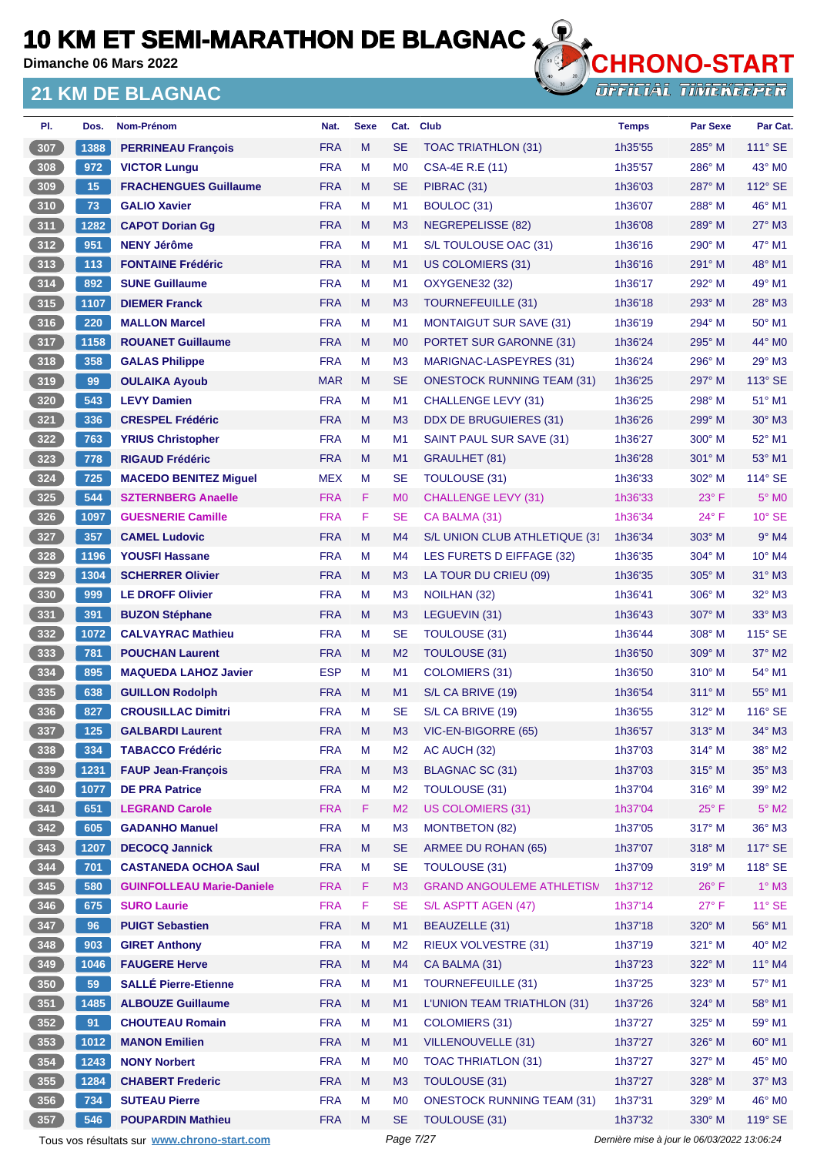**Dimanche 06 Mars 2022**

#### **21 KM DE BLAGNAC**



| PI.   | Dos. | Nom-Prénom                                  | Nat.       | <b>Sexe</b> | Cat.           | <b>Club</b>                       | <b>Temps</b>                                | <b>Par Sexe</b> | Par Cat.          |
|-------|------|---------------------------------------------|------------|-------------|----------------|-----------------------------------|---------------------------------------------|-----------------|-------------------|
| 307   | 1388 | <b>PERRINEAU François</b>                   | <b>FRA</b> | M           | <b>SE</b>      | <b>TOAC TRIATHLON (31)</b>        | 1h35'55                                     | $285^\circ$ M   | $111^\circ$ SE    |
| 308   | 972  | <b>VICTOR Lungu</b>                         | <b>FRA</b> | M           | M <sub>0</sub> | <b>CSA-4E R.E (11)</b>            | 1h35'57                                     | 286° M          | 43° MO            |
| 309   | 15   | <b>FRACHENGUES Guillaume</b>                | <b>FRA</b> | M           | <b>SE</b>      | PIBRAC (31)                       | 1h36'03                                     | $287^\circ$ M   | 112° SE           |
| 310   | 73   | <b>GALIO Xavier</b>                         | <b>FRA</b> | M           | M <sub>1</sub> | BOULOC (31)                       | 1h36'07                                     | 288° M          | 46° M1            |
| 311   | 1282 | <b>CAPOT Dorian Gg</b>                      | <b>FRA</b> | M           | M <sub>3</sub> | NEGREPELISSE (82)                 | 1h36'08                                     | $289^\circ$ M   | 27° M3            |
| 312   | 951  | <b>NENY Jérôme</b>                          | <b>FRA</b> | M           | M <sub>1</sub> | S/L TOULOUSE OAC (31)             | 1h36'16                                     | $290^\circ$ M   | 47° M1            |
| $313$ | 113  | <b>FONTAINE Frédéric</b>                    | <b>FRA</b> | M           | M1             | <b>US COLOMIERS (31)</b>          | 1h36'16                                     | $291^\circ$ M   | 48° M1            |
| $314$ | 892  | <b>SUNE Guillaume</b>                       | <b>FRA</b> | M           | M <sub>1</sub> | <b>OXYGENE32 (32)</b>             | 1h36'17                                     | 292° M          | 49° M1            |
| 315   | 1107 | <b>DIEMER Franck</b>                        | <b>FRA</b> | M           | M <sub>3</sub> | TOURNEFEUILLE (31)                | 1h36'18                                     | $293^\circ$ M   | 28° M3            |
| 316   | 220  | <b>MALLON Marcel</b>                        | <b>FRA</b> | M           | M <sub>1</sub> | <b>MONTAIGUT SUR SAVE (31)</b>    | 1h36'19                                     | $294^\circ$ M   | 50° M1            |
| 317   | 1158 | <b>ROUANET Guillaume</b>                    | <b>FRA</b> | M           | M <sub>0</sub> | PORTET SUR GARONNE (31)           | 1h36'24                                     | 295° M          | 44° MO            |
| 318   | 358  | <b>GALAS Philippe</b>                       | <b>FRA</b> | M           | M <sub>3</sub> | MARIGNAC-LASPEYRES (31)           | 1h36'24                                     | $296^\circ$ M   | 29° M3            |
| 319   | 99   | <b>OULAIKA Ayoub</b>                        | <b>MAR</b> | M           | <b>SE</b>      | <b>ONESTOCK RUNNING TEAM (31)</b> | 1h36'25                                     | $297^\circ$ M   | 113° SE           |
| 320   | 543  | <b>LEVY Damien</b>                          | <b>FRA</b> | M           | M <sub>1</sub> | CHALLENGE LEVY (31)               | 1h36'25                                     | $298^\circ$ M   | $51^\circ$ M1     |
| 321   | 336  | <b>CRESPEL Frédéric</b>                     | <b>FRA</b> | M           | M <sub>3</sub> | DDX DE BRUGUIERES (31)            | 1h36'26                                     | 299° M          | $30^\circ$ M3     |
| 322   | 763  | <b>YRIUS Christopher</b>                    | <b>FRA</b> | M           | M <sub>1</sub> | SAINT PAUL SUR SAVE (31)          | 1h36'27                                     | $300^\circ$ M   | 52° M1            |
| 323   | 778  | <b>RIGAUD Frédéric</b>                      | <b>FRA</b> | M           | M1             | GRAULHET (81)                     | 1h36'28                                     | $301^\circ$ M   | 53° M1            |
| 324   | 725  | <b>MACEDO BENITEZ Miguel</b>                | <b>MEX</b> | M           | <b>SE</b>      | TOULOUSE (31)                     | 1h36'33                                     | $302^\circ$ M   | 114° SE           |
| 325   | 544  | <b>SZTERNBERG Anaelle</b>                   | <b>FRA</b> | F           | M <sub>0</sub> | <b>CHALLENGE LEVY (31)</b>        | 1h36'33                                     | $23^\circ$ F    | 5° M <sub>0</sub> |
| 326   | 1097 | <b>GUESNERIE Camille</b>                    | <b>FRA</b> | F           | <b>SE</b>      | CA BALMA (31)                     | 1h36'34                                     | 24° F           | $10^{\circ}$ SE   |
| 327   | 357  | <b>CAMEL Ludovic</b>                        | <b>FRA</b> | M           | M4             | S/L UNION CLUB ATHLETIQUE (31     | 1h36'34                                     | $303^\circ$ M   | $9°$ M4           |
| 328   | 1196 | <b>YOUSFI Hassane</b>                       | <b>FRA</b> | M           | M4             | LES FURETS D EIFFAGE (32)         | 1h36'35                                     | 304° M          | 10° M4            |
| 329   | 1304 | <b>SCHERRER Olivier</b>                     | <b>FRA</b> | M           | M <sub>3</sub> | LA TOUR DU CRIEU (09)             | 1h36'35                                     | $305^\circ$ M   | 31° M3            |
| 330   | 999  | <b>LE DROFF Olivier</b>                     | <b>FRA</b> | M           | M <sub>3</sub> | NOILHAN (32)                      | 1h36'41                                     | 306° M          | 32° M3            |
| $331$ | 391  | <b>BUZON Stéphane</b>                       | <b>FRA</b> | M           | M <sub>3</sub> | LEGUEVIN (31)                     | 1h36'43                                     | 307° M          | $33^\circ$ M3     |
| 332   | 1072 | <b>CALVAYRAC Mathieu</b>                    | <b>FRA</b> | M           | <b>SE</b>      | <b>TOULOUSE (31)</b>              | 1h36'44                                     | 308° M          | $115^\circ$ SE    |
| 333   | 781  | <b>POUCHAN Laurent</b>                      | <b>FRA</b> | M           | M <sub>2</sub> | TOULOUSE (31)                     | 1h36'50                                     | $309^\circ$ M   | 37° M2            |
| 334   | 895  | <b>MAQUEDA LAHOZ Javier</b>                 | <b>ESP</b> | M           | M <sub>1</sub> | <b>COLOMIERS (31)</b>             | 1h36'50                                     | $310^\circ$ M   | 54° M1            |
| 335   | 638  | <b>GUILLON Rodolph</b>                      | <b>FRA</b> | M           | M1             | S/L CA BRIVE (19)                 | 1h36'54                                     | $311^\circ$ M   | 55° M1            |
| 336   | 827  | <b>CROUSILLAC Dimitri</b>                   | <b>FRA</b> | M           | <b>SE</b>      | S/L CA BRIVE (19)                 | 1h36'55                                     | $312^\circ$ M   | 116° SE           |
| 337   | 125  | <b>GALBARDI Laurent</b>                     | <b>FRA</b> | M           | M <sub>3</sub> | VIC-EN-BIGORRE (65)               | 1h36'57                                     | $313^\circ$ M   | 34° M3            |
| 338   | 334  | <b>TABACCO Frédéric</b>                     | <b>FRA</b> | M           | M <sub>2</sub> | AC AUCH (32)                      | 1h37'03                                     | $314^\circ$ M   | 38° M2            |
| 339   | 1231 | <b>FAUP Jean-François</b>                   | <b>FRA</b> | M           | M3             | <b>BLAGNAC SC (31)</b>            | 1h37'03                                     | 315° M          | 35° M3            |
| 340   | 1077 | <b>DE PRA Patrice</b>                       | <b>FRA</b> | M           | M <sub>2</sub> | TOULOUSE (31)                     | 1h37'04                                     | $316^\circ$ M   | 39° M2            |
| 341   | 651  | <b>LEGRAND Carole</b>                       | <b>FRA</b> | F           | M <sub>2</sub> | <b>US COLOMIERS (31)</b>          | 1h37'04                                     | $25^{\circ}$ F  | $5^\circ$ M2      |
| 342   | 605  | <b>GADANHO Manuel</b>                       | <b>FRA</b> | M           | M <sub>3</sub> | <b>MONTBETON (82)</b>             | 1h37'05                                     | 317° M          | 36° M3            |
| 343   | 1207 | <b>DECOCQ Jannick</b>                       | <b>FRA</b> | M           | <b>SE</b>      | ARMEE DU ROHAN (65)               | 1h37'07                                     | 318° M          | 117° SE           |
| 344   | 701  | <b>CASTANEDA OCHOA Saul</b>                 | <b>FRA</b> | M           | <b>SE</b>      | TOULOUSE (31)                     | 1h37'09                                     | 319° M          | $118^\circ$ SE    |
| 345   | 580  | <b>GUINFOLLEAU Marie-Daniele</b>            | <b>FRA</b> | F           | M <sub>3</sub> | <b>GRAND ANGOULEME ATHLETISM</b>  | 1h37'12                                     | $26^{\circ}$ F  | $1^\circ$ M3      |
| 346   | 675  | <b>SURO Laurie</b>                          | <b>FRA</b> | F           | <b>SE</b>      | S/L ASPTT AGEN (47)               | 1h37'14                                     | $27^\circ$ F    | $11^{\circ}$ SE   |
| 347   | 96   | <b>PUIGT Sebastien</b>                      | <b>FRA</b> | M           | M1             | BEAUZELLE (31)                    | 1h37'18                                     | 320° M          | 56° M1            |
| 348   | 903  | <b>GIRET Anthony</b>                        | <b>FRA</b> | M           | M <sub>2</sub> | <b>RIEUX VOLVESTRE (31)</b>       | 1h37'19                                     | 321° M          | 40° M2            |
| 349   | 1046 | <b>FAUGERE Herve</b>                        | <b>FRA</b> | M           | M4             | CA BALMA (31)                     | 1h37'23                                     | 322° M          | $11^{\circ}$ M4   |
| 350   | 59   | <b>SALLÉ Pierre-Etienne</b>                 | <b>FRA</b> | M           | M1             | <b>TOURNEFEUILLE (31)</b>         | 1h37'25                                     | 323° M          | 57° M1            |
|       |      |                                             |            |             |                |                                   |                                             |                 |                   |
| 351   | 1485 | <b>ALBOUZE Guillaume</b>                    | <b>FRA</b> | M           | M1             | L'UNION TEAM TRIATHLON (31)       | 1h37'26                                     | 324° M          | 58° M1            |
| 352   | 91   | <b>CHOUTEAU Romain</b>                      | <b>FRA</b> | M           | M <sub>1</sub> | <b>COLOMIERS (31)</b>             | 1h37'27                                     | 325° M          | 59° M1            |
| 353   | 1012 | <b>MANON Emilien</b>                        | <b>FRA</b> | M           | M1             | <b>VILLENOUVELLE (31)</b>         | 1h37'27                                     | 326° M          | 60° M1            |
| 354   | 1243 | <b>NONY Norbert</b>                         | <b>FRA</b> | M           | M <sub>0</sub> | <b>TOAC THRIATLON (31)</b>        | 1h37'27                                     | 327° M          | 45° MO            |
| 355   | 1284 | <b>CHABERT Frederic</b>                     | <b>FRA</b> | M           | M <sub>3</sub> | <b>TOULOUSE (31)</b>              | 1h37'27                                     | 328° M          | 37° M3            |
| 356   | 734  | <b>SUTEAU Pierre</b>                        | <b>FRA</b> | M           | M <sub>0</sub> | <b>ONESTOCK RUNNING TEAM (31)</b> | 1h37'31                                     | 329° M          | 46° MO            |
| 357   | 546  | <b>POUPARDIN Mathieu</b>                    | <b>FRA</b> | M           | <b>SE</b>      | TOULOUSE (31)                     | 1h37'32                                     | 330° M          | 119° SE           |
|       |      | Tous vos résultats sur www.chrono-start.com |            |             | Page 7/27      |                                   | Dernière mise à jour le 06/03/2022 13:06:24 |                 |                   |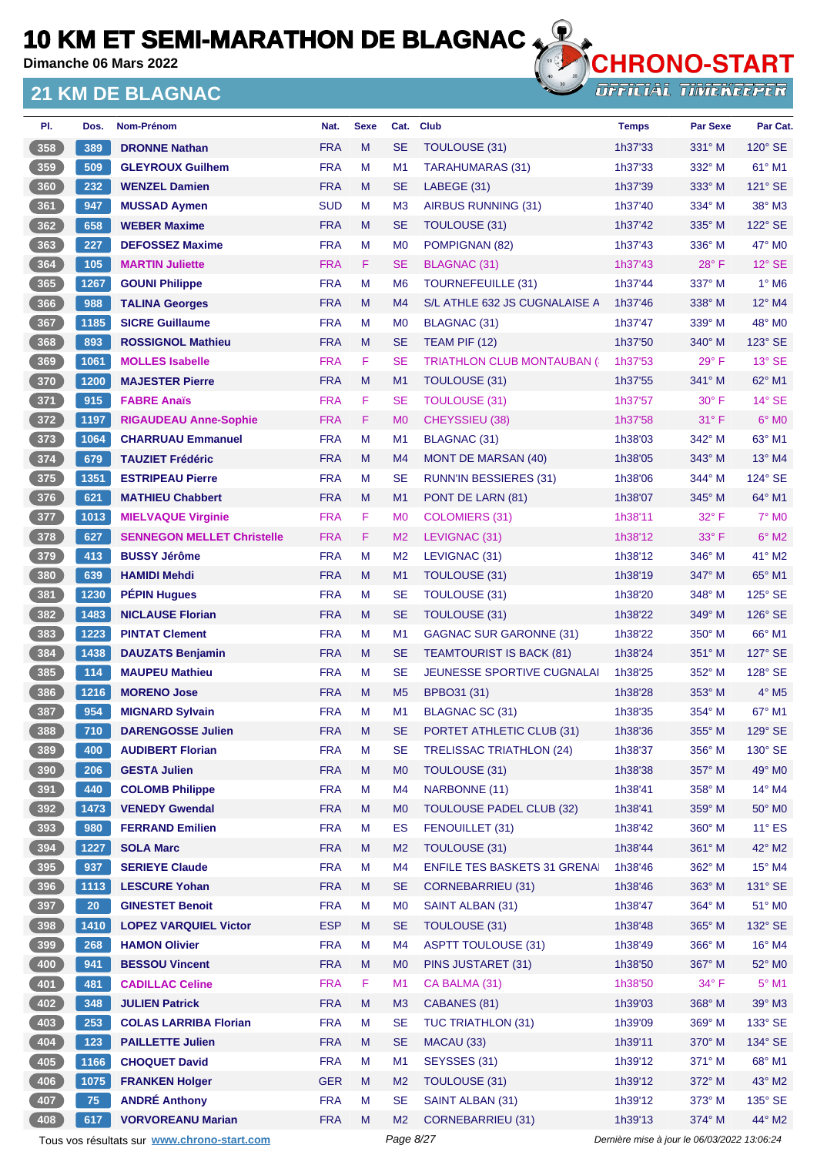**Dimanche 06 Mars 2022**

#### **21 KM DE BLAGNAC**



| PI.   | Dos.            | Nom-Prénom                                  | Nat.       | <b>Sexe</b> | Cat.           | <b>Club</b>                         | <b>Temps</b>                                | <b>Par Sexe</b> | Par Cat.                 |
|-------|-----------------|---------------------------------------------|------------|-------------|----------------|-------------------------------------|---------------------------------------------|-----------------|--------------------------|
| 358   | 389             | <b>DRONNE Nathan</b>                        | <b>FRA</b> | M           | <b>SE</b>      | TOULOUSE (31)                       | 1h37'33                                     | $331^\circ$ M   | $120^\circ$ SE           |
| 359   | 509             | <b>GLEYROUX Guilhem</b>                     | <b>FRA</b> | M           | M1             | <b>TARAHUMARAS (31)</b>             | 1h37'33                                     | 332° M          | 61° M1                   |
| 360   | 232             | <b>WENZEL Damien</b>                        | <b>FRA</b> | M           | <b>SE</b>      | LABEGE (31)                         | 1h37'39                                     | 333° M          | $121^\circ$ SE           |
| 361   | 947             | <b>MUSSAD Aymen</b>                         | <b>SUD</b> | M           | M <sub>3</sub> | <b>AIRBUS RUNNING (31)</b>          | 1h37'40                                     | $334^\circ$ M   | 38° M3                   |
| 362   | 658             | <b>WEBER Maxime</b>                         | <b>FRA</b> | M           | <b>SE</b>      | TOULOUSE (31)                       | 1h37'42                                     | 335° M          | 122° SE                  |
| 363   | 227             | <b>DEFOSSEZ Maxime</b>                      | <b>FRA</b> | M           | M <sub>0</sub> | POMPIGNAN (82)                      | 1h37'43                                     | $336^\circ$ M   | 47° MO                   |
| 364   | 105             | <b>MARTIN Juliette</b>                      | <b>FRA</b> | F.          | <b>SE</b>      | <b>BLAGNAC (31)</b>                 | 1h37'43                                     | $28^{\circ}$ F  | $12^{\circ}$ SE          |
| 365   | 1267            | <b>GOUNI Philippe</b>                       | <b>FRA</b> | М           | M <sub>6</sub> | <b>TOURNEFEUILLE (31)</b>           | 1h37'44                                     | 337° M          | $1^\circ$ M6             |
| 366   | 988             | <b>TALINA Georges</b>                       | <b>FRA</b> | M           | M <sub>4</sub> | S/L ATHLE 632 JS CUGNALAISE A       | 1h37'46                                     | 338° M          | 12° M4                   |
| 367   | 1185            | <b>SICRE Guillaume</b>                      | <b>FRA</b> | M           | M <sub>0</sub> | BLAGNAC (31)                        | 1h37'47                                     | $339^\circ$ M   | 48° MO                   |
| 368   | 893             | <b>ROSSIGNOL Mathieu</b>                    | <b>FRA</b> | M           | <b>SE</b>      | TEAM PIF (12)                       | 1h37'50                                     | $340^\circ$ M   | 123° SE                  |
| 369   | 1061            | <b>MOLLES Isabelle</b>                      | <b>FRA</b> | F           | <b>SE</b>      | <b>TRIATHLON CLUB MONTAUBAN (6)</b> | 1h37'53                                     | $29^{\circ}$ F  | $13°$ SE                 |
| 370   | 1200            | <b>MAJESTER Pierre</b>                      | <b>FRA</b> | M           | M <sub>1</sub> | TOULOUSE (31)                       | 1h37'55                                     | $341^\circ$ M   | 62° M1                   |
| $371$ | 915             | <b>FABRE Anaïs</b>                          | <b>FRA</b> | F           | <b>SE</b>      | <b>TOULOUSE (31)</b>                | 1h37'57                                     | $30^\circ$ F    | $14^\circ$ SE            |
| 372   | 1197            | <b>RIGAUDEAU Anne-Sophie</b>                | <b>FRA</b> | F.          | M <sub>0</sub> | CHEYSSIEU (38)                      | 1h37'58                                     | $31^\circ$ F    | $6°$ MO                  |
| $373$ | 1064            | <b>CHARRUAU Emmanuel</b>                    | <b>FRA</b> | M           | M <sub>1</sub> | <b>BLAGNAC (31)</b>                 | 1h38'03                                     | $342^\circ$ M   | 63° M1                   |
| 374   | 679             | <b>TAUZIET Frédéric</b>                     | <b>FRA</b> | M           | M4             | <b>MONT DE MARSAN (40)</b>          | 1h38'05                                     | 343° M          | $13^\circ$ M4            |
| 375   | 1351            | <b>ESTRIPEAU Pierre</b>                     | <b>FRA</b> | М           | <b>SE</b>      | <b>RUNN'IN BESSIERES (31)</b>       | 1h38'06                                     | $344^\circ$ M   | 124° SE                  |
| 376   | 621             | <b>MATHIEU Chabbert</b>                     | <b>FRA</b> | M           | M1             | PONT DE LARN (81)                   | 1h38'07                                     | 345° M          | $64^{\circ}$ M1          |
| 377   | 1013            | <b>MIELVAQUE Virginie</b>                   | <b>FRA</b> | F           | M <sub>0</sub> | <b>COLOMIERS (31)</b>               | 1h38'11                                     | $32^{\circ}$ F  | <b>7° MO</b>             |
| 378   | 627             | <b>SENNEGON MELLET Christelle</b>           | <b>FRA</b> | F           | M <sub>2</sub> | LEVIGNAC (31)                       | 1h38'12                                     | $33^\circ$ F    | $6^\circ$ M2             |
| 379   | 413             | <b>BUSSY Jérôme</b>                         | <b>FRA</b> | M           | M <sub>2</sub> | LEVIGNAC (31)                       | 1h38'12                                     | 346° M          | $41^\circ$ M2            |
| 380   | 639             | <b>HAMIDI Mehdi</b>                         | <b>FRA</b> | M           | M1             | <b>TOULOUSE (31)</b>                | 1h38'19                                     | $347^\circ$ M   | 65° M1                   |
| 381   | 1230            | <b>PÉPIN Hugues</b>                         | <b>FRA</b> | M           | <b>SE</b>      | <b>TOULOUSE (31)</b>                | 1h38'20                                     | $348^\circ$ M   | 125° SE                  |
| 382   | 1483            | <b>NICLAUSE Florian</b>                     | <b>FRA</b> | M           | <b>SE</b>      | <b>TOULOUSE (31)</b>                | 1h38'22                                     | $349^\circ$ M   | $126^\circ$ SE           |
| 383   | 1223            | <b>PINTAT Clement</b>                       | <b>FRA</b> | М           | M <sub>1</sub> | <b>GAGNAC SUR GARONNE (31)</b>      | 1h38'22                                     | $350^\circ$ M   | 66° M1                   |
| 384   | 1438            | <b>DAUZATS Benjamin</b>                     | <b>FRA</b> | M           | <b>SE</b>      | <b>TEAMTOURIST IS BACK (81)</b>     | 1h38'24                                     | 351° M          | 127° SE                  |
| 385   | 114             | <b>MAUPEU Mathieu</b>                       | <b>FRA</b> | М           | <b>SE</b>      | <b>JEUNESSE SPORTIVE CUGNALAI</b>   | 1h38'25                                     | 352° M          | $128^\circ$ SE           |
| 386   | 1216            | <b>MORENO Jose</b>                          | <b>FRA</b> | M           | M <sub>5</sub> | BPBO31 (31)                         | 1h38'28                                     | 353° M          | $4^\circ$ M <sub>5</sub> |
| 387   | 954             | <b>MIGNARD Sylvain</b>                      | <b>FRA</b> | М           | M <sub>1</sub> | BLAGNAC SC (31)                     | 1h38'35                                     | 354° M          | $67^\circ$ M1            |
| 388   | 710             | <b>DARENGOSSE Julien</b>                    | <b>FRA</b> | M           | <b>SE</b>      | PORTET ATHLETIC CLUB (31)           | 1h38'36                                     | 355° M          | 129° SE                  |
| 389   | 400             | <b>AUDIBERT Florian</b>                     | <b>FRA</b> | M           | SE             | <b>TRELISSAC TRIATHLON (24)</b>     | 1h38'37                                     | 356° M          | 130° SE                  |
| 390   | 206             | <b>GESTA Julien</b>                         | <b>FRA</b> | M           | M <sub>0</sub> | TOULOUSE (31)                       | 1h38'38                                     | 357° M          | 49° MO                   |
| 391   | 440             | <b>COLOMB Philippe</b>                      | <b>FRA</b> | М           | M <sub>4</sub> | NARBONNE (11)                       | 1h38'41                                     | $358^\circ$ M   | $14^{\circ}$ M4          |
| 392   | 1473            | <b>VENEDY Gwendal</b>                       | <b>FRA</b> | M           | M <sub>0</sub> | <b>TOULOUSE PADEL CLUB (32)</b>     | 1h38'41                                     | 359° M          | $50^\circ$ MO            |
| $393$ | 980             | <b>FERRAND Emilien</b>                      | <b>FRA</b> | M           | ES             | FENOUILLET (31)                     | 1h38'42                                     | 360° M          | $11^{\circ}$ ES          |
| 394   | 1227            | <b>SOLA Marc</b>                            | <b>FRA</b> | M           | M <sub>2</sub> | <b>TOULOUSE (31)</b>                | 1h38'44                                     | 361° M          | 42° M2                   |
| $395$ | 937             | <b>SERIEYE Claude</b>                       | <b>FRA</b> | M           | M4             | <b>ENFILE TES BASKETS 31 GRENAI</b> | 1h38'46                                     | 362° M          | $15^{\circ}$ M4          |
| $396$ | 1113            | <b>LESCURE Yohan</b>                        | <b>FRA</b> | M           | <b>SE</b>      | <b>CORNEBARRIEU (31)</b>            | 1h38'46                                     | 363° M          | 131° SE                  |
| 397   | 20 <sub>2</sub> | <b>GINESTET Benoit</b>                      | <b>FRA</b> | M           | M <sub>0</sub> | SAINT ALBAN (31)                    | 1h38'47                                     | $364^\circ$ M   | 51° MO                   |
| 398   | 1410            | <b>LOPEZ VARQUIEL Victor</b>                | <b>ESP</b> | M           | <b>SE</b>      | TOULOUSE (31)                       | 1h38'48                                     | 365° M          | 132° SE                  |
| $399$ | 268             | <b>HAMON Olivier</b>                        | <b>FRA</b> | M           | M <sub>4</sub> | <b>ASPTT TOULOUSE (31)</b>          | 1h38'49                                     | 366° M          | 16° M4                   |
| 400   | 941             | <b>BESSOU Vincent</b>                       | <b>FRA</b> | M           | M <sub>0</sub> | PINS JUSTARET (31)                  | 1h38'50                                     | 367° M          | 52° MO                   |
| 401   | 481             | <b>CADILLAC Celine</b>                      | <b>FRA</b> | F           | M1             | CA BALMA (31)                       | 1h38'50                                     | 34° F           | $5^\circ$ M1             |
| 402   | 348             | <b>JULIEN Patrick</b>                       | <b>FRA</b> | M           | M <sub>3</sub> | CABANES (81)                        | 1h39'03                                     | 368° M          | 39° M3                   |
| 403   | 253             | <b>COLAS LARRIBA Florian</b>                | <b>FRA</b> | M           | <b>SE</b>      | <b>TUC TRIATHLON (31)</b>           | 1h39'09                                     | 369° M          | 133° SE                  |
| 404   | 123             | <b>PAILLETTE Julien</b>                     | <b>FRA</b> | Μ           | <b>SE</b>      | MACAU (33)                          | 1h39'11                                     | $370^\circ$ M   | 134° SE                  |
| 405   | 1166            | <b>CHOQUET David</b>                        | <b>FRA</b> | M           | M1             | SEYSSES (31)                        | 1h39'12                                     | 371° M          | 68° M1                   |
| 406   | 1075            | <b>FRANKEN Holger</b>                       | <b>GER</b> | M           | M <sub>2</sub> | <b>TOULOUSE (31)</b>                | 1h39'12                                     | 372° M          | 43° M2                   |
| 407   | 75              | <b>ANDRÉ Anthony</b>                        | <b>FRA</b> | M           | <b>SE</b>      | SAINT ALBAN (31)                    | 1h39'12                                     | 373° M          | 135° SE                  |
| 408   | 617             | <b>VORVOREANU Marian</b>                    | <b>FRA</b> | M           | M <sub>2</sub> | <b>CORNEBARRIEU (31)</b>            | 1h39'13                                     | 374° M          | 44° M2                   |
|       |                 | Tous vos résultats sur www.chrono-start.com |            |             | Page 8/27      |                                     | Dernière mise à jour le 06/03/2022 13:06:24 |                 |                          |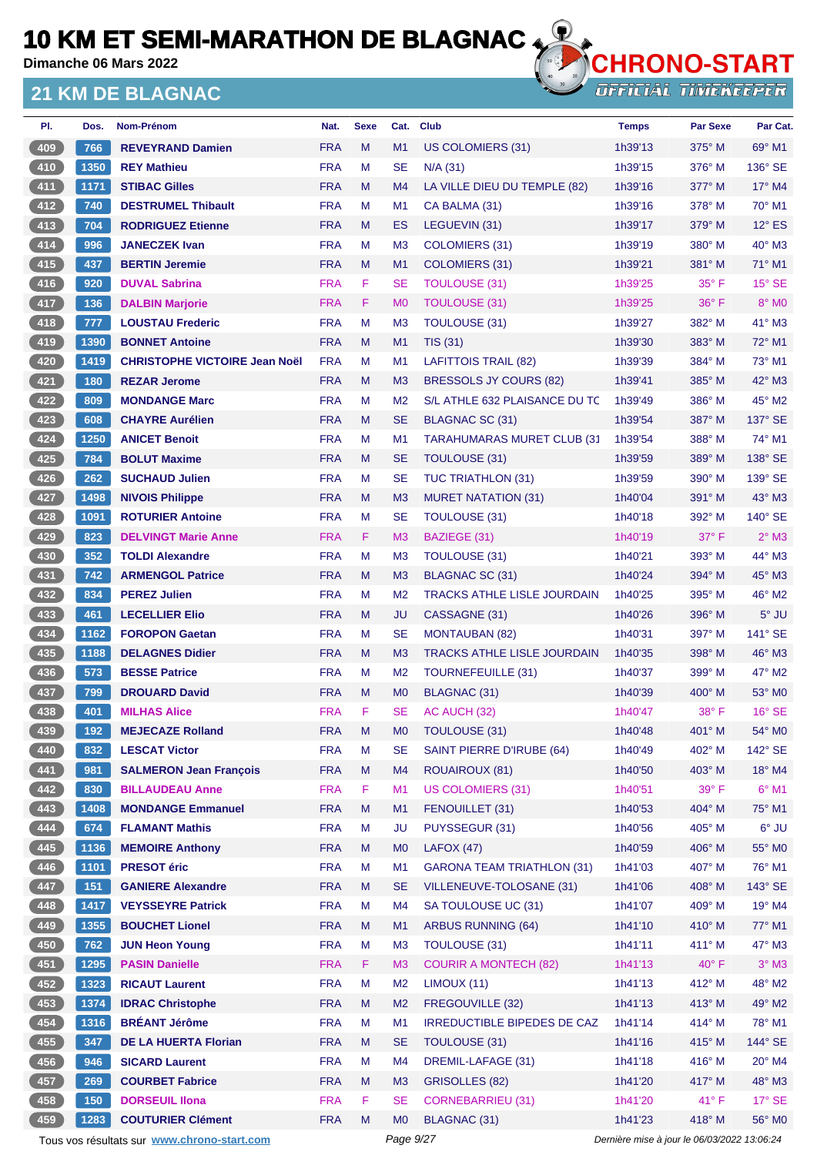**Dimanche 06 Mars 2022**

#### **21 KM DE BLAGNAC**



**OFFICIAL TIMEKEEPER** 

| PI.        | Dos.        | Nom-Prénom                                           | Nat.                     | <b>Sexe</b> | Cat.                             | <b>Club</b>                                      | <b>Temps</b>       | <b>Par Sexe</b>    | Par Cat.         |
|------------|-------------|------------------------------------------------------|--------------------------|-------------|----------------------------------|--------------------------------------------------|--------------------|--------------------|------------------|
| 409        | 766         | <b>REVEYRAND Damien</b>                              | <b>FRA</b>               | M           | M1                               | US COLOMIERS (31)                                | 1h39'13            | $375^\circ$ M      | $69^\circ$ M1    |
| $410$      | 1350        | <b>REY Mathieu</b>                                   | <b>FRA</b>               | M           | <b>SE</b>                        | $N/A$ (31)                                       | 1h39'15            | 376° M             | 136° SE          |
| $411$      | 1171        | <b>STIBAC Gilles</b>                                 | <b>FRA</b>               | M           | M4                               | LA VILLE DIEU DU TEMPLE (82)                     | 1h39'16            | 377° M             | $17^\circ$ M4    |
| $412$      | 740         | <b>DESTRUMEL Thibault</b>                            | <b>FRA</b>               | М           | M <sub>1</sub>                   | CA BALMA (31)                                    | 1h39'16            | $378^\circ$ M      | 70° M1           |
| 413        | 704         | <b>RODRIGUEZ Etienne</b>                             | <b>FRA</b>               | M           | ES                               | LEGUEVIN (31)                                    | 1h39'17            | $379^\circ$ M      | $12^\circ$ ES    |
| $414$      | 996         | <b>JANECZEK Ivan</b>                                 | <b>FRA</b>               | м           | M <sub>3</sub>                   | <b>COLOMIERS (31)</b>                            | 1h39'19            | $380^\circ$ M      | 40° M3           |
| 415        | 437         | <b>BERTIN Jeremie</b>                                | <b>FRA</b>               | M           | M1                               | <b>COLOMIERS (31)</b>                            | 1h39'21            | $381^\circ$ M      | $71^\circ$ M1    |
| $416$      | 920         | <b>DUVAL Sabrina</b>                                 | <b>FRA</b>               | F           | <b>SE</b>                        | <b>TOULOUSE (31)</b>                             | 1h39'25            | $35^{\circ}$ F     | $15^\circ$ SE    |
| 417        | 136         | <b>DALBIN Marjorie</b>                               | <b>FRA</b>               | F           | M <sub>0</sub>                   | <b>TOULOUSE (31)</b>                             | 1h39'25            | $36^{\circ}$ F     | 8° MO            |
| 418        | 777         | <b>LOUSTAU Frederic</b>                              | <b>FRA</b>               | M           | M <sub>3</sub>                   | <b>TOULOUSE (31)</b>                             | 1h39'27            | $382^\circ$ M      | $41^\circ$ M3    |
| (419       | 1390        | <b>BONNET Antoine</b>                                | <b>FRA</b>               | M           | M1                               | <b>TIS (31)</b>                                  | 1h39'30            | $383^\circ$ M      | $72^\circ$ M1    |
| 420        | 1419        | <b>CHRISTOPHE VICTOIRE Jean Noël</b>                 | <b>FRA</b>               | М           | M <sub>1</sub>                   | <b>LAFITTOIS TRAIL (82)</b>                      | 1h39'39            | $384^\circ$ M      | $73^\circ$ M1    |
| $421$      | 180         | <b>REZAR Jerome</b>                                  | <b>FRA</b>               | M           | M <sub>3</sub>                   | <b>BRESSOLS JY COURS (82)</b>                    | 1h39'41            | $385^\circ$ M      | $42^{\circ}$ M3  |
| 422        | 809         | <b>MONDANGE Marc</b>                                 | <b>FRA</b>               | м           | M <sub>2</sub>                   | S/L ATHLE 632 PLAISANCE DU TC                    | 1h39'49            | $386^\circ$ M      | 45° M2           |
| $423$      | 608         | <b>CHAYRE Aurélien</b>                               | <b>FRA</b>               | M           | <b>SE</b>                        | BLAGNAC SC (31)                                  | 1h39'54            | 387° M             | 137° SE          |
| 424        | 1250        | <b>ANICET Benoit</b>                                 | <b>FRA</b>               | м           | M <sub>1</sub>                   | <b>TARAHUMARAS MURET CLUB (31)</b>               | 1h39'54            | $388^\circ$ M      | 74° M1           |
| 425        | 784         | <b>BOLUT Maxime</b>                                  | <b>FRA</b>               | M           | <b>SE</b>                        | <b>TOULOUSE (31)</b>                             | 1h39'59            | $389^\circ$ M      | 138° SE          |
| 426        | 262         | <b>SUCHAUD Julien</b>                                | <b>FRA</b>               | M           | <b>SE</b>                        | <b>TUC TRIATHLON (31)</b>                        | 1h39'59            | $390^\circ$ M      | $139^\circ$ SE   |
| 427        | 1498        | <b>NIVOIS Philippe</b>                               | <b>FRA</b>               | M           | M <sub>3</sub>                   | <b>MURET NATATION (31)</b>                       | 1h40'04            | $391^\circ$ M      | $43^\circ$ M3    |
| 428        | 1091        | <b>ROTURIER Antoine</b>                              | <b>FRA</b>               | М           | <b>SE</b>                        | TOULOUSE (31)                                    | 1h40'18            | 392° M             | 140° SE          |
| 429        | 823         | <b>DELVINGT Marie Anne</b>                           | <b>FRA</b>               | F.          | M3                               | BAZIEGE (31)                                     | 1h40'19            | $37^\circ$ F       | $2°$ M3          |
| $430$      | 352         | <b>TOLDI Alexandre</b>                               | <b>FRA</b>               | M           | M <sub>3</sub>                   | <b>TOULOUSE (31)</b>                             | 1h40'21            | 393° M             | 44° M3           |
| 431        | 742         | <b>ARMENGOL Patrice</b>                              | <b>FRA</b>               | M           | M <sub>3</sub>                   | BLAGNAC SC (31)                                  | 1h40'24            | 394° M             | 45° M3           |
| 432        | 834         | <b>PEREZ Julien</b>                                  | <b>FRA</b>               | M           | M <sub>2</sub>                   | <b>TRACKS ATHLE LISLE JOURDAIN</b>               | 1h40'25            | $395^\circ$ M      | $46^{\circ}$ M2  |
| 433        | 461         | <b>LECELLIER Elio</b>                                | <b>FRA</b>               | М           | JU                               | CASSAGNE (31)                                    | 1h40'26            | $396^\circ$ M      | $5^\circ$ JU     |
| 434        | 1162        | <b>FOROPON Gaetan</b>                                | <b>FRA</b>               | М           | <b>SE</b>                        | <b>MONTAUBAN (82)</b>                            | 1h40'31            | 397° M             | $141^\circ$ SE   |
| 435        | 1188        | <b>DELAGNES Didier</b>                               | <b>FRA</b>               | М           | M <sub>3</sub>                   | <b>TRACKS ATHLE LISLE JOURDAIN</b>               | 1h40'35            | $398^\circ$ M      | $46^{\circ}$ M3  |
| $436$      | 573         | <b>BESSE Patrice</b>                                 | <b>FRA</b>               | м           | M <sub>2</sub>                   | TOURNEFEUILLE (31)                               | 1h40'37            | 399° M             | 47° M2           |
| $437$      | 799         | <b>DROUARD David</b>                                 | <b>FRA</b>               | M           | M <sub>0</sub>                   | BLAGNAC (31)                                     | 1h40'39            | $400^\circ$ M      | $53^\circ$ MO    |
| 438        | 401         | <b>MILHAS Alice</b>                                  | <b>FRA</b>               | F           | <b>SE</b>                        | AC AUCH (32)                                     | 1h40'47            | $38^\circ$ F       | $16^\circ$ SE    |
| 439        | 192         | <b>MEJECAZE Rolland</b>                              | <b>FRA</b>               | M           | M <sub>0</sub>                   | TOULOUSE (31)                                    | 1h40'48            | $401^\circ$ M      | 54° MO           |
| 440        | 832         | <b>LESCAT Victor</b>                                 | <b>FRA</b>               | M           | <b>SE</b>                        | SAINT PIERRE D'IRUBE (64)                        | 1h40'49            | 402° M             | $142^\circ$ SE   |
| 441        | 981         | <b>SALMERON Jean François</b>                        | <b>FRA</b>               | M           | M <sub>4</sub>                   | <b>ROUAIROUX (81)</b>                            | 1h40'50            | 403° M             | 18° M4           |
| 442        | 830         | <b>BILLAUDEAU Anne</b>                               | <b>FRA</b>               | F           | M1                               | <b>US COLOMIERS (31)</b>                         | 1h40'51            | 39° F              | $6^{\circ}$ M1   |
| 443        | 1408        | <b>MONDANGE Emmanuel</b>                             | <b>FRA</b>               | M           | M1                               | FENOUILLET (31)                                  | 1h40'53            | 404° M             | 75° M1           |
| 444        | 674         | <b>FLAMANT Mathis</b>                                | <b>FRA</b>               | М           | <b>JU</b>                        | PUYSSEGUR (31)                                   | 1h40'56            | 405° M             | 6° JU            |
| 445        | 1136        | <b>MEMOIRE Anthony</b>                               | <b>FRA</b>               | M           | M <sub>0</sub>                   | LAFOX(47)                                        | 1h40'59            | 406° M             | 55° MO           |
| 446        | 1101        | <b>PRESOT</b> éric                                   | <b>FRA</b>               | M           | M1                               | <b>GARONA TEAM TRIATHLON (31)</b>                | 1h41'03            | 407° M             | 76° M1           |
| 447        | 151         | <b>GANIERE Alexandre</b><br><b>VEYSSEYRE Patrick</b> | <b>FRA</b>               | M           | <b>SE</b>                        | VILLENEUVE-TOLOSANE (31)                         | 1h41'06            | 408° M             | 143° SE          |
| 448<br>449 | 1417        |                                                      | <b>FRA</b>               | М<br>M      | M <sub>4</sub>                   | SA TOULOUSE UC (31)<br><b>ARBUS RUNNING (64)</b> | 1h41'07            | $409°$ M<br>410° M | 19° M4<br>77° M1 |
| 450        | 1355<br>762 | <b>BOUCHET Lionel</b><br><b>JUN Heon Young</b>       | <b>FRA</b><br><b>FRA</b> | M           | M <sub>1</sub><br>M <sub>3</sub> | TOULOUSE (31)                                    | 1h41'10<br>1h41'11 | 411° M             | 47° M3           |
| $451$      | 1295        | <b>PASIN Danielle</b>                                | <b>FRA</b>               | F.          | M3                               | <b>COURIR A MONTECH (82)</b>                     | 1h41'13            | $40^{\circ}$ F     | $3^\circ$ M3     |
| $452$      | 1323        | <b>RICAUT Laurent</b>                                | <b>FRA</b>               | M           | M <sub>2</sub>                   | LIMOUX (11)                                      | 1h41'13            | 412° M             | 48° M2           |
| 453        | 1374        | <b>IDRAC Christophe</b>                              | <b>FRA</b>               | M           | M <sub>2</sub>                   | FREGOUVILLE (32)                                 | 1h41'13            | $413^\circ$ M      | 49° M2           |
| 454        | 1316        | <b>BRÉANT Jérôme</b>                                 | <b>FRA</b>               | М           | M1                               | IRREDUCTIBLE BIPEDES DE CAZ                      | 1h41'14            | 414° M             | 78° M1           |
| 455        | 347         | <b>DE LA HUERTA Florian</b>                          | <b>FRA</b>               | M           | <b>SE</b>                        | TOULOUSE (31)                                    | 1h41'16            | $415^\circ$ M      | 144° SE          |
| 456        | 946         | <b>SICARD Laurent</b>                                | <b>FRA</b>               | M           | M <sub>4</sub>                   | DREMIL-LAFAGE (31)                               | 1h41'18            | 416° M             | $20^\circ$ M4    |
| 457        | 269         | <b>COURBET Fabrice</b>                               | <b>FRA</b>               | M           | M <sub>3</sub>                   | <b>GRISOLLES (82)</b>                            | 1h41'20            | 417° M             | 48° M3           |
| 458        | 150         | <b>DORSEUIL IIona</b>                                | <b>FRA</b>               | F           | <b>SE</b>                        | <b>CORNEBARRIEU (31)</b>                         | 1h41'20            | 41°F               | $17^\circ$ SE    |
| 459        | 1283        | <b>COUTURIER Clément</b>                             | <b>FRA</b>               | M           | M <sub>0</sub>                   | BLAGNAC (31)                                     | 1h41'23            | 418° M             | 56° M0           |
|            |             |                                                      |                          |             |                                  |                                                  |                    |                    |                  |

Tous vos résultats sur **[www.chrono-start.com](https://www.chrono-start.com/)** Page 9/27 Page 9/27 Dernière mise à jour le 06/03/2022 13:06:24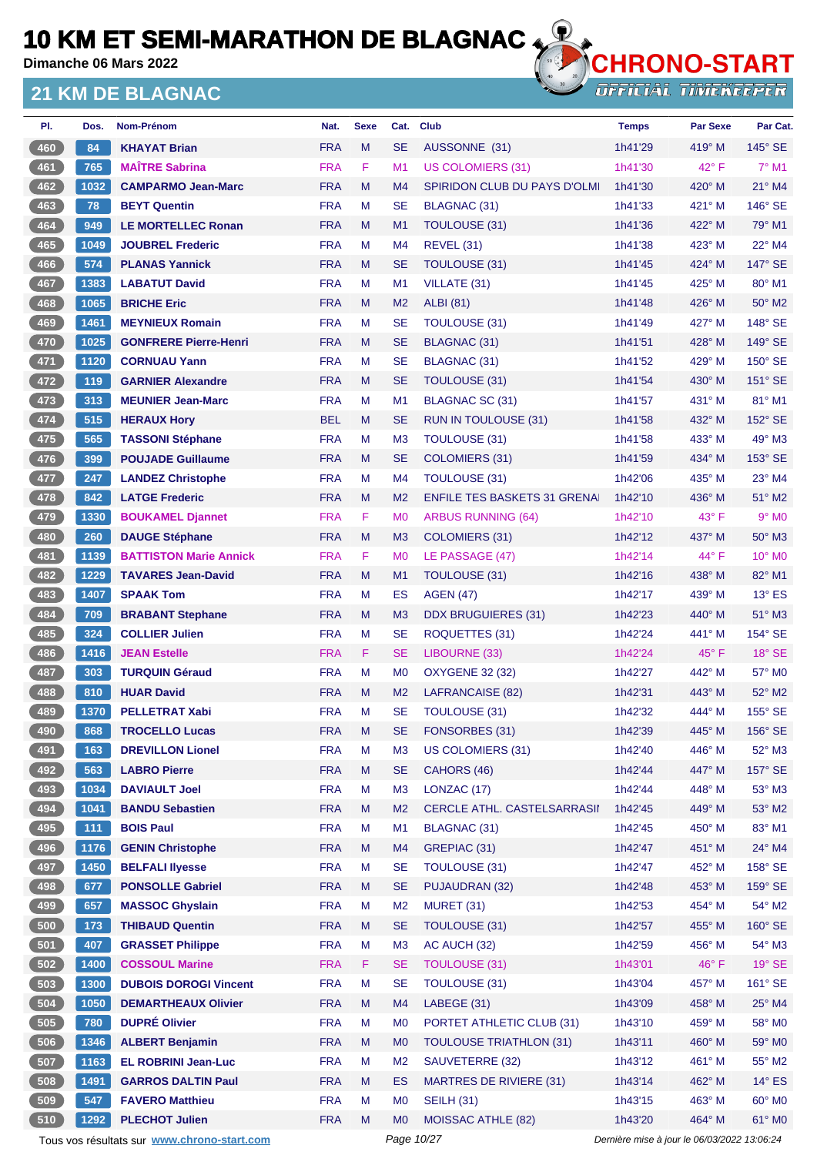**Dimanche 06 Mars 2022**

#### **21 KM DE BLAGNAC**



| PI.              | Dos. | Nom-Prénom                    | Nat.       | <b>Sexe</b> | Cat.           | <b>Club</b>                         | <b>Temps</b> | <b>Par Sexe</b> | Par Cat.        |
|------------------|------|-------------------------------|------------|-------------|----------------|-------------------------------------|--------------|-----------------|-----------------|
| 460              | 84   | <b>KHAYAT Brian</b>           | <b>FRA</b> | M           | <b>SE</b>      | AUSSONNE (31)                       | 1h41'29      | $419^\circ$ M   | $145^\circ$ SE  |
| 461              | 765  | <b>MAÏTRE Sabrina</b>         | <b>FRA</b> | F.          | M1             | <b>US COLOMIERS (31)</b>            | 1h41'30      | 42° F           | $7^\circ$ M1    |
| 462              | 1032 | <b>CAMPARMO Jean-Marc</b>     | <b>FRA</b> | M           | M4             | <b>SPIRIDON CLUB DU PAYS D'OLMI</b> | 1h41'30      | $420^\circ$ M   | $21^\circ$ M4   |
| 463              | 78   | <b>BEYT Quentin</b>           | <b>FRA</b> | М           | <b>SE</b>      | BLAGNAC (31)                        | 1h41'33      | 421° M          | 146° SE         |
| 464              | 949  | <b>LE MORTELLEC Ronan</b>     | <b>FRA</b> | M           | M1             | TOULOUSE (31)                       | 1h41'36      | 422° M          | 79° M1          |
| 465              | 1049 | <b>JOUBREL Frederic</b>       | <b>FRA</b> | М           | M <sub>4</sub> | <b>REVEL (31)</b>                   | 1h41'38      | 423° M          | $22^{\circ}$ M4 |
| 466              | 574  | <b>PLANAS Yannick</b>         | <b>FRA</b> | M           | <b>SE</b>      | <b>TOULOUSE (31)</b>                | 1h41'45      | 424° M          | 147° SE         |
| 467              | 1383 | <b>LABATUT David</b>          | <b>FRA</b> | М           | M1             | VILLATE (31)                        | 1h41'45      | $425^{\circ}$ M | $80^\circ$ M1   |
| 468              | 1065 | <b>BRICHE Eric</b>            | <b>FRA</b> | M           | M <sub>2</sub> | <b>ALBI</b> (81)                    | 1h41'48      | 426° M          | 50° M2          |
| 469              | 1461 | <b>MEYNIEUX Romain</b>        | <b>FRA</b> | М           | <b>SE</b>      | TOULOUSE (31)                       | 1h41'49      | 427° M          | 148° SE         |
| 470              | 1025 | <b>GONFRERE Pierre-Henri</b>  | <b>FRA</b> | M           | <b>SE</b>      | <b>BLAGNAC (31)</b>                 | 1h41'51      | 428° M          | $149°$ SE       |
| 471              | 1120 | <b>CORNUAU Yann</b>           | <b>FRA</b> | М           | <b>SE</b>      | BLAGNAC (31)                        | 1h41'52      | 429° M          | 150° SE         |
| $\overline{472}$ | 119  | <b>GARNIER Alexandre</b>      | <b>FRA</b> | M           | <b>SE</b>      | TOULOUSE (31)                       | 1h41'54      | $430^\circ$ M   | $151^\circ$ SE  |
| 473              | 313  | <b>MEUNIER Jean-Marc</b>      | <b>FRA</b> | М           | M <sub>1</sub> | BLAGNAC SC (31)                     | 1h41'57      | 431° M          | 81° M1          |
| 474              | 515  | <b>HERAUX Hory</b>            | <b>BEL</b> | M           | <b>SE</b>      | RUN IN TOULOUSE (31)                | 1h41'58      | $432^\circ$ M   | 152° SE         |
| 475              | 565  | <b>TASSONI Stéphane</b>       | <b>FRA</b> | М           | M <sub>3</sub> | <b>TOULOUSE (31)</b>                | 1h41'58      | $433^\circ$ M   | 49° M3          |
| 476              | 399  | <b>POUJADE Guillaume</b>      | <b>FRA</b> | M           | <b>SE</b>      | <b>COLOMIERS (31)</b>               | 1h41'59      | 434° M          | 153° SE         |
| 477              | 247  | <b>LANDEZ Christophe</b>      | <b>FRA</b> | М           | M4             | <b>TOULOUSE (31)</b>                | 1h42'06      | 435° M          | $23^\circ$ M4   |
| 478              | 842  | <b>LATGE Frederic</b>         | <b>FRA</b> | M           | M <sub>2</sub> | <b>ENFILE TES BASKETS 31 GRENAL</b> | 1h42'10      | 436° M          | $51^\circ$ M2   |
| 479              | 1330 | <b>BOUKAMEL Djannet</b>       | <b>FRA</b> | F.          | M <sub>0</sub> | <b>ARBUS RUNNING (64)</b>           | 1h42'10      | 43° F           | $9°$ MO         |
| 480              | 260  | <b>DAUGE Stéphane</b>         | <b>FRA</b> | M           | M <sub>3</sub> | <b>COLOMIERS (31)</b>               | 1h42'12      | $437^\circ$ M   | $50^\circ$ M3   |
| 481              | 1139 | <b>BATTISTON Marie Annick</b> | <b>FRA</b> | F.          | M <sub>0</sub> | LE PASSAGE (47)                     | 1h42'14      | 44° F           | 10° M0          |
| 482              | 1229 | <b>TAVARES Jean-David</b>     | <b>FRA</b> | M           | M1             | <b>TOULOUSE (31)</b>                | 1h42'16      | 438° M          | 82° M1          |
| 483              | 1407 | <b>SPAAK Tom</b>              | <b>FRA</b> | М           | ES             | <b>AGEN (47)</b>                    | 1h42'17      | $439^\circ$ M   | $13^\circ$ ES   |
| 484              | 709  | <b>BRABANT Stephane</b>       | <b>FRA</b> | M           | M <sub>3</sub> | <b>DDX BRUGUIERES (31)</b>          | 1h42'23      | 440° M          | $51^\circ$ M3   |
| 485              | 324  | <b>COLLIER Julien</b>         | <b>FRA</b> | М           | <b>SE</b>      | ROQUETTES (31)                      | 1h42'24      | 441° M          | 154° SE         |
| 486              | 1416 | <b>JEAN Estelle</b>           | <b>FRA</b> | F.          | <b>SE</b>      | LIBOURNE (33)                       | 1h42'24      | $45^{\circ}$ F  | $18^\circ$ SE   |
| 487              | 303  | <b>TURQUIN Géraud</b>         | <b>FRA</b> | М           | M <sub>0</sub> | <b>OXYGENE 32 (32)</b>              | 1h42'27      | 442° M          | 57° MO          |
| 488              | 810  | <b>HUAR David</b>             | <b>FRA</b> | M           | M <sub>2</sub> | LAFRANCAISE (82)                    | 1h42'31      | $443^\circ$ M   | 52° M2          |
| 489              | 1370 | <b>PELLETRAT Xabi</b>         | <b>FRA</b> | М           | <b>SE</b>      | TOULOUSE (31)                       | 1h42'32      | $444^\circ$ M   | 155° SE         |
| 490              | 868  | <b>TROCELLO Lucas</b>         | <b>FRA</b> | M           | <b>SE</b>      | FONSORBES (31)                      | 1h42'39      | 445° M          | 156° SE         |
| 491              | 163  | <b>DREVILLON Lionel</b>       | <b>FRA</b> | М           | M <sub>3</sub> | US COLOMIERS (31)                   | 1h42'40      | 446° M          | 52° M3          |
| 492              | 563  | <b>LABRO Pierre</b>           | <b>FRA</b> | M           | <b>SE</b>      | CAHORS (46)                         | 1h42'44      | 447° M          | 157° SE         |
| 493              | 1034 | <b>DAVIAULT Joel</b>          | <b>FRA</b> | M           | M <sub>3</sub> | LONZAC (17)                         | 1h42'44      | 448° M          | 53° M3          |
| 494              | 1041 | <b>BANDU Sebastien</b>        | <b>FRA</b> | M           | M <sub>2</sub> | CERCLE ATHL. CASTELSARRASII         | 1h42'45      | 449° M          | 53° M2          |
| 495              | 111  | <b>BOIS Paul</b>              | <b>FRA</b> | M           | M1             | BLAGNAC (31)                        | 1h42'45      | 450° M          | 83° M1          |
| 496              | 1176 | <b>GENIN Christophe</b>       | <b>FRA</b> | M           | M4             | GREPIAC (31)                        | 1h42'47      | 451° M          | 24° M4          |
| 497              | 1450 | <b>BELFALI llyesse</b>        | <b>FRA</b> | M           | <b>SE</b>      | TOULOUSE (31)                       | 1h42'47      | 452° M          | 158° SE         |
| 498              | 677  | <b>PONSOLLE Gabriel</b>       | <b>FRA</b> | M           | <b>SE</b>      | PUJAUDRAN (32)                      | 1h42'48      | 453° M          | 159° SE         |
| 499              | 657  | <b>MASSOC Ghyslain</b>        | <b>FRA</b> | M           | M <sub>2</sub> | <b>MURET (31)</b>                   | 1h42'53      | 454° M          | 54° M2          |
| 500              | 173  | <b>THIBAUD Quentin</b>        | <b>FRA</b> | M           | <b>SE</b>      | TOULOUSE (31)                       | 1h42'57      | $455^{\circ}$ M | 160° SE         |
| 501              | 407  | <b>GRASSET Philippe</b>       | <b>FRA</b> | M           | M <sub>3</sub> | AC AUCH (32)                        | 1h42'59      | 456° M          | 54° M3          |
| 502              | 1400 | <b>COSSOUL Marine</b>         | <b>FRA</b> | F.          | <b>SE</b>      | <b>TOULOUSE (31)</b>                | 1h43'01      | $46^{\circ}$ F  | $19°$ SE        |
| 503              | 1300 | <b>DUBOIS DOROGI Vincent</b>  | <b>FRA</b> | M           | <b>SE</b>      | TOULOUSE (31)                       | 1h43'04      | 457° M          | 161° SE         |
| 504              | 1050 | <b>DEMARTHEAUX Olivier</b>    | <b>FRA</b> | M           | M <sub>4</sub> | LABEGE (31)                         | 1h43'09      | 458° M          | 25° M4          |
| 505              | 780  | <b>DUPRÉ Olivier</b>          | <b>FRA</b> | М           | M <sub>0</sub> | PORTET ATHLETIC CLUB (31)           | 1h43'10      | 459° M          | 58° MO          |
| 506              | 1346 | <b>ALBERT Benjamin</b>        | <b>FRA</b> | M           | M <sub>0</sub> | <b>TOULOUSE TRIATHLON (31)</b>      | 1h43'11      | 460° M          | 59° M0          |
| 507              | 1163 | <b>EL ROBRINI Jean-Luc</b>    | <b>FRA</b> | M           | M <sub>2</sub> | SAUVETERRE (32)                     | 1h43'12      | 461° M          | 55° M2          |
| 508              | 1491 | <b>GARROS DALTIN Paul</b>     | <b>FRA</b> | M           | <b>ES</b>      | <b>MARTRES DE RIVIERE (31)</b>      | 1h43'14      | 462° M          | $14^{\circ}$ ES |
| 509              | 547  | <b>FAVERO Matthieu</b>        | <b>FRA</b> | М           | M <sub>0</sub> | <b>SEILH (31)</b>                   | 1h43'15      | 463° M          | 60° M0          |
| 510              | 1292 | <b>PLECHOT Julien</b>         | <b>FRA</b> | M           | M <sub>0</sub> | <b>MOISSAC ATHLE (82)</b>           | 1h43'20      | 464° M          | 61° MO          |
|                  |      |                               |            |             |                |                                     |              |                 |                 |

Tous vos résultats sur **[www.chrono-start.com](https://www.chrono-start.com/)** Page 10/27 Page 10/27 Dernière mise à jour le 06/03/2022 13:06:24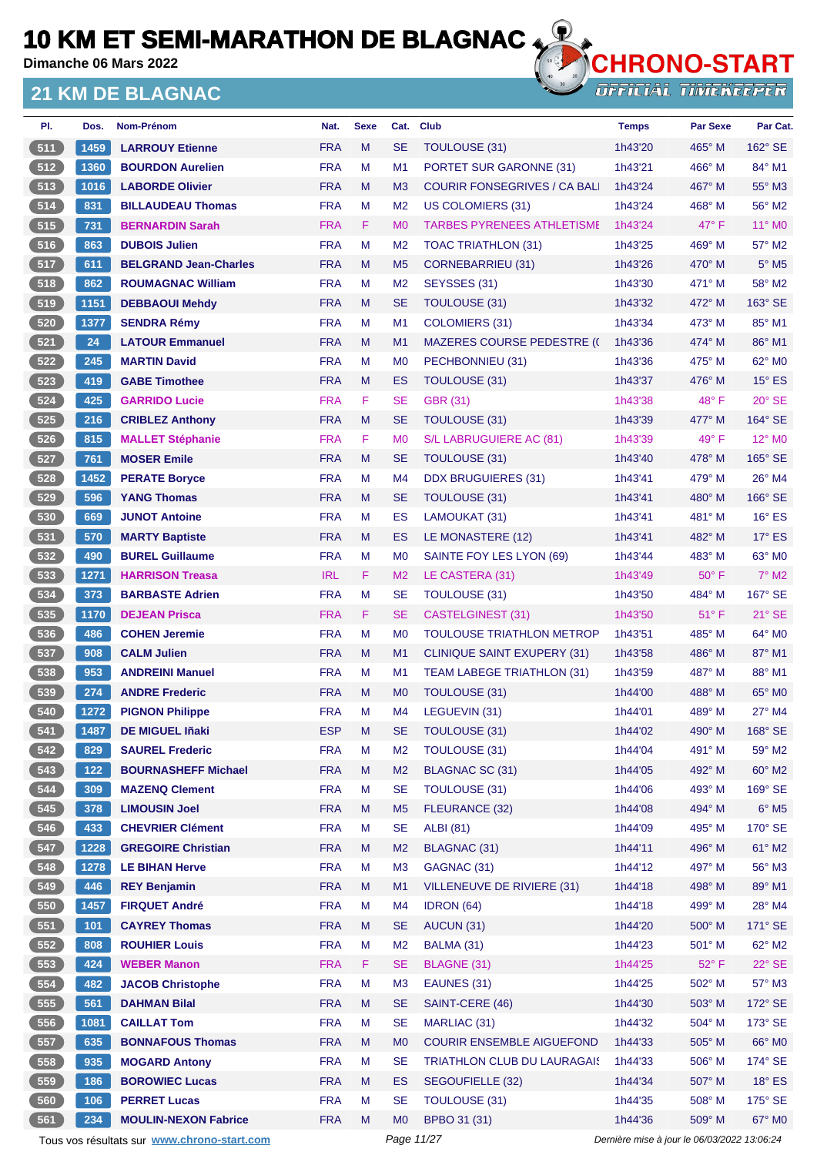**Dimanche 06 Mars 2022**

#### **21 KM DE BLAGNAC**



| PI.   | Dos.  | <b>Nom-Prénom</b>                           | Nat.       | <b>Sexe</b> | Cat.           | Club                                | <b>Temps</b> | <b>Par Sexe</b>                             | Par Cat.                 |
|-------|-------|---------------------------------------------|------------|-------------|----------------|-------------------------------------|--------------|---------------------------------------------|--------------------------|
| 511   | 1459  | <b>LARROUY Etienne</b>                      | <b>FRA</b> | M           | <b>SE</b>      | TOULOUSE (31)                       | 1h43'20      | 465° M                                      | $162^\circ$ SE           |
| 512   | 1360  | <b>BOURDON Aurelien</b>                     | <b>FRA</b> | M           | M1             | PORTET SUR GARONNE (31)             | 1h43'21      | 466° M                                      | 84° M1                   |
| 513   | 1016  | <b>LABORDE Olivier</b>                      | <b>FRA</b> | M           | M <sub>3</sub> | <b>COURIR FONSEGRIVES / CA BALL</b> | 1h43'24      | 467° M                                      | 55° M3                   |
| 514   | 831   | <b>BILLAUDEAU Thomas</b>                    | <b>FRA</b> | M           | M <sub>2</sub> | US COLOMIERS (31)                   | 1h43'24      | 468° M                                      | 56° M2                   |
| 515   | 731   | <b>BERNARDIN Sarah</b>                      | <b>FRA</b> | F           | M <sub>0</sub> | <b>TARBES PYRENEES ATHLETISME</b>   | 1h43'24      | $47^\circ$ F                                | 11° MO                   |
| 516   | 863   | <b>DUBOIS Julien</b>                        | <b>FRA</b> | м           | M <sub>2</sub> | TOAC TRIATHLON (31)                 | 1h43'25      | 469° M                                      | 57° M2                   |
| 517   | 611   | <b>BELGRAND Jean-Charles</b>                | <b>FRA</b> | M           | M <sub>5</sub> | <b>CORNEBARRIEU (31)</b>            | 1h43'26      | $470^\circ$ M                               | $5^\circ$ M <sub>5</sub> |
| 518   | 862   | <b>ROUMAGNAC William</b>                    | <b>FRA</b> | M           | M <sub>2</sub> | SEYSSES (31)                        | 1h43'30      | 471° M                                      | 58° M2                   |
| 519   | 1151  | <b>DEBBAOUI Mehdy</b>                       | <b>FRA</b> | M           | <b>SE</b>      | TOULOUSE (31)                       | 1h43'32      | 472° M                                      | 163° SE                  |
| 520   | 1377  | <b>SENDRA Rémy</b>                          | <b>FRA</b> | м           | M <sub>1</sub> | COLOMIERS (31)                      | 1h43'34      | 473° M                                      | 85° M1                   |
| 6521  | 24    | <b>LATOUR Emmanuel</b>                      | <b>FRA</b> | M           | M1             | <b>MAZERES COURSE PEDESTRE (C</b>   | 1h43'36      | $474^\circ$ M                               | 86° M1                   |
| 522   | 245   | <b>MARTIN David</b>                         | <b>FRA</b> | M           | M <sub>0</sub> | PECHBONNIEU (31)                    | 1h43'36      | 475° M                                      | $62^\circ$ MO            |
| 523   | 419   | <b>GABE Timothee</b>                        | <b>FRA</b> | M           | ES             | TOULOUSE (31)                       | 1h43'37      | $476^\circ$ M                               | $15^\circ$ ES            |
| 524   | 425   | <b>GARRIDO Lucie</b>                        | <b>FRA</b> | F           | <b>SE</b>      | <b>GBR (31)</b>                     | 1h43'38      | $48^{\circ}$ F                              | $20^\circ$ SE            |
| 525   | 216   | <b>CRIBLEZ Anthony</b>                      | <b>FRA</b> | M           | <b>SE</b>      | <b>TOULOUSE (31)</b>                | 1h43'39      | 477° M                                      | 164° SE                  |
| 526   | 815   | <b>MALLET Stéphanie</b>                     | <b>FRA</b> | F           | M <sub>0</sub> | S/L LABRUGUIERE AC (81)             | 1h43'39      | $49^{\circ}$ F                              | 12° M <sub>0</sub>       |
| 527   | 761   | <b>MOSER Emile</b>                          | <b>FRA</b> | M           | <b>SE</b>      | TOULOUSE (31)                       | 1h43'40      | 478° M                                      | 165° SE                  |
| 528   | 1452  | <b>PERATE Boryce</b>                        | <b>FRA</b> | M           | M4             | <b>DDX BRUGUIERES (31)</b>          | 1h43'41      | 479° M                                      | $26^\circ$ M4            |
| 529   | 596   | <b>YANG Thomas</b>                          | <b>FRA</b> | M           | <b>SE</b>      | TOULOUSE (31)                       | 1h43'41      | 480° M                                      | 166° SE                  |
| 530   | 669   | <b>JUNOT Antoine</b>                        | <b>FRA</b> | М           | ES             | LAMOUKAT (31)                       | 1h43'41      | 481° M                                      | $16^\circ$ ES            |
| 531   | 570   | <b>MARTY Baptiste</b>                       | <b>FRA</b> | M           | ES             | LE MONASTERE (12)                   | 1h43'41      | 482° M                                      | $17^\circ$ ES            |
| $532$ | 490   | <b>BUREL Guillaume</b>                      | <b>FRA</b> | M           | M <sub>0</sub> | SAINTE FOY LES LYON (69)            | 1h43'44      | 483° M                                      | 63° MO                   |
| 533   | 1271  | <b>HARRISON Treasa</b>                      | <b>IRL</b> | F           | M <sub>2</sub> | LE CASTERA (31)                     | 1h43'49      | $50^\circ$ F                                | $7^\circ$ M2             |
| 534   | 373   | <b>BARBASTE Adrien</b>                      | <b>FRA</b> | M           | <b>SE</b>      | <b>TOULOUSE (31)</b>                | 1h43'50      | 484° M                                      | $167^\circ$ SE           |
| 535   | 1170  | <b>DEJEAN Prisca</b>                        | <b>FRA</b> | F           | <b>SE</b>      | <b>CASTELGINEST (31)</b>            | 1h43'50      | $51^{\circ}$ F                              | $21^\circ$ SE            |
| 536   | 486   | <b>COHEN Jeremie</b>                        | <b>FRA</b> | M           | M <sub>0</sub> | TOULOUSE TRIATHLON METROP           | 1h43'51      | 485° M                                      | 64° M0                   |
| 537   | 908   | <b>CALM Julien</b>                          | <b>FRA</b> | M           | M <sub>1</sub> | <b>CLINIQUE SAINT EXUPERY (31)</b>  | 1h43'58      | $486^\circ$ M                               | 87° M1                   |
| 538   | 953   | <b>ANDREINI Manuel</b>                      | <b>FRA</b> | м           | M1             | <b>TEAM LABEGE TRIATHLON (31)</b>   | 1h43'59      | 487° M                                      | 88° M1                   |
| (539) | 274   | <b>ANDRE Frederic</b>                       | <b>FRA</b> | M           | M <sub>0</sub> | TOULOUSE (31)                       | 1h44'00      | $488^\circ$ M                               | $65^\circ$ MO            |
| 540   | 1272  | <b>PIGNON Philippe</b>                      | <b>FRA</b> | M           | M4             | LEGUEVIN (31)                       | 1h44'01      | 489° M                                      | $27^\circ$ M4            |
| 541   | 1487  | <b>DE MIGUEL Iñaki</b>                      | <b>ESP</b> | м           | <b>SE</b>      | <b>TOULOUSE (31)</b>                | 1h44'02      | 490° M                                      | 168° SE                  |
| 542   | 829   | <b>SAUREL Frederic</b>                      | <b>FRA</b> | M           | M <sub>2</sub> | <b>TOULOUSE (31)</b>                | 1h44'04      | 491° M                                      | 59° M2                   |
| 543   | $122$ | <b>BOURNASHEFF Michael</b>                  | <b>FRA</b> | M           | M <sub>2</sub> | <b>BLAGNAC SC (31)</b>              | 1h44'05      | 492° M                                      | 60° M2                   |
| 544   | 309   | <b>MAZENQ Clement</b>                       | <b>FRA</b> | M           | <b>SE</b>      | <b>TOULOUSE (31)</b>                | 1h44'06      | 493° M                                      | 169° SE                  |
| 545   | 378   | <b>LIMOUSIN Joel</b>                        | <b>FRA</b> | M           | M <sub>5</sub> | FLEURANCE (32)                      | 1h44'08      | 494° M                                      | $6^{\circ}$ M5           |
| 546   | 433   | <b>CHEVRIER Clément</b>                     | <b>FRA</b> | М           | <b>SE</b>      | <b>ALBI</b> (81)                    | 1h44'09      | 495° M                                      | 170° SE                  |
| 547   | 1228  | <b>GREGOIRE Christian</b>                   | <b>FRA</b> | M           | M <sub>2</sub> | <b>BLAGNAC (31)</b>                 | 1h44'11      | 496° M                                      | 61° M2                   |
| 548   | 1278  | LE BIHAN Herve                              | <b>FRA</b> | M           | M <sub>3</sub> | GAGNAC (31)                         | 1h44'12      | 497° M                                      | 56° M3                   |
| 549   | 446   | <b>REY Benjamin</b>                         | <b>FRA</b> | M           | M <sub>1</sub> | VILLENEUVE DE RIVIERE (31)          | 1h44'18      | 498° M                                      | 89° M1                   |
| 550   | 1457  | <b>FIRQUET André</b>                        | <b>FRA</b> | M           | M4             | IDRON (64)                          | 1h44'18      | 499° M                                      | 28° M4                   |
| 551   | 101   | <b>CAYREY Thomas</b>                        | <b>FRA</b> | M           | <b>SE</b>      | AUCUN (31)                          | 1h44'20      | 500° M                                      | 171° SE                  |
| 552   | 808   | <b>ROUHIER Louis</b>                        | <b>FRA</b> | M           | M <sub>2</sub> | BALMA (31)                          | 1h44'23      | 501° M                                      | 62° M2                   |
| 553   | 424   | <b>WEBER Manon</b>                          | <b>FRA</b> | F.          | <b>SE</b>      |                                     |              |                                             |                          |
|       |       |                                             |            |             |                | BLAGNE (31)                         | 1h44'25      | $52^{\circ}$ F                              | $22^\circ$ SE            |
| $554$ | 482   | <b>JACOB Christophe</b>                     | <b>FRA</b> | M           | M <sub>3</sub> | EAUNES (31)                         | 1h44'25      | 502° M                                      | 57° M3                   |
| 555   | 561   | <b>DAHMAN Bilal</b>                         | <b>FRA</b> | M           | <b>SE</b>      | SAINT-CERE (46)                     | 1h44'30      | 503° M                                      | 172° SE                  |
| 556   | 1081  | <b>CAILLAT Tom</b>                          | <b>FRA</b> | M           | <b>SE</b>      | MARLIAC (31)                        | 1h44'32      | 504° M                                      | 173° SE                  |
| 557   | 635   | <b>BONNAFOUS Thomas</b>                     | <b>FRA</b> | M           | M <sub>0</sub> | <b>COURIR ENSEMBLE AIGUEFOND</b>    | 1h44'33      | 505° M                                      | 66° M0                   |
| 558   | 935   | <b>MOGARD Antony</b>                        | <b>FRA</b> | M           | <b>SE</b>      | <b>TRIATHLON CLUB DU LAURAGAIS</b>  | 1h44'33      | 506° M                                      | 174° SE                  |
| 559   | 186   | <b>BOROWIEC Lucas</b>                       | <b>FRA</b> | M           | ES             | SEGOUFIELLE (32)                    | 1h44'34      | 507° M                                      | $18^\circ$ ES            |
| 560   | 106   | <b>PERRET Lucas</b>                         | <b>FRA</b> | М           | <b>SE</b>      | <b>TOULOUSE (31)</b>                | 1h44'35      | 508° M                                      | 175° SE                  |
| 561   | 234   | <b>MOULIN-NEXON Fabrice</b>                 | <b>FRA</b> | M           | M <sub>0</sub> | BPBO 31 (31)                        | 1h44'36      | 509° M                                      | 67° M0                   |
|       |       | Tous vos résultats sur www.chrono-start.com |            |             | Page 11/27     |                                     |              | Dernière mise à jour le 06/03/2022 13:06:24 |                          |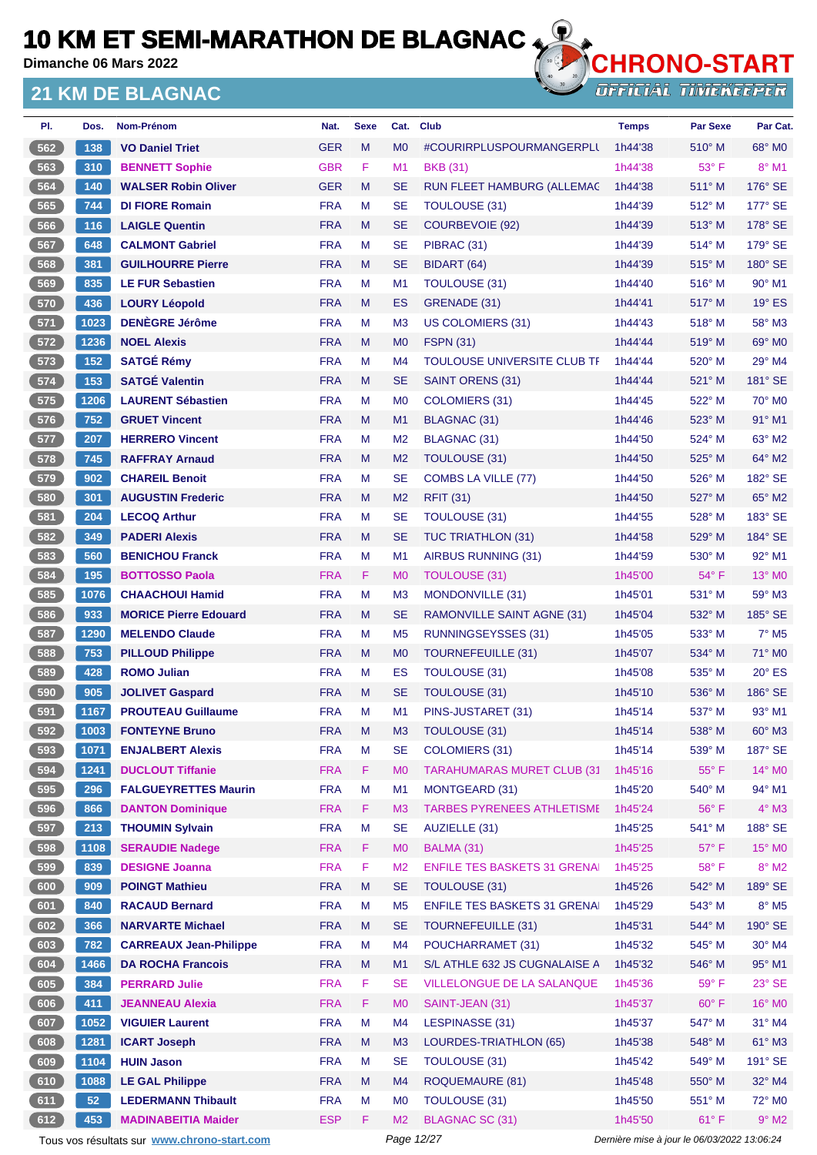**Dimanche 06 Mars 2022**

#### **21 KM DE BLAGNAC**



**OFFICIAL TIMEKEEPER** 

| PI.   | Dos. | Nom-Prénom                    | Nat.       | <b>Sexe</b> | Cat.           | <b>Club</b>                         | <b>Temps</b> | <b>Par Sexe</b> | Par Cat.                  |
|-------|------|-------------------------------|------------|-------------|----------------|-------------------------------------|--------------|-----------------|---------------------------|
| 562   | 138  | <b>VO Daniel Triet</b>        | <b>GER</b> | M           | M <sub>0</sub> | #COURIRPLUSPOURMANGERPLI            | 1h44'38      | $510^\circ$ M   | 68° MO                    |
| 563   | 310  | <b>BENNETT Sophie</b>         | <b>GBR</b> | F           | M1             | <b>BKB (31)</b>                     | 1h44'38      | $53^\circ$ F    | $8^\circ$ M1              |
| 564   | 140  | <b>WALSER Robin Oliver</b>    | <b>GER</b> | M           | <b>SE</b>      | RUN FLEET HAMBURG (ALLEMAC          | 1h44'38      | 511° M          | $176^\circ$ SE            |
| 565   | 744  | <b>DI FIORE Romain</b>        | <b>FRA</b> | M           | <b>SE</b>      | TOULOUSE (31)                       | 1h44'39      | 512° M          | 177° SE                   |
| 566   | 116  | <b>LAIGLE Quentin</b>         | <b>FRA</b> | M           | <b>SE</b>      | <b>COURBEVOIE (92)</b>              | 1h44'39      | $513^\circ$ M   | 178° SE                   |
| 567   | 648  | <b>CALMONT Gabriel</b>        | <b>FRA</b> | М           | <b>SE</b>      | PIBRAC (31)                         | 1h44'39      | $514^\circ$ M   | 179° SE                   |
| 568   | 381  | <b>GUILHOURRE Pierre</b>      | <b>FRA</b> | M           | <b>SE</b>      | BIDART (64)                         | 1h44'39      | $515^\circ$ M   | $180^\circ$ SE            |
| 569   | 835  | <b>LE FUR Sebastien</b>       | <b>FRA</b> | М           | M <sub>1</sub> | <b>TOULOUSE (31)</b>                | 1h44'40      | $516^\circ$ M   | 90° M1                    |
| 570   | 436  | <b>LOURY Léopold</b>          | <b>FRA</b> | M           | ES             | GRENADE (31)                        | 1h44'41      | 517° M          | $19^\circ$ ES             |
| 571   | 1023 | <b>DENÈGRE Jérôme</b>         | <b>FRA</b> | М           | M <sub>3</sub> | US COLOMIERS (31)                   | 1h44'43      | $518^\circ$ M   | 58° M3                    |
| 572   | 1236 | <b>NOEL Alexis</b>            | <b>FRA</b> | M           | M <sub>0</sub> | <b>FSPN (31)</b>                    | 1h44'44      | $519^\circ$ M   | 69° M <sub>0</sub>        |
| 573   | 152  | <b>SATGÉ Rémy</b>             | <b>FRA</b> | М           | M <sub>4</sub> | TOULOUSE UNIVERSITE CLUB TF         | 1h44'44      | $520^\circ$ M   | 29° M4                    |
| 574   | 153  | <b>SATGÉ Valentin</b>         | <b>FRA</b> | M           | <b>SE</b>      | SAINT ORENS (31)                    | 1h44'44      | $521^\circ$ M   | 181° SE                   |
| 575   | 1206 | <b>LAURENT Sébastien</b>      | <b>FRA</b> | М           | M <sub>0</sub> | COLOMIERS (31)                      | 1h44'45      | 522° M          | $70^\circ$ M <sub>0</sub> |
| 576   | 752  | <b>GRUET Vincent</b>          | <b>FRA</b> | M           | M <sub>1</sub> | BLAGNAC (31)                        | 1h44'46      | $523^\circ$ M   | 91° M1                    |
| 577   | 207  | <b>HERRERO Vincent</b>        | <b>FRA</b> | М           | M <sub>2</sub> | <b>BLAGNAC (31)</b>                 | 1h44'50      | $524^\circ$ M   | 63° M2                    |
| 578   | 745  | <b>RAFFRAY Arnaud</b>         | <b>FRA</b> | M           | M <sub>2</sub> | TOULOUSE (31)                       | 1h44'50      | 525° M          | 64° M2                    |
| 579   | 902  | <b>CHAREIL Benoit</b>         | <b>FRA</b> | М           | <b>SE</b>      | COMBS LA VILLE (77)                 | 1h44'50      | $526^\circ$ M   | 182° SE                   |
| 580   | 301  | <b>AUGUSTIN Frederic</b>      | <b>FRA</b> | M           | M <sub>2</sub> | <b>RFIT (31)</b>                    | 1h44'50      | 527° M          | 65° M2                    |
| 581   | 204  | <b>LECOQ Arthur</b>           | <b>FRA</b> | М           | <b>SE</b>      | <b>TOULOUSE (31)</b>                | 1h44'55      | $528^\circ$ M   | 183° SE                   |
| 582   | 349  | <b>PADERI Alexis</b>          | <b>FRA</b> | M           | <b>SE</b>      | <b>TUC TRIATHLON (31)</b>           | 1h44'58      | $529^\circ$ M   | 184° SE                   |
| 583   | 560  | <b>BENICHOU Franck</b>        | <b>FRA</b> | М           | M <sub>1</sub> | AIRBUS RUNNING (31)                 | 1h44'59      | $530^\circ$ M   | 92° M1                    |
| 584   | 195  | <b>BOTTOSSO Paola</b>         | <b>FRA</b> | F.          | M <sub>0</sub> | <b>TOULOUSE (31)</b>                | 1h45'00      | $54^{\circ}$ F  | 13° MO                    |
| 585   | 1076 | <b>CHAACHOUI Hamid</b>        | <b>FRA</b> | М           | M <sub>3</sub> | MONDONVILLE (31)                    | 1h45'01      | $531^\circ$ M   | $59^\circ$ M3             |
| 586   | 933  | <b>MORICE Pierre Edouard</b>  | <b>FRA</b> | M           | <b>SE</b>      | RAMONVILLE SAINT AGNE (31)          | 1h45'04      | 532° M          | $185^\circ$ SE            |
| 587   | 1290 | <b>MELENDO Claude</b>         | <b>FRA</b> | М           | M <sub>5</sub> | RUNNINGSEYSSES (31)                 | 1h45'05      | $533^\circ$ M   | $7°$ M <sub>5</sub>       |
| 588   | 753  | <b>PILLOUD Philippe</b>       | <b>FRA</b> | M           | M <sub>0</sub> | <b>TOURNEFEUILLE (31)</b>           | 1h45'07      | 534° M          | 71° M0                    |
| 589   | 428  | <b>ROMO Julian</b>            | <b>FRA</b> | М           | <b>ES</b>      | TOULOUSE (31)                       | 1h45'08      | $535^\circ$ M   | $20^\circ$ ES             |
| 590   | 905  | <b>JOLIVET Gaspard</b>        | <b>FRA</b> | M           | <b>SE</b>      | <b>TOULOUSE (31)</b>                | 1h45'10      | $536^\circ$ M   | 186° SE                   |
| 591   | 1167 | <b>PROUTEAU Guillaume</b>     | <b>FRA</b> | М           | M <sub>1</sub> | PINS-JUSTARET (31)                  | 1h45'14      | 537° M          | 93° M1                    |
| 592   | 1003 | <b>FONTEYNE Bruno</b>         | <b>FRA</b> | M           | M <sub>3</sub> | TOULOUSE (31)                       | 1h45'14      | 538° M          | 60° M3                    |
| $593$ | 1071 | <b>ENJALBERT Alexis</b>       | <b>FRA</b> | M           | <b>SE</b>      | <b>COLOMIERS (31)</b>               | 1h45'14      | 539° M          | 187° SE                   |
| 594   | 1241 | <b>DUCLOUT Tiffanie</b>       | <b>FRA</b> | F           | M <sub>0</sub> | <b>TARAHUMARAS MURET CLUB (31)</b>  | 1h45'16      | $55^{\circ}$ F  | 14° MO                    |
| 595   | 296  | <b>FALGUEYRETTES Maurin</b>   | <b>FRA</b> | M           | M <sub>1</sub> | MONTGEARD (31)                      | 1h45'20      | 540° M          | 94° M1                    |
| 596   | 866  | <b>DANTON Dominique</b>       | <b>FRA</b> | F           | M <sub>3</sub> | <b>TARBES PYRENEES ATHLETISME</b>   | 1h45'24      | $56^{\circ}$ F  | $4^\circ$ M3              |
| 597   | 213  | <b>THOUMIN Sylvain</b>        | <b>FRA</b> | M           | <b>SE</b>      | AUZIELLE (31)                       | 1h45'25      | 541° M          | 188° SE                   |
| 598   | 1108 | <b>SERAUDIE Nadege</b>        | <b>FRA</b> | F           | M <sub>0</sub> | BALMA (31)                          | 1h45'25      | $57^\circ$ F    | 15° MO                    |
| 599   | 839  | <b>DESIGNE Joanna</b>         | <b>FRA</b> | F           | M <sub>2</sub> | <b>ENFILE TES BASKETS 31 GRENAI</b> | 1h45'25      | $58^{\circ}$ F  | $8^\circ$ M2              |
| 600   | 909  | <b>POINGT Mathieu</b>         | <b>FRA</b> | M           | <b>SE</b>      | <b>TOULOUSE (31)</b>                | 1h45'26      | 542° M          | 189° SE                   |
| 601   | 840  | <b>RACAUD Bernard</b>         | <b>FRA</b> | M           | M <sub>5</sub> | <b>ENFILE TES BASKETS 31 GRENAI</b> | 1h45'29      | 543° M          | $8^\circ$ M5              |
| 602   | 366  | <b>NARVARTE Michael</b>       | <b>FRA</b> | M           | <b>SE</b>      | TOURNEFEUILLE (31)                  | 1h45'31      | 544° M          | 190° SE                   |
| 603   | 782  | <b>CARREAUX Jean-Philippe</b> | <b>FRA</b> | М           | M4             | POUCHARRAMET (31)                   | 1h45'32      | 545° M          | 30° M4                    |
| 604   | 1466 | <b>DA ROCHA Francois</b>      | <b>FRA</b> | M           | M1             | S/L ATHLE 632 JS CUGNALAISE A       | 1h45'32      | 546° M          | 95° M1                    |
| 605   | 384  | <b>PERRARD Julie</b>          | <b>FRA</b> | F           | <b>SE</b>      | VILLELONGUE DE LA SALANQUE          | 1h45'36      | $59^\circ$ F    | $23^\circ$ SE             |
| 606   | 411  | <b>JEANNEAU Alexia</b>        | <b>FRA</b> | F           | M <sub>0</sub> | SAINT-JEAN (31)                     | 1h45'37      | $60^\circ$ F    | 16° M0                    |
| 607   | 1052 | <b>VIGUIER Laurent</b>        | <b>FRA</b> | M           | M4             | LESPINASSE (31)                     | 1h45'37      | 547° M          | $31^\circ$ M4             |
| 608   | 1281 | <b>ICART Joseph</b>           | <b>FRA</b> | M           | M <sub>3</sub> | LOURDES-TRIATHLON (65)              | 1h45'38      | 548° M          | 61° M3                    |
| 609   | 1104 | <b>HUIN Jason</b>             | <b>FRA</b> | M           | <b>SE</b>      | <b>TOULOUSE (31)</b>                | 1h45'42      | 549° M          | 191° SE                   |
| 610   | 1088 | <b>LE GAL Philippe</b>        | <b>FRA</b> | M           | M4             | <b>ROQUEMAURE (81)</b>              | 1h45'48      | 550° M          | 32° M4                    |
| 611   | 52   | <b>LEDERMANN Thibault</b>     | <b>FRA</b> | М           | M <sub>0</sub> | TOULOUSE (31)                       | 1h45'50      | 551° M          | 72° M0                    |
| 612   | 453  | <b>MADINABEITIA Maider</b>    | <b>ESP</b> | F.          | M <sub>2</sub> | <b>BLAGNAC SC (31)</b>              | 1h45'50      | $61^{\circ}$ F  | $9^\circ$ M2              |
|       |      |                               |            |             |                |                                     |              |                 |                           |

Tous vos résultats sur **[www.chrono-start.com](https://www.chrono-start.com/)** Page 12/27 Page 12/27 Dernière mise à jour le 06/03/2022 13:06:24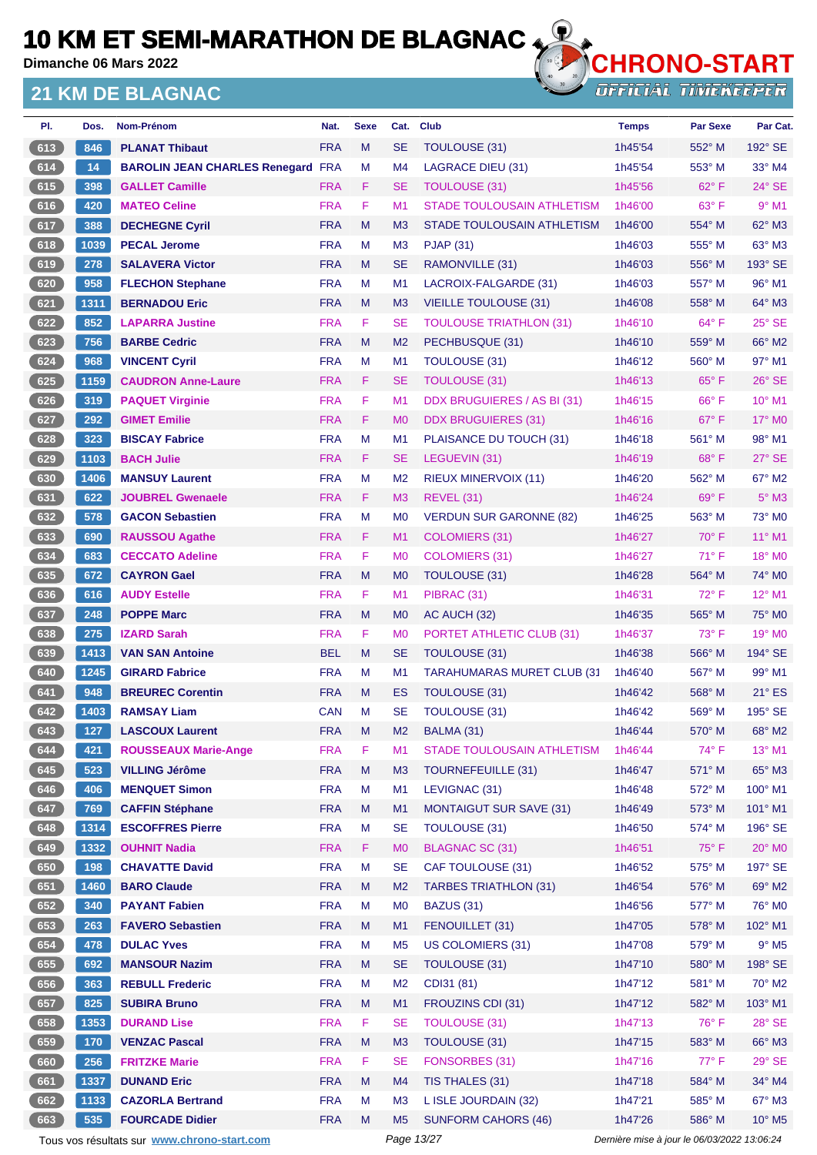**Dimanche 06 Mars 2022**

#### **21 KM DE BLAGNAC**



| PI.   | Dos. | Nom-Prénom                                  | Nat.       | <b>Sexe</b> | Cat.           | <b>Club</b>                        | <b>Temps</b>                                | <b>Par Sexe</b> | Par Cat.           |
|-------|------|---------------------------------------------|------------|-------------|----------------|------------------------------------|---------------------------------------------|-----------------|--------------------|
| 613   | 846  | <b>PLANAT Thibaut</b>                       | <b>FRA</b> | M           | <b>SE</b>      | TOULOUSE (31)                      | 1h45'54                                     | 552° M          | 192° SE            |
| 614   | 14   | <b>BAROLIN JEAN CHARLES Renegard FRA</b>    |            | M           | M4             | <b>LAGRACE DIEU (31)</b>           | 1h45'54                                     | $553^\circ$ M   | $33^\circ$ M4      |
| 615   | 398  | <b>GALLET Camille</b>                       | <b>FRA</b> | F.          | <b>SE</b>      | <b>TOULOUSE (31)</b>               | 1h45'56                                     | 62°F            | $24^\circ$ SE      |
| 616   | 420  | <b>MATEO Celine</b>                         | <b>FRA</b> | F           | M1             | <b>STADE TOULOUSAIN ATHLETISM</b>  | 1h46'00                                     | 63° F           | $9°$ M1            |
| 617   | 388  | <b>DECHEGNE Cyril</b>                       | <b>FRA</b> | M           | M3             | STADE TOULOUSAIN ATHLETISM         | 1h46'00                                     | 554° M          | 62° M3             |
| $618$ | 1039 | <b>PECAL Jerome</b>                         | <b>FRA</b> | М           | M <sub>3</sub> | <b>PJAP (31)</b>                   | 1h46'03                                     | $555^{\circ}$ M | 63° M3             |
| 619   | 278  | <b>SALAVERA Victor</b>                      | <b>FRA</b> | M           | <b>SE</b>      | RAMONVILLE (31)                    | 1h46'03                                     | 556° M          | 193° SE            |
| 620   | 958  | <b>FLECHON Stephane</b>                     | <b>FRA</b> | M           | M1             | LACROIX-FALGARDE (31)              | 1h46'03                                     | 557° M          | $96^\circ$ M1      |
| 621   | 1311 | <b>BERNADOU Eric</b>                        | <b>FRA</b> | M           | M <sub>3</sub> | <b>VIEILLE TOULOUSE (31)</b>       | 1h46'08                                     | 558° M          | 64° M3             |
| $622$ | 852  | <b>LAPARRA Justine</b>                      | <b>FRA</b> | F           | <b>SE</b>      | <b>TOULOUSE TRIATHLON (31)</b>     | 1h46'10                                     | $64^{\circ}$ F  | 25° SE             |
| 623   | 756  | <b>BARBE Cedric</b>                         | <b>FRA</b> | M           | M <sub>2</sub> | PECHBUSQUE (31)                    | 1h46'10                                     | 559° M          | 66° M2             |
| 624   | 968  | <b>VINCENT Cyril</b>                        | <b>FRA</b> | M           | M1             | <b>TOULOUSE (31)</b>               | 1h46'12                                     | 560° M          | 97° M1             |
| 625   | 1159 | <b>CAUDRON Anne-Laure</b>                   | <b>FRA</b> | F.          | <b>SE</b>      | <b>TOULOUSE (31)</b>               | 1h46'13                                     | $65^{\circ}$ F  | $26^\circ$ SE      |
| 626   | 319  | <b>PAQUET Virginie</b>                      | <b>FRA</b> | F           | M <sub>1</sub> | DDX BRUGUIERES / AS BI (31)        | 1h46'15                                     | $66^{\circ}$ F  | $10^{\circ}$ M1    |
| 627   | 292  | <b>GIMET Emilie</b>                         | <b>FRA</b> | F.          | M <sub>0</sub> | <b>DDX BRUGUIERES (31)</b>         | 1h46'16                                     | $67^\circ$ F    | 17° M0             |
| 628   | 323  | <b>BISCAY Fabrice</b>                       | <b>FRA</b> | M           | M <sub>1</sub> | PLAISANCE DU TOUCH (31)            | 1h46'18                                     | 561° M          | 98° M1             |
| 629   | 1103 | <b>BACH Julie</b>                           | <b>FRA</b> | F.          | <b>SE</b>      | LEGUEVIN (31)                      | 1h46'19                                     | 68°F            | 27° SE             |
| 630   | 1406 | <b>MANSUY Laurent</b>                       | <b>FRA</b> | M           | M <sub>2</sub> | <b>RIEUX MINERVOIX (11)</b>        | 1h46'20                                     | 562° M          | 67° M2             |
| 631   | 622  | <b>JOUBREL Gwenaele</b>                     | <b>FRA</b> | F.          | M <sub>3</sub> | <b>REVEL (31)</b>                  | 1h46'24                                     | 69°F            | $5^\circ$ M3       |
| 632   | 578  | <b>GACON Sebastien</b>                      | <b>FRA</b> | м           | M <sub>0</sub> | <b>VERDUN SUR GARONNE (82)</b>     | 1h46'25                                     | $563^\circ$ M   | 73° M0             |
| 633   | 690  | <b>RAUSSOU Agathe</b>                       | <b>FRA</b> | F           | M1             | COLOMIERS (31)                     | 1h46'27                                     | $70^\circ$ F    | 11° M1             |
| 634   | 683  | <b>CECCATO Adeline</b>                      | <b>FRA</b> | F           | M <sub>0</sub> | <b>COLOMIERS (31)</b>              | 1h46'27                                     | $71^\circ$ F    | $18^\circ$ MO      |
| 635   | 672  | <b>CAYRON Gael</b>                          | <b>FRA</b> | M           | M <sub>0</sub> | TOULOUSE (31)                      | 1h46'28                                     | 564° M          | 74° M0             |
| $636$ | 616  | <b>AUDY Estelle</b>                         | <b>FRA</b> | F           | M1             | PIBRAC (31)                        | 1h46'31                                     | 72° F           | $12^{\circ}$ M1    |
| 637   | 248  | <b>POPPE Marc</b>                           | <b>FRA</b> | M           | M <sub>0</sub> | AC AUCH (32)                       | 1h46'35                                     | 565° M          | 75° M0             |
| 638   | 275  | <b>IZARD Sarah</b>                          | <b>FRA</b> | F.          | M <sub>0</sub> | PORTET ATHLETIC CLUB (31)          | 1h46'37                                     | $73^\circ$ F    | 19° M <sub>0</sub> |
| 639   | 1413 | <b>VAN SAN Antoine</b>                      | <b>BEL</b> | M           | <b>SE</b>      | <b>TOULOUSE (31)</b>               | 1h46'38                                     | 566° M          | 194° SE            |
| 640   | 1245 | <b>GIRARD Fabrice</b>                       | <b>FRA</b> | М           | M1             | <b>TARAHUMARAS MURET CLUB (31)</b> | 1h46'40                                     | 567° M          | $99^\circ$ M1      |
| 641   | 948  | <b>BREUREC Corentin</b>                     | <b>FRA</b> | M           | ES             | <b>TOULOUSE (31)</b>               | 1h46'42                                     | 568° M          | $21^\circ$ ES      |
| 642   | 1403 | <b>RAMSAY Liam</b>                          | <b>CAN</b> | м           | <b>SE</b>      | <b>TOULOUSE (31)</b>               | 1h46'42                                     | 569° M          | 195° SE            |
| 643   | 127  | <b>LASCOUX Laurent</b>                      | <b>FRA</b> | M           | M <sub>2</sub> | BALMA (31)                         | 1h46'44                                     | 570° M          | 68° M2             |
| 644   | 421  | <b>ROUSSEAUX Marie-Ange</b>                 | <b>FRA</b> | F.          | M1             | <b>STADE TOULOUSAIN ATHLETISM</b>  | 1h46'44                                     | 74°F            | 13° M1             |
| 645   | 523  | <b>VILLING Jérôme</b>                       | <b>FRA</b> | M           | M <sub>3</sub> | <b>TOURNEFEUILLE (31)</b>          | 1h46'47                                     | 571° M          | 65° M3             |
| 646   | 406  | <b>MENQUET Simon</b>                        | <b>FRA</b> | M           | M1             | LEVIGNAC (31)                      | 1h46'48                                     | 572° M          | 100° M1            |
| 647   | 769  | <b>CAFFIN Stéphane</b>                      | <b>FRA</b> | M           | M1             | <b>MONTAIGUT SUR SAVE (31)</b>     | 1h46'49                                     | $573^\circ$ M   | 101° M1            |
| 648   | 1314 | <b>ESCOFFRES Pierre</b>                     | <b>FRA</b> | M           | <b>SE</b>      | <b>TOULOUSE (31)</b>               | 1h46'50                                     | 574° M          | 196° SE            |
| 649   | 1332 | <b>OUHNIT Nadia</b>                         | <b>FRA</b> | F.          | M <sub>0</sub> | <b>BLAGNAC SC (31)</b>             | 1h46'51                                     | 75°F            | 20° M0             |
| 650   | 198  | <b>CHAVATTE David</b>                       | <b>FRA</b> | M           | <b>SE</b>      | <b>CAF TOULOUSE (31)</b>           | 1h46'52                                     | 575° M          | 197° SE            |
| 651   | 1460 | <b>BARO Claude</b>                          | <b>FRA</b> | M           | M <sub>2</sub> | <b>TARBES TRIATHLON (31)</b>       | 1h46'54                                     | 576° M          | 69° M2             |
| 652   | 340  | <b>PAYANT Fabien</b>                        | <b>FRA</b> | M           | M <sub>0</sub> | <b>BAZUS (31)</b>                  | 1h46'56                                     | 577° M          | 76° M0             |
| 653   | 263  | <b>FAVERO Sebastien</b>                     | <b>FRA</b> | M           | M1             | FENOUILLET (31)                    | 1h47'05                                     | $578^\circ$ M   | 102° M1            |
| 654   | 478  | <b>DULAC Yves</b>                           | <b>FRA</b> | M           | M <sub>5</sub> | US COLOMIERS (31)                  | 1h47'08                                     | 579° M          | $9^\circ$ M5       |
| 655   | 692  | <b>MANSOUR Nazim</b>                        | <b>FRA</b> | M           | <b>SE</b>      | TOULOUSE (31)                      | 1h47'10                                     | 580° M          | 198° SE            |
| 656   | 363  | <b>REBULL Frederic</b>                      | <b>FRA</b> | M           | M <sub>2</sub> | CDI31 (81)                         | 1h47'12                                     | 581° M          | $70^\circ$ M2      |
| 657   | 825  | <b>SUBIRA Bruno</b>                         | <b>FRA</b> | M           | M1             | FROUZINS CDI (31)                  | 1h47'12                                     | 582° M          | 103° M1            |
| 658   | 1353 | <b>DURAND Lise</b>                          | <b>FRA</b> | F.          | <b>SE</b>      | <b>TOULOUSE (31)</b>               | 1h47'13                                     | $76^{\circ}$ F  | $28^\circ$ SE      |
| 659   | 170  | <b>VENZAC Pascal</b>                        | <b>FRA</b> | M           | M <sub>3</sub> | TOULOUSE (31)                      | 1h47'15                                     | 583° M          | 66° M3             |
| 660   | 256  | <b>FRITZKE Marie</b>                        | <b>FRA</b> | F           | <b>SE</b>      | <b>FONSORBES (31)</b>              | 1h47'16                                     | $77^\circ$ F    | 29° SE             |
| 661   | 1337 | <b>DUNAND Eric</b>                          | <b>FRA</b> | M           | M4             | TIS THALES (31)                    | 1h47'18                                     | 584° M          | 34° M4             |
| 662   | 1133 | <b>CAZORLA Bertrand</b>                     | <b>FRA</b> | M           | M <sub>3</sub> | L ISLE JOURDAIN (32)               | 1h47'21                                     | 585° M          | 67° M3             |
| 663   | 535  | <b>FOURCADE Didier</b>                      | <b>FRA</b> | M           | M <sub>5</sub> | <b>SUNFORM CAHORS (46)</b>         | 1h47'26                                     | 586° M          | 10° M5             |
|       |      | Tous vos résultats sur www.chrono-start.com |            |             | Page 13/27     |                                    | Dernière mise à jour le 06/03/2022 13:06:24 |                 |                    |
|       |      |                                             |            |             |                |                                    |                                             |                 |                    |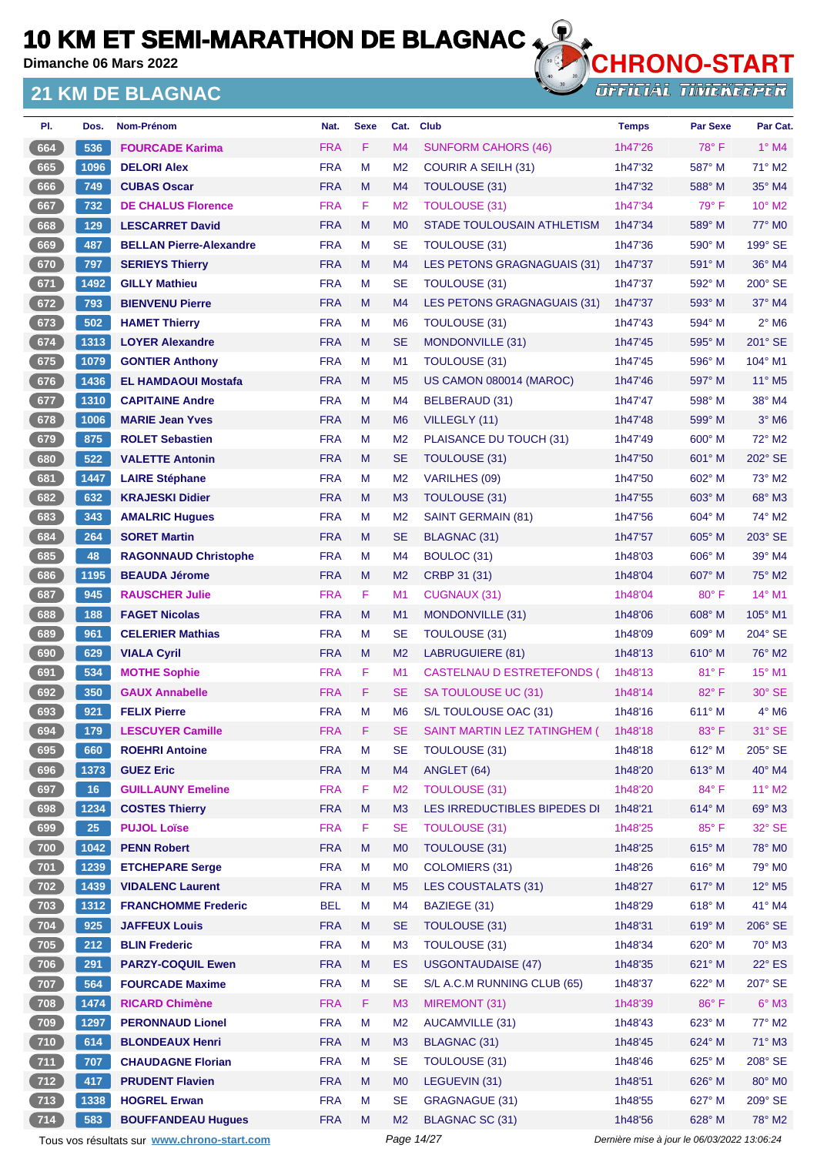**Dimanche 06 Mars 2022**

#### **21 KM DE BLAGNAC**



| PI.          | Dos. | Nom-Prénom                                  | Nat.       | <b>Sexe</b> | Cat.           | <b>Club</b>                  | <b>Temps</b>                                | <b>Par Sexe</b> | Par Cat.                    |
|--------------|------|---------------------------------------------|------------|-------------|----------------|------------------------------|---------------------------------------------|-----------------|-----------------------------|
| 664          | 536  | <b>FOURCADE Karima</b>                      | <b>FRA</b> | F.          | M4             | <b>SUNFORM CAHORS (46)</b>   | 1h47'26                                     | $78^\circ$ F    | $1^\circ$ M4                |
| 665          | 1096 | <b>DELORI Alex</b>                          | <b>FRA</b> | М           | M <sub>2</sub> | <b>COURIR A SEILH (31)</b>   | 1h47'32                                     | 587° M          | $71^\circ$ M2               |
| 666          | 749  | <b>CUBAS Oscar</b>                          | <b>FRA</b> | M           | M <sub>4</sub> | TOULOUSE (31)                | 1h47'32                                     | 588° M          | 35° M4                      |
| 667          | 732  | <b>DE CHALUS Florence</b>                   | <b>FRA</b> | F           | M <sub>2</sub> | <b>TOULOUSE (31)</b>         | 1h47'34                                     | 79° F           | 10° M2                      |
| 668          | 129  | <b>LESCARRET David</b>                      | <b>FRA</b> | M           | M <sub>0</sub> | STADE TOULOUSAIN ATHLETISM   | 1h47'34                                     | 589° M          | 77° M0                      |
| 669          | 487  | <b>BELLAN Pierre-Alexandre</b>              | <b>FRA</b> | M           | <b>SE</b>      | <b>TOULOUSE (31)</b>         | 1h47'36                                     | $590^\circ$ M   | 199° SE                     |
| 670          | 797  | <b>SERIEYS Thierry</b>                      | <b>FRA</b> | M           | M <sub>4</sub> | LES PETONS GRAGNAGUAIS (31)  | 1h47'37                                     | 591° M          | 36° M4                      |
| 671          | 1492 | <b>GILLY Mathieu</b>                        | <b>FRA</b> | М           | <b>SE</b>      | <b>TOULOUSE (31)</b>         | 1h47'37                                     | 592° M          | $200^\circ$ SE              |
| 672          | 793  | <b>BIENVENU Pierre</b>                      | <b>FRA</b> | M           | M <sub>4</sub> | LES PETONS GRAGNAGUAIS (31)  | 1h47'37                                     | $593^\circ$ M   | $37^\circ$ M4               |
| 673          | 502  | <b>HAMET Thierry</b>                        | <b>FRA</b> | M           | M <sub>6</sub> | <b>TOULOUSE (31)</b>         | 1h47'43                                     | 594° M          | $2°$ M <sub>6</sub>         |
| 674          | 1313 | <b>LOYER Alexandre</b>                      | <b>FRA</b> | M           | <b>SE</b>      | MONDONVILLE (31)             | 1h47'45                                     | $595^\circ$ M   | 201° SE                     |
| 675          | 1079 | <b>GONTIER Anthony</b>                      | <b>FRA</b> | М           | M <sub>1</sub> | <b>TOULOUSE (31)</b>         | 1h47'45                                     | $596^\circ$ M   | 104° M1                     |
| 676          | 1436 | <b>EL HAMDAOUI Mostafa</b>                  | <b>FRA</b> | M           | M <sub>5</sub> | US CAMON 080014 (MAROC)      | 1h47'46                                     | 597° M          | $11^{\circ}$ M <sub>5</sub> |
| 677          | 1310 | <b>CAPITAINE Andre</b>                      | <b>FRA</b> | М           | M4             | BELBERAUD (31)               | 1h47'47                                     | 598° M          | 38° M4                      |
| 678          | 1006 | <b>MARIE Jean Yves</b>                      | <b>FRA</b> | M           | M <sub>6</sub> | VILLEGLY (11)                | 1h47'48                                     | 599° M          | $3°$ M <sub>6</sub>         |
| 679          | 875  | <b>ROLET Sebastien</b>                      | <b>FRA</b> | М           | M <sub>2</sub> | PLAISANCE DU TOUCH (31)      | 1h47'49                                     | $600^\circ$ M   | 72° M2                      |
| 680          | 522  | <b>VALETTE Antonin</b>                      | <b>FRA</b> | M           | <b>SE</b>      | TOULOUSE (31)                | 1h47'50                                     | 601° M          | 202° SE                     |
| 681          | 1447 | <b>LAIRE Stéphane</b>                       | <b>FRA</b> | М           | M <sub>2</sub> | <b>VARILHES (09)</b>         | 1h47'50                                     | $602^\circ$ M   | 73° M2                      |
| 682          | 632  | <b>KRAJESKI Didier</b>                      | <b>FRA</b> | M           | M <sub>3</sub> | TOULOUSE (31)                | 1h47'55                                     | 603° M          | 68° M3                      |
| 683          | 343  | <b>AMALRIC Hugues</b>                       | <b>FRA</b> | М           | M <sub>2</sub> | <b>SAINT GERMAIN (81)</b>    | 1h47'56                                     | $604^\circ$ M   | 74° M2                      |
| 684          | 264  | <b>SORET Martin</b>                         | <b>FRA</b> | M           | <b>SE</b>      | <b>BLAGNAC (31)</b>          | 1h47'57                                     | 605° M          | 203° SE                     |
| 685          | 48   | <b>RAGONNAUD Christophe</b>                 | <b>FRA</b> | М           | M4             | BOULOC (31)                  | 1h48'03                                     | $606^\circ$ M   | 39° M4                      |
| 686          | 1195 | <b>BEAUDA Jérome</b>                        | <b>FRA</b> | M           | M <sub>2</sub> | CRBP 31 (31)                 | 1h48'04                                     | $607^\circ$ M   | 75° M2                      |
| 687          | 945  | <b>RAUSCHER Julie</b>                       | <b>FRA</b> | F           | M1             | CUGNAUX (31)                 | 1h48'04                                     | $80^\circ$ F    | 14° M1                      |
| 688          | 188  | <b>FAGET Nicolas</b>                        | <b>FRA</b> | M           | M <sub>1</sub> | MONDONVILLE (31)             | 1h48'06                                     | $608^\circ$ M   | $105^\circ$ M1              |
| 689          | 961  | <b>CELERIER Mathias</b>                     | <b>FRA</b> | М           | <b>SE</b>      | <b>TOULOUSE (31)</b>         | 1h48'09                                     | $609^\circ$ M   | 204° SE                     |
| 690          | 629  | <b>VIALA Cyril</b>                          | <b>FRA</b> | M           | M <sub>2</sub> | <b>LABRUGUIERE (81)</b>      | 1h48'13                                     | $610^\circ$ M   | 76° M2                      |
| 691          | 534  | <b>MOTHE Sophie</b>                         | <b>FRA</b> | F           | M <sub>1</sub> | CASTELNAU D ESTRETEFONDS (   | 1h48'13                                     | 81°F            | 15° M1                      |
| 692          | 350  | <b>GAUX Annabelle</b>                       | <b>FRA</b> | F.          | <b>SE</b>      | SA TOULOUSE UC (31)          | 1h48'14                                     | $82^{\circ}$ F  | 30° SE                      |
| 693          | 921  | <b>FELIX Pierre</b>                         | <b>FRA</b> | M           | M <sub>6</sub> | S/L TOULOUSE OAC (31)        | 1h48'16                                     | 611° M          | 4° M6                       |
| 694          | 179  | <b>LESCUYER Camille</b>                     | <b>FRA</b> | F           | <b>SE</b>      | SAINT MARTIN LEZ TATINGHEM ( | 1h48'18                                     | 83° F           | 31° SE                      |
| 695          | 660  | <b>ROEHRI Antoine</b>                       | <b>FRA</b> | M           | <b>SE</b>      | <b>TOULOUSE (31)</b>         | 1h48'18                                     | 612° M          | 205° SE                     |
| 696          | 1373 | <b>GUEZ Eric</b>                            | <b>FRA</b> | M           | M4             | ANGLET (64)                  | 1h48'20                                     | 613° M          | 40° M4                      |
| 697          | 16   | <b>GUILLAUNY Emeline</b>                    | <b>FRA</b> | F           | M <sub>2</sub> | <b>TOULOUSE (31)</b>         | 1h48'20                                     | 84°F            | $11^{\circ}$ M2             |
| 698          | 1234 | <b>COSTES Thierry</b>                       | <b>FRA</b> | M           | M3             | LES IRREDUCTIBLES BIPEDES DI | 1h48'21                                     | 614° M          | 69° M3                      |
| 699          | 25   | <b>PUJOL Loïse</b>                          | <b>FRA</b> | F           | <b>SE</b>      | <b>TOULOUSE (31)</b>         | 1h48'25                                     | 85°F            | 32° SE                      |
| (700)        | 1042 | <b>PENN Robert</b>                          | <b>FRA</b> | M           | M <sub>0</sub> | <b>TOULOUSE (31)</b>         | 1h48'25                                     | 615° M          | 78° M0                      |
| $\sqrt{701}$ | 1239 | <b>ETCHEPARE Serge</b>                      | <b>FRA</b> | M           | M <sub>0</sub> | <b>COLOMIERS (31)</b>        | 1h48'26                                     | $616^\circ$ M   | 79° M0                      |
| 702          | 1439 | <b>VIDALENC Laurent</b>                     | <b>FRA</b> | M           | M <sub>5</sub> | LES COUSTALATS (31)          | 1h48'27                                     | 617° M          | 12° M5                      |
| 703          | 1312 | <b>FRANCHOMME Frederic</b>                  | <b>BEL</b> | M           | M4             | BAZIEGE (31)                 | 1h48'29                                     | 618° M          | 41° M4                      |
| 704          | 925  | <b>JAFFEUX Louis</b>                        | <b>FRA</b> | M           | <b>SE</b>      | TOULOUSE (31)                | 1h48'31                                     | 619° M          | 206° SE                     |
| $705$        | 212  | <b>BLIN Frederic</b>                        | <b>FRA</b> | М           | M <sub>3</sub> | <b>TOULOUSE (31)</b>         | 1h48'34                                     | 620° M          | $70^\circ$ M3               |
| (706)        | 291  | <b>PARZY-COQUIL Ewen</b>                    | <b>FRA</b> | M           | ES             | <b>USGONTAUDAISE (47)</b>    | 1h48'35                                     | 621° M          | $22^{\circ}$ ES             |
| 707          | 564  | <b>FOURCADE Maxime</b>                      | <b>FRA</b> | M           | <b>SE</b>      | S/L A.C.M RUNNING CLUB (65)  | 1h48'37                                     | 622° M          | 207° SE                     |
| 708          | 1474 | <b>RICARD Chimène</b>                       | <b>FRA</b> | F           | M <sub>3</sub> | MIREMONT (31)                | 1h48'39                                     | 86°F            | $6^\circ$ M3                |
| $709$        | 1297 | <b>PERONNAUD Lionel</b>                     | <b>FRA</b> | M           | M <sub>2</sub> | <b>AUCAMVILLE (31)</b>       | 1h48'43                                     | 623° M          | 77° M2                      |
| 710          | 614  | <b>BLONDEAUX Henri</b>                      | <b>FRA</b> | M           | M <sub>3</sub> | BLAGNAC (31)                 | 1h48'45                                     | 624° M          | 71° M3                      |
| 711          | 707  | <b>CHAUDAGNE Florian</b>                    | <b>FRA</b> | M           | <b>SE</b>      | TOULOUSE (31)                | 1h48'46                                     | 625° M          | 208° SE                     |
| $712$        | 417  | <b>PRUDENT Flavien</b>                      | <b>FRA</b> | M           | M <sub>0</sub> | LEGUEVIN (31)                | 1h48'51                                     | 626° M          | 80° M0                      |
| $\sqrt{713}$ | 1338 | <b>HOGREL Erwan</b>                         | <b>FRA</b> | М           | <b>SE</b>      | <b>GRAGNAGUE (31)</b>        | 1h48'55                                     | 627° M          | 209° SE                     |
| 714          | 583  | <b>BOUFFANDEAU Hugues</b>                   | <b>FRA</b> | M           | M <sub>2</sub> | BLAGNAC SC (31)              | 1h48'56                                     | 628° M          | 78° M2                      |
|              |      | Tous vos résultats sur www.chrono-start.com |            |             |                | Page 14/27                   | Dernière mise à jour le 06/03/2022 13:06:24 |                 |                             |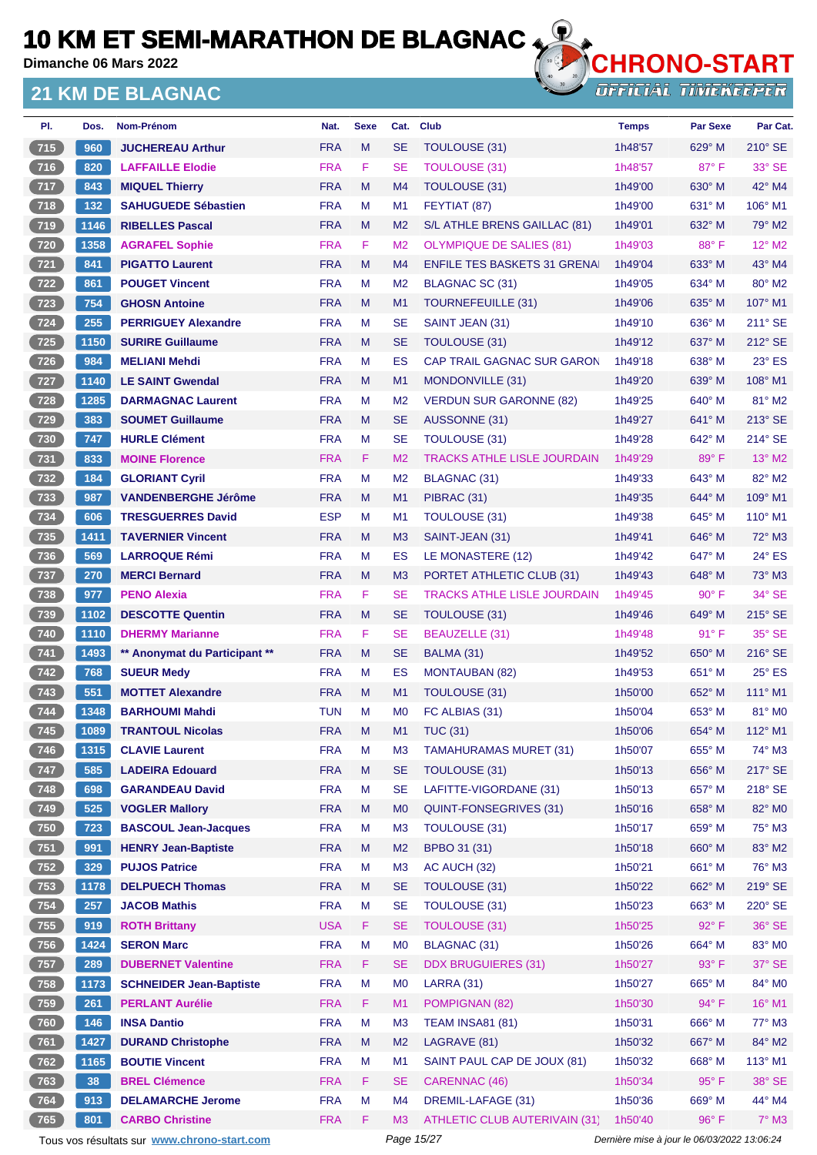**Dimanche 06 Mars 2022**

#### **21 KM DE BLAGNAC**



**OFFICIAL TIMEKEEPER** 

| PI.          | Dos.                 | Nom-Prénom                     | Nat.       | <b>Sexe</b> | Cat.           | <b>Club</b>                         | <b>Temps</b> | <b>Par Sexe</b> | Par Cat.         |
|--------------|----------------------|--------------------------------|------------|-------------|----------------|-------------------------------------|--------------|-----------------|------------------|
| 715          | 960                  | <b>JUCHEREAU Arthur</b>        | <b>FRA</b> | M           | <b>SE</b>      | TOULOUSE (31)                       | 1h48'57      | 629° M          | 210° SE          |
| 716          | 820                  | <b>LAFFAILLE Elodie</b>        | <b>FRA</b> | F           | <b>SE</b>      | <b>TOULOUSE (31)</b>                | 1h48'57      | $87^\circ$ F    | $33^\circ$ SE    |
| 717          | 843                  | <b>MIQUEL Thierry</b>          | <b>FRA</b> | M           | M <sub>4</sub> | TOULOUSE (31)                       | 1h49'00      | $630^\circ$ M   | 42° M4           |
| $\sqrt{718}$ | 132                  | <b>SAHUGUEDE Sébastien</b>     | <b>FRA</b> | M           | M <sub>1</sub> | FEYTIAT (87)                        | 1h49'00      | $631^\circ$ M   | $106^\circ$ M1   |
| 719          | 1146                 | <b>RIBELLES Pascal</b>         | <b>FRA</b> | M           | M <sub>2</sub> | S/L ATHLE BRENS GAILLAC (81)        | 1h49'01      | 632° M          | 79° M2           |
| $720$        | 1358                 | <b>AGRAFEL Sophie</b>          | <b>FRA</b> | F           | M <sub>2</sub> | <b>OLYMPIQUE DE SALIES (81)</b>     | 1h49'03      | 88°F            | 12° M2           |
| 721          | 841                  | <b>PIGATTO Laurent</b>         | <b>FRA</b> | M           | M4             | <b>ENFILE TES BASKETS 31 GRENAL</b> | 1h49'04      | 633° M          | $43^\circ$ M4    |
| $722$        | 861                  | <b>POUGET Vincent</b>          | <b>FRA</b> | М           | M <sub>2</sub> | BLAGNAC SC (31)                     | 1h49'05      | $634^\circ$ M   | 80° M2           |
| 723          | 754                  | <b>GHOSN Antoine</b>           | <b>FRA</b> | M           | M <sub>1</sub> | TOURNEFEUILLE (31)                  | 1h49'06      | 635° M          | 107° M1          |
| $724$        | 255                  | <b>PERRIGUEY Alexandre</b>     | <b>FRA</b> | M           | <b>SE</b>      | SAINT JEAN (31)                     | 1h49'10      | $636^\circ$ M   | $211^\circ$ SE   |
| 725          | 1150                 | <b>SURIRE Guillaume</b>        | <b>FRA</b> | M           | <b>SE</b>      | TOULOUSE (31)                       | 1h49'12      | 637° M          | 212° SE          |
| $726$        | 984                  | <b>MELIANI Mehdi</b>           | <b>FRA</b> | M           | <b>ES</b>      | <b>CAP TRAIL GAGNAC SUR GARON</b>   | 1h49'18      | 638° M          | $23^\circ$ ES    |
| 727          | 1140                 | <b>LE SAINT Gwendal</b>        | <b>FRA</b> | M           | M <sub>1</sub> | MONDONVILLE (31)                    | 1h49'20      | $639^\circ$ M   | 108° M1          |
| 728          | 1285                 | <b>DARMAGNAC Laurent</b>       | <b>FRA</b> | м           | M <sub>2</sub> | <b>VERDUN SUR GARONNE (82)</b>      | 1h49'25      | $640^\circ$ M   | 81° M2           |
| 729          | 383                  | <b>SOUMET Guillaume</b>        | <b>FRA</b> | M           | <b>SE</b>      | AUSSONNE (31)                       | 1h49'27      | $641^\circ$ M   | $213^\circ$ SE   |
| $730$        | 747                  | <b>HURLE Clément</b>           | <b>FRA</b> | м           | <b>SE</b>      | <b>TOULOUSE (31)</b>                | 1h49'28      | 642° M          | $214^\circ$ SE   |
| $\sqrt{731}$ | 833                  | <b>MOINE Florence</b>          | <b>FRA</b> | F.          | M <sub>2</sub> | <b>TRACKS ATHLE LISLE JOURDAIN</b>  | 1h49'29      | 89°F            | 13° M2           |
| $732$        | 184                  | <b>GLORIANT Cyril</b>          | <b>FRA</b> | M           | M <sub>2</sub> | BLAGNAC (31)                        | 1h49'33      | 643° M          | 82° M2           |
| 733          | 987                  | <b>VANDENBERGHE Jérôme</b>     | <b>FRA</b> | M           | M <sub>1</sub> | PIBRAC (31)                         | 1h49'35      | $644^{\circ}$ M | 109° M1          |
| $734$        | 606                  | <b>TRESGUERRES David</b>       | <b>ESP</b> | М           | M <sub>1</sub> | TOULOUSE (31)                       | 1h49'38      | 645° M          | $110^{\circ}$ M1 |
| 735          | 1411                 | <b>TAVERNIER Vincent</b>       | <b>FRA</b> | M           | M <sub>3</sub> | SAINT-JEAN (31)                     | 1h49'41      | $646^{\circ}$ M | $72^\circ$ M3    |
| $736$        | 569                  | <b>LARROQUE Rémi</b>           | <b>FRA</b> | м           | ES             | LE MONASTERE (12)                   | 1h49'42      | 647° M          | $24^\circ$ ES    |
| $737$        | 270                  | <b>MERCI Bernard</b>           | <b>FRA</b> | M           | M <sub>3</sub> | PORTET ATHLETIC CLUB (31)           | 1h49'43      | 648° M          | $73^\circ$ M3    |
| $738$        | 977                  | <b>PENO Alexia</b>             | <b>FRA</b> | F           | <b>SE</b>      | <b>TRACKS ATHLE LISLE JOURDAIN</b>  | 1h49'45      | $90^\circ$ F    | $34^\circ$ SE    |
| 739          | 1102                 | <b>DESCOTTE Quentin</b>        | <b>FRA</b> | M           | <b>SE</b>      | TOULOUSE (31)                       | 1h49'46      | 649° M          | $215^\circ$ SE   |
| $740$        | 1110                 | <b>DHERMY Marianne</b>         | <b>FRA</b> | F           | <b>SE</b>      | <b>BEAUZELLE (31)</b>               | 1h49'48      | $91^{\circ}$ F  | 35° SE           |
| 741          | 1493                 | ** Anonymat du Participant **  | <b>FRA</b> | M           | <b>SE</b>      | BALMA (31)                          | 1h49'52      | $650^\circ$ M   | $216^\circ$ SE   |
| $\sqrt{742}$ | 768                  | <b>SUEUR Medv</b>              | <b>FRA</b> | М           | ES             | <b>MONTAUBAN (82)</b>               | 1h49'53      | $651^\circ$ M   | $25^\circ$ ES    |
| 743          | 551                  | <b>MOTTET Alexandre</b>        | <b>FRA</b> | M           | M1             | TOULOUSE (31)                       | 1h50'00      | 652° M          | $111^\circ$ M1   |
| $744$        | 1348                 | <b>BARHOUMI Mahdi</b>          | <b>TUN</b> | м           | M <sub>0</sub> | FC ALBIAS (31)                      | 1h50'04      | 653° M          | 81° MO           |
| (745)        | $\vert$ 1089 $\vert$ | <b>TRANTOUL Nicolas</b>        | <b>FRA</b> | M           | M1             | <b>TUC (31)</b>                     | 1h50'06      | 654° M          | 112° M1          |
| 746          | 1315                 | <b>CLAVIE Laurent</b>          | <b>FRA</b> | M           | M <sub>3</sub> | <b>TAMAHURAMAS MURET (31)</b>       | 1h50'07      | $655^{\circ}$ M | 74° M3           |
| 747          | 585                  | <b>LADEIRA Edouard</b>         | <b>FRA</b> | M           | <b>SE</b>      | TOULOUSE (31)                       | 1h50'13      | 656° M          | 217° SE          |
| $748$        | 698                  | <b>GARANDEAU David</b>         | <b>FRA</b> | M           | <b>SE</b>      | LAFITTE-VIGORDANE (31)              | 1h50'13      | 657° M          | 218° SE          |
| 749          | 525                  | <b>VOGLER Mallory</b>          | <b>FRA</b> | M           | M <sub>0</sub> | QUINT-FONSEGRIVES (31)              | 1h50'16      | $658^\circ$ M   | 82° M0           |
| 750          | 723                  | <b>BASCOUL Jean-Jacques</b>    | <b>FRA</b> | M           | M <sub>3</sub> | TOULOUSE (31)                       | 1h50'17      | 659° M          | 75° M3           |
| 751          | 991                  | <b>HENRY Jean-Baptiste</b>     | <b>FRA</b> | M           | M <sub>2</sub> | BPBO 31 (31)                        | 1h50'18      | 660° M          | 83° M2           |
| $752$        | 329                  | <b>PUJOS Patrice</b>           | <b>FRA</b> | M           | M <sub>3</sub> | AC AUCH (32)                        | 1h50'21      | 661° M          | 76° M3           |
| 753          | 1178                 | <b>DELPUECH Thomas</b>         | <b>FRA</b> | M           | <b>SE</b>      | TOULOUSE (31)                       | 1h50'22      | 662° M          | 219° SE          |
| $754$        | 257                  | <b>JACOB Mathis</b>            | <b>FRA</b> | M           | <b>SE</b>      | TOULOUSE (31)                       | 1h50'23      | 663° M          | 220° SE          |
| 755          | 919                  | <b>ROTH Brittany</b>           | <b>USA</b> | F.          | <b>SE</b>      | <b>TOULOUSE (31)</b>                | 1h50'25      | $92^\circ$ F    | 36° SE           |
| $756$        | 1424                 | <b>SERON Marc</b>              | <b>FRA</b> | M           | M <sub>0</sub> | <b>BLAGNAC (31)</b>                 | 1h50'26      | 664° M          | 83° MO           |
| 757          | 289                  | <b>DUBERNET Valentine</b>      | <b>FRA</b> | F           | <b>SE</b>      | <b>DDX BRUGUIERES (31)</b>          | 1h50'27      | 93° F           | $37^\circ$ SE    |
| $758$        | 1173                 | <b>SCHNEIDER Jean-Baptiste</b> | <b>FRA</b> | M           | M <sub>0</sub> | <b>LARRA (31)</b>                   | 1h50'27      | 665° M          | 84° MO           |
| 759          | 261                  | <b>PERLANT Aurélie</b>         | <b>FRA</b> | F           | M1             | POMPIGNAN (82)                      | 1h50'30      | 94° F           | 16° M1           |
| 760          | 146                  | <b>INSA Dantio</b>             | <b>FRA</b> | M           | M <sub>3</sub> | <b>TEAM INSA81 (81)</b>             | 1h50'31      | 666° M          | 77° M3           |
| 761          | 1427                 | <b>DURAND Christophe</b>       | <b>FRA</b> | M           | M <sub>2</sub> | LAGRAVE (81)                        | 1h50'32      | 667° M          | 84° M2           |
| $762$        | 1165                 | <b>BOUTIE Vincent</b>          | <b>FRA</b> | M           | M1             | SAINT PAUL CAP DE JOUX (81)         | 1h50'32      | 668° M          | $113^\circ$ M1   |
| $763$        | 38                   | <b>BREL Clémence</b>           | <b>FRA</b> | F           | <b>SE</b>      | <b>CARENNAC (46)</b>                | 1h50'34      | 95°F            | $38^\circ$ SE    |
| 764          | 913                  | <b>DELAMARCHE Jerome</b>       | <b>FRA</b> | M           | M <sub>4</sub> | DREMIL-LAFAGE (31)                  | 1h50'36      | 669° M          | 44° M4           |
| 765          | 801                  | <b>CARBO Christine</b>         | <b>FRA</b> | F           | M3             | ATHLETIC CLUB AUTERIVAIN (31)       | 1h50'40      | $96^{\circ}$ F  | $7^\circ$ M3     |

Tous vos résultats sur **[www.chrono-start.com](https://www.chrono-start.com/)** Page 15/27 Page 15/27 Dernière mise à jour le 06/03/2022 13:06:24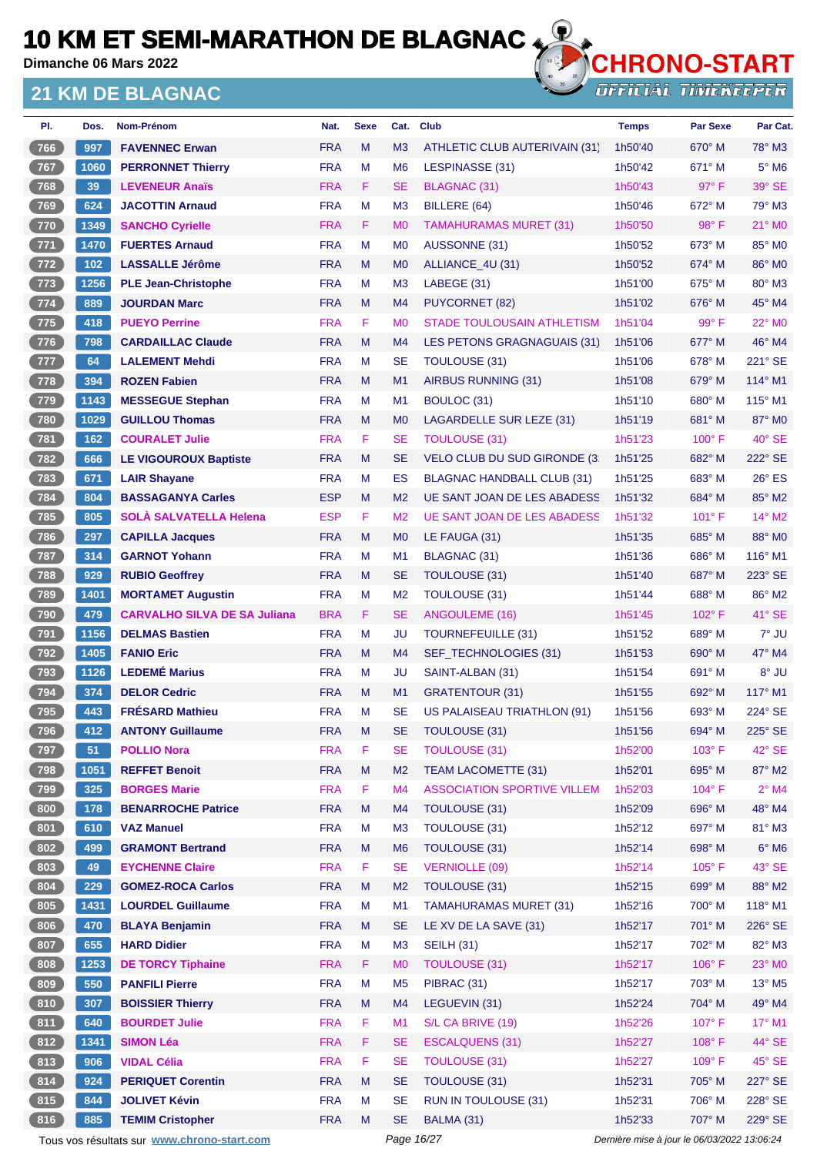**Dimanche 06 Mars 2022**

#### **21 KM DE BLAGNAC**



| PI.              | Dos.  | Nom-Prénom                                  | Nat.       | <b>Sexe</b> | Cat.           | <b>Club</b>                         | <b>Temps</b>                                | <b>Par Sexe</b> | Par Cat.                    |
|------------------|-------|---------------------------------------------|------------|-------------|----------------|-------------------------------------|---------------------------------------------|-----------------|-----------------------------|
| 766              | 997   | <b>FAVENNEC Erwan</b>                       | <b>FRA</b> | M           | M3             | ATHLETIC CLUB AUTERIVAIN (31)       | 1h50'40                                     | $670^\circ$ M   | 78° M3                      |
| 767              | 1060  | <b>PERRONNET Thierry</b>                    | <b>FRA</b> | M           | M <sub>6</sub> | LESPINASSE (31)                     | 1h50'42                                     | $671^\circ$ M   | $5^\circ$ M6                |
| (768)            | 39    | <b>LEVENEUR Anaïs</b>                       | <b>FRA</b> | F.          | <b>SE</b>      | <b>BLAGNAC (31)</b>                 | 1h50'43                                     | 97° F           | 39° SE                      |
| 769              | 624   | <b>JACOTTIN Arnaud</b>                      | <b>FRA</b> | M           | M <sub>3</sub> | BILLERE (64)                        | 1h50'46                                     | $672^\circ$ M   | 79° M3                      |
| $770$            | 1349  | <b>SANCHO Cyrielle</b>                      | <b>FRA</b> | F.          | M <sub>0</sub> | <b>TAMAHURAMAS MURET (31)</b>       | 1h50'50                                     | $98^\circ$ F    | 21° MO                      |
| $\sqrt{771}$     | 1470  | <b>FUERTES Arnaud</b>                       | <b>FRA</b> | M           | M <sub>0</sub> | AUSSONNE (31)                       | 1h50'52                                     | $673^\circ$ M   | 85° MO                      |
| 772              | $102$ | <b>LASSALLE Jérôme</b>                      | <b>FRA</b> | M           | M <sub>0</sub> | ALLIANCE 4U (31)                    | 1h50'52                                     | 674° M          | 86° M0                      |
| $773$            | 1256  | <b>PLE Jean-Christophe</b>                  | <b>FRA</b> | M           | M <sub>3</sub> | LABEGE (31)                         | 1h51'00                                     | $675^\circ$ M   | $80^\circ$ M3               |
| 774              | 889   | <b>JOURDAN Marc</b>                         | <b>FRA</b> | M           | M4             | <b>PUYCORNET (82)</b>               | 1h51'02                                     | $676^\circ$ M   | 45° M4                      |
| $775$            | 418   | <b>PUEYO Perrine</b>                        | <b>FRA</b> | F.          | M <sub>0</sub> | <b>STADE TOULOUSAIN ATHLETISM</b>   | 1h51'04                                     | 99° F           | 22° M0                      |
| $776$            | 798   | <b>CARDAILLAC Claude</b>                    | <b>FRA</b> | M           | M4             | LES PETONS GRAGNAGUAIS (31)         | 1h51'06                                     | 677° M          | 46° M4                      |
| $\overline{777}$ | 64    | <b>LALEMENT Mehdi</b>                       | <b>FRA</b> | M           | <b>SE</b>      | <b>TOULOUSE (31)</b>                | 1h51'06                                     | $678^\circ$ M   | 221° SE                     |
| (778)            | 394   | <b>ROZEN Fabien</b>                         | <b>FRA</b> | M           | M1             | AIRBUS RUNNING (31)                 | 1h51'08                                     | $679^\circ$ M   | $114^\circ$ M1              |
| 779              | 1143  | <b>MESSEGUE Stephan</b>                     | <b>FRA</b> | M           | M1             | BOULOC (31)                         | 1h51'10                                     | 680° M          | $115^\circ$ M1              |
| $780$            | 1029  | <b>GUILLOU Thomas</b>                       | <b>FRA</b> | M           | M <sub>0</sub> | LAGARDELLE SUR LEZE (31)            | 1h51'19                                     | 681° M          | 87° M0                      |
| $781$            | 162   | <b>COURALET Julie</b>                       | <b>FRA</b> | F           | <b>SE</b>      | <b>TOULOUSE (31)</b>                | 1h51'23                                     | $100^\circ$ F   | $40^\circ$ SE               |
| 782              | 666   | <b>LE VIGOUROUX Baptiste</b>                | <b>FRA</b> | M           | <b>SE</b>      | <b>VELO CLUB DU SUD GIRONDE (3)</b> | 1h51'25                                     | 682° M          | 222° SE                     |
| $783$            | 671   | <b>LAIR Shayane</b>                         | <b>FRA</b> | M           | <b>ES</b>      | <b>BLAGNAC HANDBALL CLUB (31)</b>   | 1h51'25                                     | $683^\circ$ M   | $26^{\circ}$ ES             |
| $784$            | 804   | <b>BASSAGANYA Carles</b>                    | <b>ESP</b> | M           | M <sub>2</sub> | <b>UE SANT JOAN DE LES ABADESS</b>  | 1h51'32                                     | $684^\circ$ M   | 85° M2                      |
| $785$            | 805   | <b>SOLÀ SALVATELLA Helena</b>               | <b>ESP</b> | F.          | M <sub>2</sub> | <b>UE SANT JOAN DE LES ABADESS</b>  | 1h51'32                                     | $101^\circ$ F   | $14^{\circ}$ M2             |
| 786              | 297   | <b>CAPILLA Jacques</b>                      | <b>FRA</b> | M           | M <sub>0</sub> | LE FAUGA (31)                       | 1h51'35                                     | 685° M          | 88° MO                      |
| $787$            | 314   | <b>GARNOT Yohann</b>                        | <b>FRA</b> | M           | M1             | <b>BLAGNAC (31)</b>                 | 1h51'36                                     | $686^\circ$ M   | $116^\circ$ M1              |
| 788              | 929   | <b>RUBIO Geoffrey</b>                       | <b>FRA</b> | M           | <b>SE</b>      | <b>TOULOUSE (31)</b>                | 1h51'40                                     | 687° M          | 223° SE                     |
| $789$            | 1401  | <b>MORTAMET Augustin</b>                    | <b>FRA</b> | M           | M <sub>2</sub> | <b>TOULOUSE (31)</b>                | 1h51'44                                     | $688^\circ$ M   | 86° M2                      |
| 790              | 479   | <b>CARVALHO SILVA DE SA Juliana</b>         | <b>BRA</b> | F.          | <b>SE</b>      | ANGOULEME (16)                      | 1h51'45                                     | 102°F           | 41° SE                      |
| 791              | 1156  | <b>DELMAS Bastien</b>                       | <b>FRA</b> | M           | JU             | <b>TOURNEFEUILLE (31)</b>           | 1h51'52                                     | $689^\circ$ M   | 7° JU                       |
|                  | 1405  | <b>FANIO Eric</b>                           | <b>FRA</b> | M           | M4             | SEF_TECHNOLOGIES (31)               | 1h51'53                                     | 690° M          | 47° M4                      |
| $792$<br>$793$   |       | <b>LEDEMÉ Marius</b>                        | <b>FRA</b> |             |                |                                     |                                             |                 | 8° JU                       |
|                  | 1126  |                                             |            | М           | JU             | SAINT-ALBAN (31)                    | 1h51'54                                     | $691^\circ$ M   |                             |
| 794              | 374   | <b>DELOR Cedric</b>                         | <b>FRA</b> | M           | M1             | <b>GRATENTOUR (31)</b>              | 1h51'55                                     | 692° M          | $117^\circ$ M1              |
| 795              | 443   | <b>FRÉSARD Mathieu</b>                      | <b>FRA</b> | M           | <b>SE</b>      | <b>US PALAISEAU TRIATHLON (91)</b>  | 1h51'56                                     | $693^\circ$ M   | 224° SE                     |
| (796)            | 412   | <b>ANTONY Guillaume</b>                     | <b>FRA</b> | M           | <b>SE</b>      | <b>TOULOUSE (31)</b>                | 1h51'56                                     | 694° M          | 225° SE                     |
| $797$            | 51    | <b>POLLIO Nora</b>                          | <b>FRA</b> | F           | <b>SE</b>      | <b>TOULOUSE (31)</b>                | 1h52'00                                     | 103° F          | 42° SE                      |
| 798              | 1051  | <b>REFFET Benoit</b>                        | <b>FRA</b> | M           | M <sub>2</sub> | TEAM LACOMETTE (31)                 | 1h52'01                                     | 695° M          | 87° M2                      |
| 799              | 325   | <b>BORGES Marie</b>                         | <b>FRA</b> | F           | M <sub>4</sub> | <b>ASSOCIATION SPORTIVE VILLEM</b>  | 1h52'03                                     | 104° F          | $2^{\circ}$ M4              |
| 800              | 178   | <b>BENARROCHE Patrice</b>                   | <b>FRA</b> | M           | M4             | <b>TOULOUSE (31)</b>                | 1h52'09                                     | 696° M          | 48° M4                      |
| 801              | 610   | <b>VAZ Manuel</b>                           | <b>FRA</b> | M           | M <sub>3</sub> | TOULOUSE (31)                       | 1h52'12                                     | 697° M          | 81° M3                      |
| 802              | 499   | <b>GRAMONT Bertrand</b>                     | <b>FRA</b> | M           | M <sub>6</sub> | TOULOUSE (31)                       | 1h52'14                                     | 698° M          | $6^{\circ}$ M6              |
| 803              | 49    | <b>EYCHENNE Claire</b>                      | <b>FRA</b> | F           | <b>SE</b>      | <b>VERNIOLLE (09)</b>               | 1h52'14                                     | $105^\circ$ F   | 43° SE                      |
| 804              | 229   | <b>GOMEZ-ROCA Carlos</b>                    | <b>FRA</b> | M           | M <sub>2</sub> | <b>TOULOUSE (31)</b>                | 1h52'15                                     | 699° M          | 88° M2                      |
| 805              | 1431  | <b>LOURDEL Guillaume</b>                    | <b>FRA</b> | M           | M1             | <b>TAMAHURAMAS MURET (31)</b>       | 1h52'16                                     | 700° M          | 118° M1                     |
| 806              | 470   | <b>BLAYA Benjamin</b>                       | <b>FRA</b> | M           | <b>SE</b>      | LE XV DE LA SAVE (31)               | 1h52'17                                     | 701° M          | 226° SE                     |
| 807              | 655   | <b>HARD Didier</b>                          | <b>FRA</b> | M           | M <sub>3</sub> | <b>SEILH (31)</b>                   | 1h52'17                                     | 702° M          | 82° M3                      |
| 808              | 1253  | <b>DE TORCY Tiphaine</b>                    | <b>FRA</b> | F           | M <sub>0</sub> | <b>TOULOUSE (31)</b>                | 1h52'17                                     | 106°F           | 23° MO                      |
| 809              | 550   | <b>PANFILI Pierre</b>                       | <b>FRA</b> | M           | M <sub>5</sub> | PIBRAC (31)                         | 1h52'17                                     | 703° M          | $13^{\circ}$ M <sub>5</sub> |
| 810              | 307   | <b>BOISSIER Thierry</b>                     | <b>FRA</b> | M           | M4             | LEGUEVIN (31)                       | 1h52'24                                     | 704° M          | 49° M4                      |
| 811              | 640   | <b>BOURDET Julie</b>                        | <b>FRA</b> | F           | M1             | S/L CA BRIVE (19)                   | 1h52'26                                     | $107^\circ$ F   | $17^{\circ}$ M1             |
| 812              | 1341  | <b>SIMON Léa</b>                            | <b>FRA</b> | F.          | <b>SE</b>      | <b>ESCALQUENS (31)</b>              | 1h52'27                                     | 108° F          | 44° SE                      |
| 813              | 906   | <b>VIDAL Célia</b>                          | <b>FRA</b> | F           | <b>SE</b>      | <b>TOULOUSE (31)</b>                | 1h52'27                                     | 109°F           | 45° SE                      |
| 814              | 924   | <b>PERIQUET Corentin</b>                    | <b>FRA</b> | M           | <b>SE</b>      | TOULOUSE (31)                       | 1h52'31                                     | 705° M          | 227° SE                     |
| 815              | 844   | <b>JOLIVET Kévin</b>                        | <b>FRA</b> | M           | <b>SE</b>      | <b>RUN IN TOULOUSE (31)</b>         | 1h52'31                                     | 706° M          | 228° SE                     |
| 816              | 885   | <b>TEMIM Cristopher</b>                     | <b>FRA</b> | M           | <b>SE</b>      | BALMA (31)                          | 1h52'33                                     | 707° M          | 229° SE                     |
|                  |       | Tous vos résultats sur www.chrono-start.com |            |             | Page 16/27     |                                     | Dernière mise à jour le 06/03/2022 13:06:24 |                 |                             |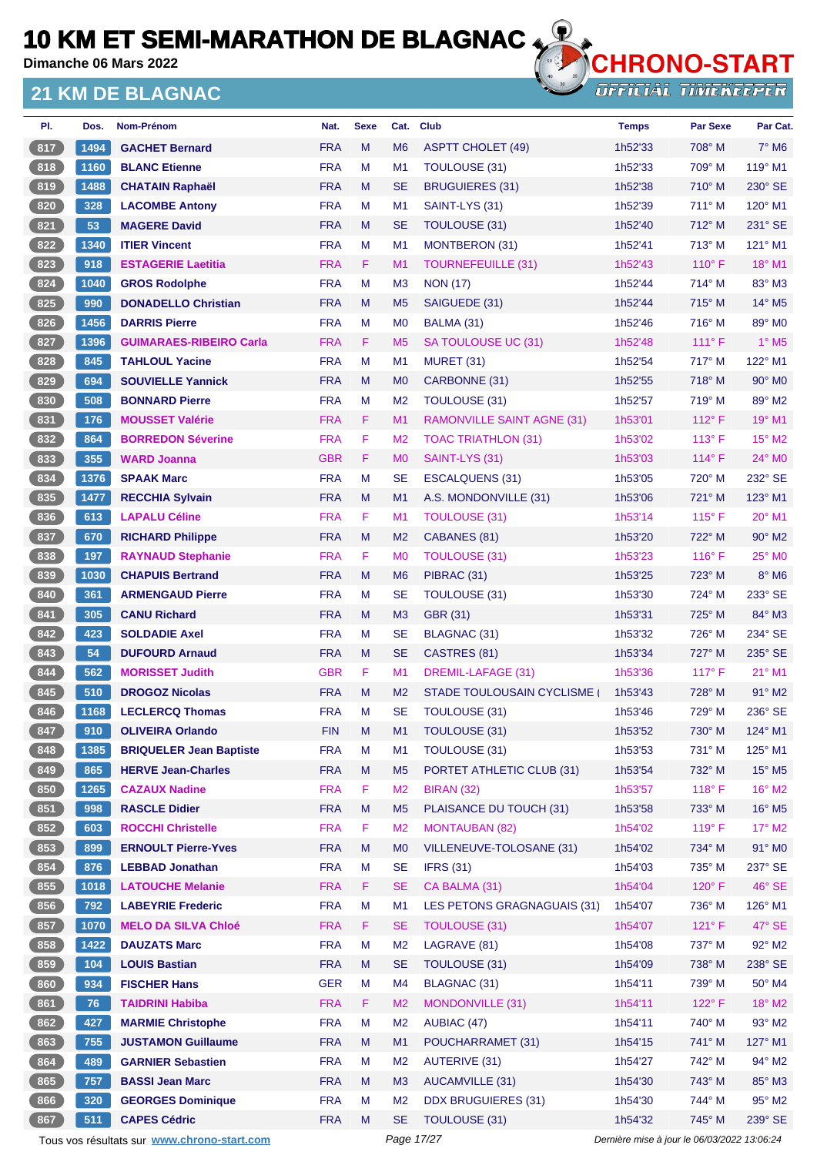**Dimanche 06 Mars 2022**

#### **21 KM DE BLAGNAC**



| PI.   | Dos. | Nom-Prénom                                  | Nat.       | <b>Sexe</b> | Cat.           | <b>Club</b>                        | <b>Temps</b>                                | <b>Par Sexe</b> | Par Cat.                    |
|-------|------|---------------------------------------------|------------|-------------|----------------|------------------------------------|---------------------------------------------|-----------------|-----------------------------|
| 817   | 1494 | <b>GACHET Bernard</b>                       | <b>FRA</b> | M           | M <sub>6</sub> | <b>ASPTT CHOLET (49)</b>           | 1h52'33                                     | 708° M          | $7^\circ$ M <sub>6</sub>    |
| 818   | 1160 | <b>BLANC Etienne</b>                        | <b>FRA</b> | M           | M <sub>1</sub> | <b>TOULOUSE (31)</b>               | 1h52'33                                     | 709° M          | $119^\circ$ M1              |
| 819   | 1488 | <b>CHATAIN Raphaël</b>                      | <b>FRA</b> | M           | <b>SE</b>      | <b>BRUGUIERES (31)</b>             | 1h52'38                                     | $710^\circ$ M   | 230° SE                     |
| 820   | 328  | <b>LACOMBE Antony</b>                       | <b>FRA</b> | M           | M <sub>1</sub> | SAINT-LYS (31)                     | 1h52'39                                     | $711^\circ$ M   | 120° M1                     |
| 821   | 53   | <b>MAGERE David</b>                         | <b>FRA</b> | M           | <b>SE</b>      | TOULOUSE (31)                      | 1h52'40                                     | 712° M          | $231^\circ$ SE              |
| 822   | 1340 | <b>ITIER Vincent</b>                        | <b>FRA</b> | М           | M <sub>1</sub> | <b>MONTBERON (31)</b>              | 1h52'41                                     | 713° M          | 121° M1                     |
| 823   | 918  | <b>ESTAGERIE Laetitia</b>                   | <b>FRA</b> | F           | M <sub>1</sub> | <b>TOURNEFEUILLE (31)</b>          | 1h52'43                                     | $110^{\circ}$ F | 18° M1                      |
| 824   | 1040 | <b>GROS Rodolphe</b>                        | <b>FRA</b> | M           | M <sub>3</sub> | <b>NON (17)</b>                    | 1h52'44                                     | 714° M          | $83^\circ$ M3               |
| 825   | 990  | <b>DONADELLO Christian</b>                  | <b>FRA</b> | M           | M <sub>5</sub> | SAIGUEDE (31)                      | 1h52'44                                     | $715^\circ$ M   | $14^{\circ}$ M <sub>5</sub> |
| 826   | 1456 | <b>DARRIS Pierre</b>                        | <b>FRA</b> | М           | M <sub>0</sub> | BALMA (31)                         | 1h52'46                                     | $716^\circ$ M   | 89° M0                      |
| 827   | 1396 | <b>GUIMARAES-RIBEIRO Carla</b>              | <b>FRA</b> | F.          | M <sub>5</sub> | SA TOULOUSE UC (31)                | 1h52'48                                     | $111^\circ$ F   | $1^\circ$ M <sub>5</sub>    |
| 828   | 845  | <b>TAHLOUL Yacine</b>                       | <b>FRA</b> | м           | M <sub>1</sub> | <b>MURET (31)</b>                  | 1h52'54                                     | $717^\circ$ M   | 122° M1                     |
| 829   | 694  | <b>SOUVIELLE Yannick</b>                    | <b>FRA</b> | M           | M <sub>0</sub> | CARBONNE (31)                      | 1h52'55                                     | 718° M          | $90^\circ$ M <sub>0</sub>   |
| 830   | 508  | <b>BONNARD Pierre</b>                       | <b>FRA</b> | M           | M <sub>2</sub> | TOULOUSE (31)                      | 1h52'57                                     | 719° M          | 89° M2                      |
| 831   | 176  | <b>MOUSSET Valérie</b>                      | <b>FRA</b> | F           | M <sub>1</sub> | <b>RAMONVILLE SAINT AGNE (31)</b>  | 1h53'01                                     | $112^{\circ}$ F | $19°$ M1                    |
| $832$ | 864  | <b>BORREDON Séverine</b>                    | <b>FRA</b> | F           | M <sub>2</sub> | <b>TOAC TRIATHLON (31)</b>         | 1h53'02                                     | $113^\circ$ F   | $15^{\circ}$ M2             |
| 833   | 355  | <b>WARD Joanna</b>                          | <b>GBR</b> | F           | M <sub>0</sub> | SAINT-LYS (31)                     | 1h53'03                                     | $114^{\circ}$ F | $24^\circ$ MO               |
| 834   | 1376 | <b>SPAAK Marc</b>                           | <b>FRA</b> | M           | <b>SE</b>      | ESCALQUENS (31)                    | 1h53'05                                     | 720° M          | 232° SE                     |
| 835   | 1477 | <b>RECCHIA Sylvain</b>                      | <b>FRA</b> | M           | M <sub>1</sub> | A.S. MONDONVILLE (31)              | 1h53'06                                     | 721° M          | 123° M1                     |
| 836   | 613  | <b>LAPALU Céline</b>                        | <b>FRA</b> | F.          | M <sub>1</sub> | TOULOUSE (31)                      | 1h53'14                                     | $115^{\circ}$ F | $20^\circ$ M1               |
| 837   | 670  | <b>RICHARD Philippe</b>                     | <b>FRA</b> | M           | M <sub>2</sub> | CABANES (81)                       | 1h53'20                                     | 722° M          | $90^\circ$ M <sub>2</sub>   |
| 838   | 197  | <b>RAYNAUD Stephanie</b>                    | <b>FRA</b> | F           | M <sub>0</sub> | TOULOUSE (31)                      | 1h53'23                                     | $116^\circ$ F   | $25^\circ$ MO               |
| 839   | 1030 | <b>CHAPUIS Bertrand</b>                     | <b>FRA</b> | M           | M <sub>6</sub> | PIBRAC (31)                        | 1h53'25                                     | 723° M          | $8^\circ$ M <sub>6</sub>    |
| 840   | 361  | <b>ARMENGAUD Pierre</b>                     | <b>FRA</b> | M           | <b>SE</b>      | <b>TOULOUSE (31)</b>               | 1h53'30                                     | 724° M          | 233° SE                     |
| 841   | 305  | <b>CANU Richard</b>                         | <b>FRA</b> | M           | M <sub>3</sub> | GBR (31)                           | 1h53'31                                     | $725^\circ$ M   | 84° M3                      |
| 842   | 423  | <b>SOLDADIE Axel</b>                        | <b>FRA</b> | м           | <b>SE</b>      | BLAGNAC (31)                       | 1h53'32                                     | 726° M          | 234° SE                     |
| 843   | 54   | <b>DUFOURD Arnaud</b>                       | <b>FRA</b> | M           | <b>SE</b>      | CASTRES (81)                       | 1h53'34                                     | 727° M          | $235^\circ$ SE              |
| 844   | 562  | <b>MORISSET Judith</b>                      | <b>GBR</b> | F           | M <sub>1</sub> | DREMIL-LAFAGE (31)                 | 1h53'36                                     | $117^\circ$ F   | $21^{\circ}$ M1             |
| 845   | 510  | <b>DROGOZ Nicolas</b>                       | <b>FRA</b> | M           | M <sub>2</sub> | STADE TOULOUSAIN CYCLISME          | 1h53'43                                     | 728° M          | 91° M2                      |
| 846   | 1168 | <b>LECLERCQ Thomas</b>                      | <b>FRA</b> | м           | <b>SE</b>      | TOULOUSE (31)                      | 1h53'46                                     | 729° M          | 236° SE                     |
| 847   | 910  | <b>OLIVEIRA Orlando</b>                     | <b>FIN</b> | Μ           | M1             | TOULOUSE (31)                      | 1h53'52                                     | 730° M          | 124° M1                     |
| 848   | 1385 | <b>BRIQUELER Jean Baptiste</b>              | <b>FRA</b> | M           | M1             | TOULOUSE (31)                      | 1h53'53                                     | 731° M          | 125° M1                     |
| 849   | 865  | <b>HERVE Jean-Charles</b>                   | <b>FRA</b> | M           | M <sub>5</sub> | PORTET ATHLETIC CLUB (31)          | 1h53'54                                     | 732° M          | $15^{\circ}$ M <sub>5</sub> |
| 850   | 1265 | <b>CAZAUX Nadine</b>                        | <b>FRA</b> | F           | M <sub>2</sub> | <b>BIRAN (32)</b>                  | 1h53'57                                     | 118°F           | $16^{\circ}$ M2             |
| 851   | 998  | <b>RASCLE Didier</b>                        | <b>FRA</b> | ${\sf M}$   | M <sub>5</sub> | PLAISANCE DU TOUCH (31)            | 1h53'58                                     | 733° M          | 16° M5                      |
| 852   | 603  | <b>ROCCHI Christelle</b>                    | <b>FRA</b> | F           | M <sub>2</sub> | <b>MONTAUBAN (82)</b>              | 1h54'02                                     | 119°F           | $17^\circ$ M2               |
| 853   | 899  | <b>ERNOULT Pierre-Yves</b>                  | <b>FRA</b> | M           | M <sub>0</sub> | VILLENEUVE-TOLOSANE (31)           | 1h54'02                                     | 734° M          | 91° MO                      |
| 854   | 876  | <b>LEBBAD Jonathan</b>                      | <b>FRA</b> | M           | <b>SE</b>      | <b>IFRS (31)</b>                   | 1h54'03                                     | 735° M          | 237° SE                     |
| 855   | 1018 | <b>LATOUCHE Melanie</b>                     | <b>FRA</b> | F           | <b>SE</b>      | CA BALMA (31)                      | 1h54'04                                     | 120°F           | 46° SE                      |
| 856   | 792  | <b>LABEYRIE Frederic</b>                    | <b>FRA</b> | M           | M1             | <b>LES PETONS GRAGNAGUAIS (31)</b> | 1h54'07                                     | 736° M          | 126° M1                     |
| 857   | 1070 | <b>MELO DA SILVA Chloé</b>                  | <b>FRA</b> | F           | <b>SE</b>      | <b>TOULOUSE (31)</b>               | 1h54'07                                     | 121° F          | $47^\circ$ SE               |
| 858   | 1422 | <b>DAUZATS Marc</b>                         | <b>FRA</b> | M           | M <sub>2</sub> | LAGRAVE (81)                       | 1h54'08                                     | 737° M          | 92° M2                      |
| 859   | 104  | <b>LOUIS Bastian</b>                        | <b>FRA</b> | M           | <b>SE</b>      | TOULOUSE (31)                      | 1h54'09                                     | 738° M          | 238° SE                     |
| 860   |      | <b>FISCHER Hans</b>                         | <b>GER</b> | M           | M <sub>4</sub> | <b>BLAGNAC (31)</b>                |                                             | 739° M          | $50^\circ$ M4               |
|       | 934  |                                             |            |             |                |                                    | 1h54'11                                     |                 |                             |
| 861   | 76   | <b>TAIDRINI Habiba</b>                      | <b>FRA</b> | F           | M <sub>2</sub> | MONDONVILLE (31)                   | 1h54'11                                     | 122°F           | 18° M2                      |
| 862   | 427  | <b>MARMIE Christophe</b>                    | <b>FRA</b> | M           | M <sub>2</sub> | AUBIAC (47)                        | 1h54'11                                     | 740° M          | $93^\circ$ M2               |
| 863   | 755  | <b>JUSTAMON Guillaume</b>                   | <b>FRA</b> | M           | M1             | POUCHARRAMET (31)                  | 1h54'15                                     | 741° M          | 127° M1                     |
| 864   | 489  | <b>GARNIER Sebastien</b>                    | <b>FRA</b> | M           | M <sub>2</sub> | <b>AUTERIVE (31)</b>               | 1h54'27                                     | 742° M          | 94° M2                      |
| 865   | 757  | <b>BASSI Jean Marc</b>                      | <b>FRA</b> | M           | M3             | <b>AUCAMVILLE (31)</b>             | 1h54'30                                     | 743° M          | 85° M3                      |
| 866   | 320  | <b>GEORGES Dominique</b>                    | <b>FRA</b> | M           | M <sub>2</sub> | <b>DDX BRUGUIERES (31)</b>         | 1h54'30                                     | 744° M          | 95° M2                      |
| 867   | 511  | <b>CAPES Cédric</b>                         | <b>FRA</b> | M           | <b>SE</b>      | TOULOUSE (31)                      | 1h54'32                                     | 745° M          | 239° SE                     |
|       |      | Tous vos résultats sur www.chrono-start.com |            |             | Page 17/27     |                                    | Dernière mise à jour le 06/03/2022 13:06:24 |                 |                             |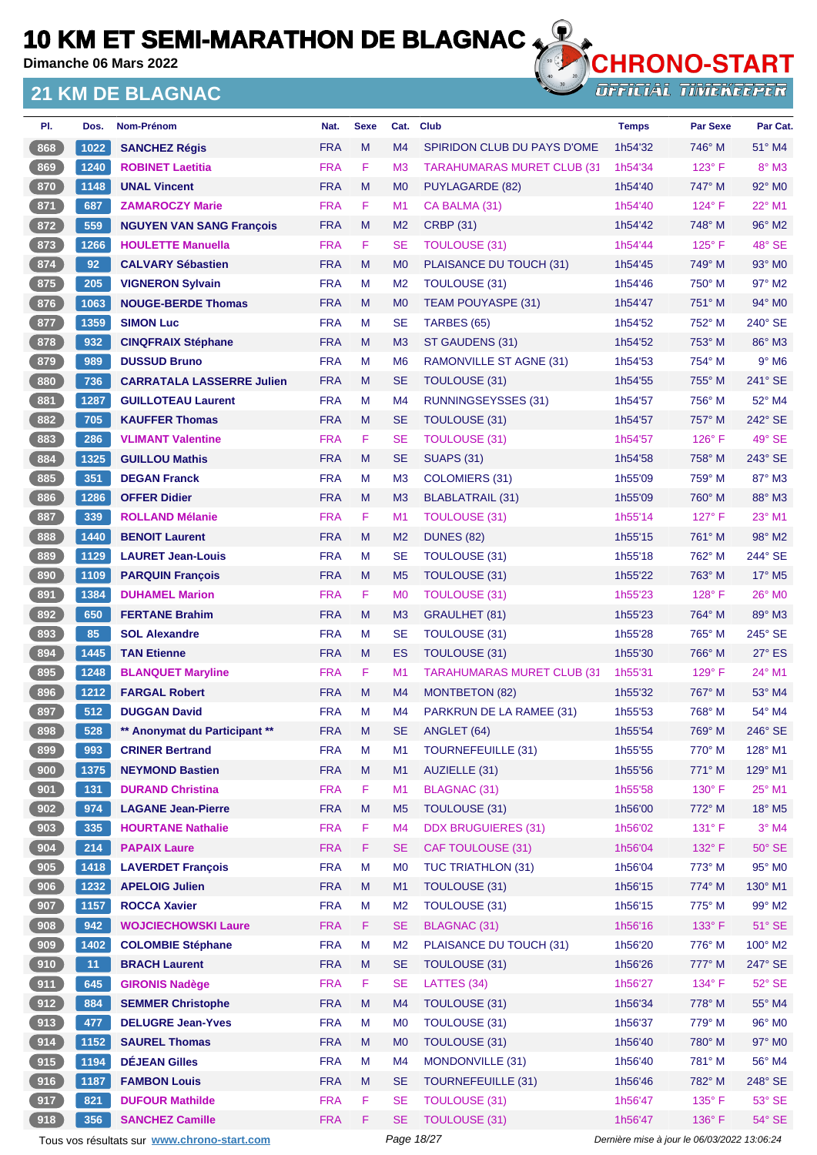**Dimanche 06 Mars 2022**

#### **21 KM DE BLAGNAC**



**OFFICIAL TIMEKEEPER** 

| PI.   | Dos. | Nom-Prénom                       | Nat.       | <b>Sexe</b> | Cat.           | <b>Club</b>                       | <b>Temps</b> | <b>Par Sexe</b> | Par Cat.       |
|-------|------|----------------------------------|------------|-------------|----------------|-----------------------------------|--------------|-----------------|----------------|
| 868   | 1022 | <b>SANCHEZ Régis</b>             | <b>FRA</b> | M           | M <sub>4</sub> | SPIRIDON CLUB DU PAYS D'OME       | 1h54'32      | 746° M          | 51° M4         |
| 869   | 1240 | <b>ROBINET Laetitia</b>          | <b>FRA</b> | F           | M <sub>3</sub> | <b>TARAHUMARAS MURET CLUB (31</b> | 1h54'34      | $123^\circ$ F   | $8^\circ$ M3   |
| 870   | 1148 | <b>UNAL Vincent</b>              | <b>FRA</b> | M           | M <sub>0</sub> | PUYLAGARDE (82)                   | 1h54'40      | 747° M          | $92^\circ$ MO  |
| 871   | 687  | <b>ZAMAROCZY Marie</b>           | <b>FRA</b> | F           | M1             | CA BALMA (31)                     | 1h54'40      | $124^\circ$ F   | 22° M1         |
| $872$ | 559  | <b>NGUYEN VAN SANG François</b>  | <b>FRA</b> | M           | M <sub>2</sub> | <b>CRBP (31)</b>                  | 1h54'42      | 748° M          | 96° M2         |
| 873   | 1266 | <b>HOULETTE Manuella</b>         | <b>FRA</b> | F.          | <b>SE</b>      | <b>TOULOUSE (31)</b>              | 1h54'44      | $125^\circ$ F   | 48° SE         |
| 874   | 92   | <b>CALVARY Sébastien</b>         | <b>FRA</b> | M           | M <sub>0</sub> | PLAISANCE DU TOUCH (31)           | 1h54'45      | 749° M          | $93^\circ$ MO  |
| 875   | 205  | <b>VIGNERON Sylvain</b>          | <b>FRA</b> | М           | M <sub>2</sub> | TOULOUSE (31)                     | 1h54'46      | $750^\circ$ M   | 97° M2         |
| 876   | 1063 | <b>NOUGE-BERDE Thomas</b>        | <b>FRA</b> | M           | M <sub>0</sub> | <b>TEAM POUYASPE (31)</b>         | 1h54'47      | $751^\circ$ M   | $94^\circ$ MO  |
| 877   | 1359 | <b>SIMON Luc</b>                 | <b>FRA</b> | M           | <b>SE</b>      | TARBES (65)                       | 1h54'52      | 752° M          | $240^\circ$ SE |
| 878   | 932  | <b>CINQFRAIX Stéphane</b>        | <b>FRA</b> | M           | M <sub>3</sub> | ST GAUDENS (31)                   | 1h54'52      | 753° M          | 86° M3         |
| 879   | 989  | <b>DUSSUD Bruno</b>              | <b>FRA</b> | М           | M <sub>6</sub> | <b>RAMONVILLE ST AGNE (31)</b>    | 1h54'53      | 754° M          | $9°$ M6        |
| 880   | 736  | <b>CARRATALA LASSERRE Julien</b> | <b>FRA</b> | M           | <b>SE</b>      | TOULOUSE (31)                     | 1h54'55      | 755° M          | 241° SE        |
| $881$ | 1287 | <b>GUILLOTEAU Laurent</b>        | <b>FRA</b> | М           | M <sub>4</sub> | <b>RUNNINGSEYSSES (31)</b>        | 1h54'57      | 756° M          | 52° M4         |
| 882   | 705  | <b>KAUFFER Thomas</b>            | <b>FRA</b> | M           | <b>SE</b>      | TOULOUSE (31)                     | 1h54'57      | 757° M          | 242° SE        |
| 883   | 286  | <b>VLIMANT Valentine</b>         | <b>FRA</b> | F.          | <b>SE</b>      | <b>TOULOUSE (31)</b>              | 1h54'57      | $126^\circ$ F   | 49° SE         |
| 884   | 1325 | <b>GUILLOU Mathis</b>            | <b>FRA</b> | M           | <b>SE</b>      | <b>SUAPS (31)</b>                 | 1h54'58      | 758° M          | 243° SE        |
| 885   | 351  | <b>DEGAN Franck</b>              | <b>FRA</b> | М           | M <sub>3</sub> | COLOMIERS (31)                    | 1h55'09      | 759° M          | 87° M3         |
| 886   | 1286 | <b>OFFER Didier</b>              | <b>FRA</b> | M           | M <sub>3</sub> | BLABLATRAIL (31)                  | 1h55'09      | $760^\circ$ M   | 88° M3         |
| 887   | 339  | <b>ROLLAND Mélanie</b>           | <b>FRA</b> | F.          | M <sub>1</sub> | <b>TOULOUSE (31)</b>              | 1h55'14      | $127^\circ$ F   | 23° M1         |
| 888   | 1440 | <b>BENOIT Laurent</b>            | <b>FRA</b> | M           | M <sub>2</sub> | <b>DUNES (82)</b>                 | 1h55'15      | 761° M          | 98° M2         |
| 889   | 1129 | <b>LAURET Jean-Louis</b>         | <b>FRA</b> | М           | <b>SE</b>      | TOULOUSE (31)                     | 1h55'18      | 762° M          | 244° SE        |
| 890   | 1109 | <b>PARQUIN François</b>          | <b>FRA</b> | M           | M <sub>5</sub> | TOULOUSE (31)                     | 1h55'22      | 763° M          | 17° M5         |
| 891   | 1384 | <b>DUHAMEL Marion</b>            | <b>FRA</b> | F           | M <sub>0</sub> | <b>TOULOUSE (31)</b>              | 1h55'23      | $128^\circ$ F   | 26° MO         |
| 892   | 650  | <b>FERTANE Brahim</b>            | <b>FRA</b> | M           | M <sub>3</sub> | <b>GRAULHET (81)</b>              | 1h55'23      | $764^\circ$ M   | 89° M3         |
| 893   | 85   | <b>SOL Alexandre</b>             | <b>FRA</b> | М           | <b>SE</b>      | TOULOUSE (31)                     | 1h55'28      | 765° M          | 245° SE        |
| 894   | 1445 | <b>TAN Etienne</b>               | <b>FRA</b> | M           | <b>ES</b>      | TOULOUSE (31)                     | 1h55'30      | 766° M          | $27^\circ$ ES  |
| 895   | 1248 | <b>BLANQUET Maryline</b>         | <b>FRA</b> | F.          | M <sub>1</sub> | <b>TARAHUMARAS MURET CLUB (31</b> | 1h55'31      | $129^\circ$ F   | 24° M1         |
| 896   | 1212 | <b>FARGAL Robert</b>             | <b>FRA</b> | M           | M <sub>4</sub> | <b>MONTBETON (82)</b>             | 1h55'32      | 767° M          | 53° M4         |
| 897   | 512  | <b>DUGGAN David</b>              | <b>FRA</b> | M           | M4             | PARKRUN DE LA RAMEE (31)          | 1h55'53      | 768° M          | 54° M4         |
| 898   | 528  | ** Anonymat du Participant **    | <b>FRA</b> | M           | <b>SE</b>      | ANGLET (64)                       | 1h55'54      | 769° M          | 246° SE        |
| $899$ | 993  | <b>CRINER Bertrand</b>           | <b>FRA</b> | M           | M1             | <b>TOURNEFEUILLE (31)</b>         | 1h55'55      | 770° M          | 128° M1        |
| 900   | 1375 | <b>NEYMOND Bastien</b>           | <b>FRA</b> | M           | M1             | AUZIELLE (31)                     | 1h55'56      | 771° M          | 129° M1        |
| 901   | 131  | <b>DURAND Christina</b>          | <b>FRA</b> | F           | M1             | BLAGNAC (31)                      | 1h55'58      | 130° F          | 25° M1         |
| 902   | 974  | <b>LAGANE Jean-Pierre</b>        | <b>FRA</b> | M           | M <sub>5</sub> | TOULOUSE (31)                     | 1h56'00      | 772° M          | 18° M5         |
| 903   | 335  | <b>HOURTANE Nathalie</b>         | <b>FRA</b> | F           | M4             | <b>DDX BRUGUIERES (31)</b>        | 1h56'02      | $131^\circ$ F   | $3°$ M4        |
| 904   | 214  | <b>PAPAIX Laure</b>              | <b>FRA</b> | F.          | <b>SE</b>      | <b>CAF TOULOUSE (31)</b>          | 1h56'04      | 132° F          | $50^\circ$ SE  |
| 905   | 1418 | <b>LAVERDET François</b>         | <b>FRA</b> | M           | M <sub>0</sub> | <b>TUC TRIATHLON (31)</b>         | 1h56'04      | 773° M          | 95° MO         |
| 906   | 1232 | <b>APELOIG Julien</b>            | <b>FRA</b> | M           | M1             | <b>TOULOUSE (31)</b>              | 1h56'15      | 774° M          | 130° M1        |
| 907   | 1157 | <b>ROCCA Xavier</b>              | <b>FRA</b> | M           | M <sub>2</sub> | TOULOUSE (31)                     | 1h56'15      | 775° M          | 99° M2         |
| 908   | 942  | <b>WOJCIECHOWSKI Laure</b>       | <b>FRA</b> | F.          | <b>SE</b>      | <b>BLAGNAC (31)</b>               | 1h56'16      | $133^\circ$ F   | $51^\circ$ SE  |
| 909   | 1402 | <b>COLOMBIE Stéphane</b>         | <b>FRA</b> | M           | M <sub>2</sub> | PLAISANCE DU TOUCH (31)           | 1h56'20      | 776° M          | 100° M2        |
| (910) | 11   | <b>BRACH Laurent</b>             | <b>FRA</b> | M           | <b>SE</b>      | TOULOUSE (31)                     | 1h56'26      | 777° M          | 247° SE        |
| 911   | 645  | <b>GIRONIS Nadège</b>            | <b>FRA</b> | F           | <b>SE</b>      | LATTES (34)                       | 1h56'27      | 134°F           | $52^\circ$ SE  |
| 912   | 884  | <b>SEMMER Christophe</b>         | <b>FRA</b> | M           | M4             | <b>TOULOUSE (31)</b>              | 1h56'34      | 778° M          | 55° M4         |
| 913   | 477  | <b>DELUGRE Jean-Yves</b>         | <b>FRA</b> | M           | M <sub>0</sub> | TOULOUSE (31)                     | 1h56'37      | 779° M          | 96° M0         |
| 914   | 1152 | <b>SAUREL Thomas</b>             | <b>FRA</b> | M           | M <sub>0</sub> | TOULOUSE (31)                     | 1h56'40      | 780° M          | 97° M0         |
| 915   | 1194 | <b>DÉJEAN Gilles</b>             | <b>FRA</b> | M           | M4             | MONDONVILLE (31)                  | 1h56'40      | 781° M          | 56° M4         |
| (916) | 1187 | <b>FAMBON Louis</b>              | <b>FRA</b> | M           | <b>SE</b>      | <b>TOURNEFEUILLE (31)</b>         | 1h56'46      | 782° M          | 248° SE        |
| 917   | 821  | <b>DUFOUR Mathilde</b>           | <b>FRA</b> | F           | <b>SE</b>      | <b>TOULOUSE (31)</b>              | 1h56'47      | 135° F          | 53° SE         |
| 918   | 356  | <b>SANCHEZ Camille</b>           | <b>FRA</b> | F           | <b>SE</b>      | <b>TOULOUSE (31)</b>              | 1h56'47      | 136°F           | 54° SE         |

Tous vos résultats sur **[www.chrono-start.com](https://www.chrono-start.com/)** Page 18/27 Page 18/27 Dernière mise à jour le 06/03/2022 13:06:24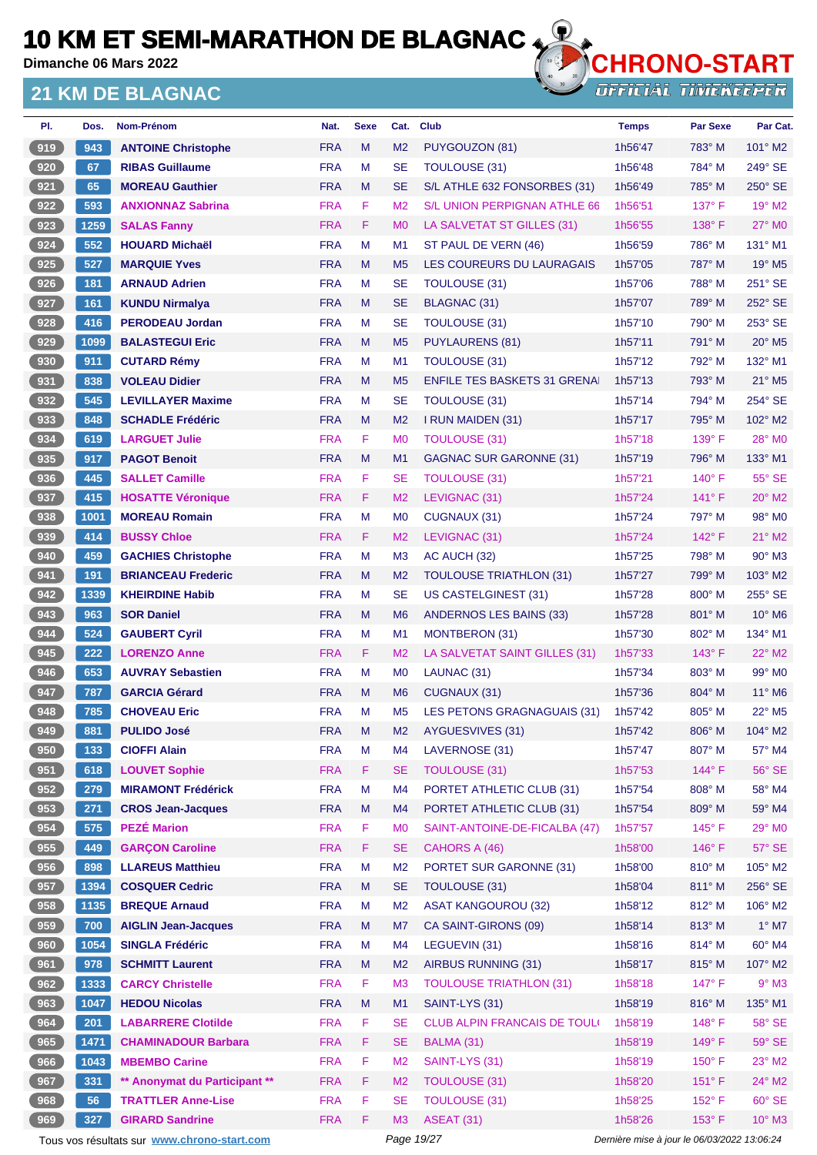**Dimanche 06 Mars 2022**

#### **21 KM DE BLAGNAC**



**OFFICIAL TIMEKEEPER** 

| PI. | Dos. | Nom-Prénom                    | Nat.       | <b>Sexe</b> | Cat.           | <b>Club</b>                         | <b>Temps</b> | <b>Par Sexe</b> | Par Cat.                    |
|-----|------|-------------------------------|------------|-------------|----------------|-------------------------------------|--------------|-----------------|-----------------------------|
| 919 | 943  | <b>ANTOINE Christophe</b>     | <b>FRA</b> | M           | M <sub>2</sub> | PUYGOUZON (81)                      | 1h56'47      | 783° M          | $101^\circ$ M2              |
| 920 | 67   | <b>RIBAS Guillaume</b>        | <b>FRA</b> | M           | <b>SE</b>      | <b>TOULOUSE (31)</b>                | 1h56'48      | 784° M          | 249° SE                     |
| 921 | 65   | <b>MOREAU Gauthier</b>        | <b>FRA</b> | M           | <b>SE</b>      | S/L ATHLE 632 FONSORBES (31)        | 1h56'49      | $785^\circ$ M   | 250° SE                     |
| 922 | 593  | <b>ANXIONNAZ Sabrina</b>      | <b>FRA</b> | F           | M <sub>2</sub> | S/L UNION PERPIGNAN ATHLE 66        | 1h56'51      | 137° F          | 19° M2                      |
| 923 | 1259 | <b>SALAS Fanny</b>            | <b>FRA</b> | F           | M <sub>0</sub> | LA SALVETAT ST GILLES (31)          | 1h56'55      | $138^\circ$ F   | $27^\circ$ MO               |
| 924 | 552  | <b>HOUARD Michaël</b>         | <b>FRA</b> | M           | M <sub>1</sub> | ST PAUL DE VERN (46)                | 1h56'59      | 786° M          | $131^\circ$ M1              |
| 925 | 527  | <b>MARQUIE Yves</b>           | <b>FRA</b> | M           | M <sub>5</sub> | LES COUREURS DU LAURAGAIS           | 1h57'05      | 787° M          | 19° M5                      |
| 926 | 181  | <b>ARNAUD Adrien</b>          | <b>FRA</b> | M           | <b>SE</b>      | TOULOUSE (31)                       | 1h57'06      | 788° M          | 251° SE                     |
| 927 | 161  | <b>KUNDU Nirmalya</b>         | <b>FRA</b> | M           | <b>SE</b>      | <b>BLAGNAC (31)</b>                 | 1h57'07      | 789° M          | 252° SE                     |
| 928 | 416  | <b>PERODEAU Jordan</b>        | <b>FRA</b> | M           | <b>SE</b>      | <b>TOULOUSE (31)</b>                | 1h57'10      | 790° M          | 253° SE                     |
| 929 | 1099 | <b>BALASTEGUI Eric</b>        | <b>FRA</b> | M           | M <sub>5</sub> | PUYLAURENS (81)                     | 1h57'11      | 791° M          | $20^\circ$ M <sub>5</sub>   |
| 930 | 911  | <b>CUTARD Rémy</b>            | <b>FRA</b> | м           | M <sub>1</sub> | <b>TOULOUSE (31)</b>                | 1h57'12      | 792° M          | 132° M1                     |
| 931 | 838  | <b>VOLEAU Didier</b>          | <b>FRA</b> | M           | M <sub>5</sub> | <b>ENFILE TES BASKETS 31 GRENA</b>  | 1h57'13      | 793° M          | 21° M5                      |
| 932 | 545  | <b>LEVILLAYER Maxime</b>      | <b>FRA</b> | M           | <b>SE</b>      | TOULOUSE (31)                       | 1h57'14      | 794° M          | 254° SE                     |
| 933 | 848  | <b>SCHADLE Frédéric</b>       | <b>FRA</b> | M           | M <sub>2</sub> | I RUN MAIDEN (31)                   | 1h57'17      | 795° M          | 102° M2                     |
| 934 | 619  | <b>LARGUET Julie</b>          | <b>FRA</b> | F           | M <sub>0</sub> | <b>TOULOUSE (31)</b>                | 1h57'18      | $139^\circ$ F   | $28^\circ$ MO               |
| 935 | 917  | <b>PAGOT Benoit</b>           | <b>FRA</b> | M           | M <sub>1</sub> | <b>GAGNAC SUR GARONNE (31)</b>      | 1h57'19      | 796° M          | 133° M1                     |
| 936 | 445  | <b>SALLET Camille</b>         | <b>FRA</b> | F           | <b>SE</b>      | TOULOUSE (31)                       | 1h57'21      | 140° F          | 55° SE                      |
| 937 | 415  | <b>HOSATTE Véronique</b>      | <b>FRA</b> | F.          | M <sub>2</sub> | LEVIGNAC (31)                       | 1h57'24      | $141^\circ$ F   | $20^\circ$ M2               |
| 938 | 1001 | <b>MOREAU Romain</b>          | <b>FRA</b> | M           | M <sub>0</sub> | CUGNAUX (31)                        | 1h57'24      | 797° M          | 98° M <sub>0</sub>          |
| 939 | 414  | <b>BUSSY Chloe</b>            | <b>FRA</b> | F.          | M <sub>2</sub> | LEVIGNAC (31)                       | 1h57'24      | $142^\circ$ F   | $21^\circ$ M <sub>2</sub>   |
| 940 | 459  | <b>GACHIES Christophe</b>     | <b>FRA</b> | M           | M <sub>3</sub> | AC AUCH (32)                        | 1h57'25      | 798° M          | $90^\circ$ M3               |
| 941 | 191  | <b>BRIANCEAU Frederic</b>     | <b>FRA</b> | M           | M <sub>2</sub> | <b>TOULOUSE TRIATHLON (31)</b>      | 1h57'27      | 799° M          | 103° M2                     |
| 942 | 1339 | <b>KHEIRDINE Habib</b>        | <b>FRA</b> | M           | <b>SE</b>      | US CASTELGINEST (31)                | 1h57'28      | 800° M          | $255^{\circ}$ SE            |
| 943 | 963  | <b>SOR Daniel</b>             | <b>FRA</b> | M           | M <sub>6</sub> | ANDERNOS LES BAINS (33)             | 1h57'28      | $801^\circ$ M   | $10^{\circ}$ M <sub>6</sub> |
| 944 | 524  | <b>GAUBERT Cyril</b>          | <b>FRA</b> | м           | M <sub>1</sub> | <b>MONTBERON (31)</b>               | 1h57'30      | 802° M          | 134° M1                     |
| 945 | 222  | <b>LORENZO Anne</b>           | <b>FRA</b> | F           | M <sub>2</sub> | LA SALVETAT SAINT GILLES (31)       | 1h57'33      | $143^\circ$ F   | $22^\circ$ M2               |
| 946 | 653  | <b>AUVRAY Sebastien</b>       | <b>FRA</b> | м           | M <sub>0</sub> | LAUNAC (31)                         | 1h57'34      | 803° M          | 99° M0                      |
| 947 | 787  | <b>GARCIA Gérard</b>          | <b>FRA</b> | M           | M <sub>6</sub> | CUGNAUX (31)                        | 1h57'36      | 804° M          | $11^{\circ}$ M <sub>6</sub> |
| 948 | 785  | <b>CHOVEAU Eric</b>           | <b>FRA</b> | M           | M <sub>5</sub> | LES PETONS GRAGNAGUAIS (31)         | 1h57'42      | 805° M          | $22^{\circ}$ M <sub>5</sub> |
| 949 | 881  | <b>PULIDO José</b>            | <b>FRA</b> | M           | M <sub>2</sub> | AYGUESVIVES (31)                    | 1h57'42      | 806° M          | 104° M2                     |
| 950 | 133  | <b>CIOFFI Alain</b>           | <b>FRA</b> | M           | M <sub>4</sub> | LAVERNOSE (31)                      | 1h57'47      | 807° M          | 57° M4                      |
| 951 | 618  | <b>LOUVET Sophie</b>          | <b>FRA</b> | F           | <b>SE</b>      | <b>TOULOUSE (31)</b>                | 1h57'53      | 144°F           | 56° SE                      |
| 952 | 279  | <b>MIRAMONT Frédérick</b>     | <b>FRA</b> | М           | M <sub>4</sub> | PORTET ATHLETIC CLUB (31)           | 1h57'54      | 808° M          | 58° M4                      |
| 953 | 271  | <b>CROS Jean-Jacques</b>      | <b>FRA</b> | M           | M <sub>4</sub> | PORTET ATHLETIC CLUB (31)           | 1h57'54      | 809° M          | 59° M4                      |
| 954 | 575  | <b>PEZÉ Marion</b>            | <b>FRA</b> | F           | M <sub>0</sub> | SAINT-ANTOINE-DE-FICALBA (47)       | 1h57'57      | $145^\circ$ F   | 29° MO                      |
| 955 | 449  | <b>GARÇON Caroline</b>        | <b>FRA</b> | F           | <b>SE</b>      | CAHORS A (46)                       | 1h58'00      | 146°F           | 57° SE                      |
| 956 | 898  | <b>LLAREUS Matthieu</b>       | <b>FRA</b> | M           | M <sub>2</sub> | PORTET SUR GARONNE (31)             | 1h58'00      | 810° M          | 105° M2                     |
| 957 | 1394 | <b>COSQUER Cedric</b>         | <b>FRA</b> | M           | <b>SE</b>      | TOULOUSE (31)                       | 1h58'04      | 811° M          | 256° SE                     |
| 958 | 1135 | <b>BREQUE Arnaud</b>          | <b>FRA</b> | M           | M <sub>2</sub> | <b>ASAT KANGOUROU (32)</b>          | 1h58'12      | 812° M          | 106° M2                     |
| 959 | 700  | <b>AIGLIN Jean-Jacques</b>    | <b>FRA</b> | M           | M7             | CA SAINT-GIRONS (09)                | 1h58'14      | 813° M          | $1^\circ$ M7                |
| 960 | 1054 | <b>SINGLA Frédéric</b>        | <b>FRA</b> | M           | M <sub>4</sub> | LEGUEVIN (31)                       | 1h58'16      | 814° M          | 60° M4                      |
| 961 | 978  | <b>SCHMITT Laurent</b>        | <b>FRA</b> | M           | M <sub>2</sub> | AIRBUS RUNNING (31)                 | 1h58'17      | 815° M          | $107^\circ$ M2              |
| 962 | 1333 | <b>CARCY Christelle</b>       | <b>FRA</b> | F           | M <sub>3</sub> | <b>TOULOUSE TRIATHLON (31)</b>      | 1h58'18      | 147°F           | $9°$ M3                     |
| 963 | 1047 | <b>HEDOU Nicolas</b>          | <b>FRA</b> | M           | M1             | SAINT-LYS (31)                      | 1h58'19      | $816^\circ$ M   | 135° M1                     |
| 964 | 201  | <b>LABARRERE Clotilde</b>     | <b>FRA</b> | F           | <b>SE</b>      | <b>CLUB ALPIN FRANCAIS DE TOULO</b> | 1h58'19      | $148^\circ$ F   | 58° SE                      |
| 965 | 1471 | <b>CHAMINADOUR Barbara</b>    | <b>FRA</b> | F.          | <b>SE</b>      | BALMA (31)                          | 1h58'19      | 149°F           | 59° SE                      |
| 966 | 1043 | <b>MBEMBO Carine</b>          | <b>FRA</b> | F           | M <sub>2</sub> | SAINT-LYS (31)                      | 1h58'19      | 150° F          | $23^\circ$ M2               |
| 967 | 331  | ** Anonymat du Participant ** | <b>FRA</b> | F           | M2             | <b>TOULOUSE (31)</b>                | 1h58'20      | $151^\circ$ F   | $24^{\circ}$ M2             |
| 968 | 56   | <b>TRATTLER Anne-Lise</b>     | <b>FRA</b> | F           | <b>SE</b>      | <b>TOULOUSE (31)</b>                | 1h58'25      | 152°F           | $60^\circ$ SE               |
| 969 | 327  | <b>GIRARD Sandrine</b>        | <b>FRA</b> | F           | M <sub>3</sub> | ASEAT (31)                          | 1h58'26      | 153° F          | 10° M3                      |

Tous vos résultats sur **[www.chrono-start.com](https://www.chrono-start.com/)** Page 19/27 Page 19/27 Dernière mise à jour le 06/03/2022 13:06:24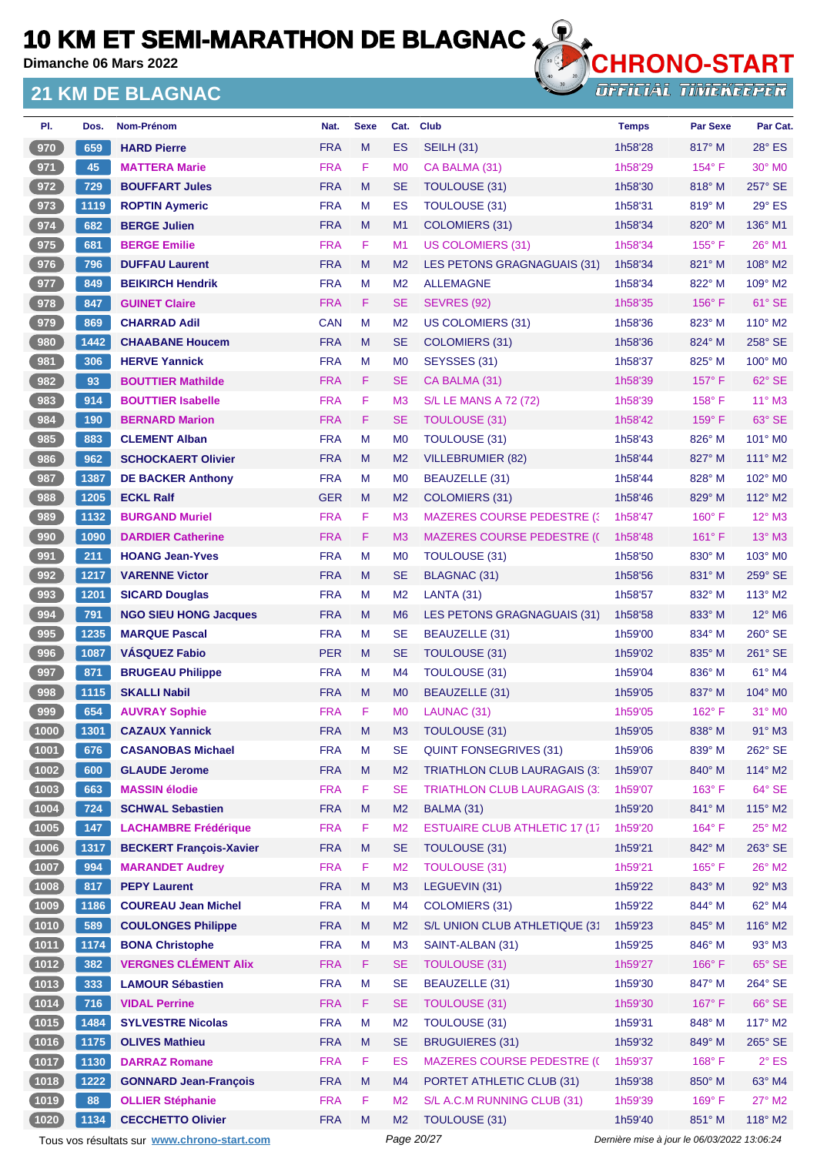**Dimanche 06 Mars 2022**

#### **21 KM DE BLAGNAC**



**OFFICIAL TIMEKEEPER** 

| PI.            | Dos. | <b>Nom-Prénom</b>              | Nat.       | <b>Sexe</b> | Cat.           | Club                                  | <b>Temps</b> | <b>Par Sexe</b> | Par Cat.        |
|----------------|------|--------------------------------|------------|-------------|----------------|---------------------------------------|--------------|-----------------|-----------------|
| 970            | 659  | <b>HARD Pierre</b>             | <b>FRA</b> | M           | <b>ES</b>      | <b>SEILH (31)</b>                     | 1h58'28      | 817° M          | $28^\circ$ ES   |
| 971            | 45   | <b>MATTERA Marie</b>           | <b>FRA</b> | F           | M <sub>0</sub> | CA BALMA (31)                         | 1h58'29      | $154^\circ$ F   | $30^\circ$ MO   |
| 972            | 729  | <b>BOUFFART Jules</b>          | <b>FRA</b> | M           | <b>SE</b>      | <b>TOULOUSE (31)</b>                  | 1h58'30      | 818° M          | 257° SE         |
| 973            | 1119 | <b>ROPTIN Aymeric</b>          | <b>FRA</b> | М           | ES             | TOULOUSE (31)                         | 1h58'31      | 819° M          | 29° ES          |
| 974            | 682  | <b>BERGE Julien</b>            | <b>FRA</b> | M           | M1             | COLOMIERS (31)                        | 1h58'34      | $820^\circ$ M   | 136° M1         |
| 975            | 681  | <b>BERGE Emilie</b>            | <b>FRA</b> | F           | M1             | <b>US COLOMIERS (31)</b>              | 1h58'34      | $155^{\circ}$ F | 26° M1          |
| 976            | 796  | <b>DUFFAU Laurent</b>          | <b>FRA</b> | M           | M <sub>2</sub> | LES PETONS GRAGNAGUAIS (31)           | 1h58'34      | 821° M          | $108^\circ$ M2  |
| 977            | 849  | <b>BEIKIRCH Hendrik</b>        | <b>FRA</b> | M           | M <sub>2</sub> | <b>ALLEMAGNE</b>                      | 1h58'34      | 822° M          | $109^\circ$ M2  |
| 978            | 847  | <b>GUINET Claire</b>           | <b>FRA</b> | F           | <b>SE</b>      | <b>SEVRES (92)</b>                    | 1h58'35      | $156^{\circ}$ F | 61° SE          |
| 979            | 869  | <b>CHARRAD Adil</b>            | <b>CAN</b> | м           | M <sub>2</sub> | US COLOMIERS (31)                     | 1h58'36      | 823° M          | 110° M2         |
| 980            | 1442 | <b>CHAABANE Houcem</b>         | <b>FRA</b> | M           | <b>SE</b>      | COLOMIERS (31)                        | 1h58'36      | $824^\circ$ M   | 258° SE         |
| 981            | 306  | <b>HERVE Yannick</b>           | <b>FRA</b> | M           | M <sub>0</sub> | SEYSSES (31)                          | 1h58'37      | 825° M          | $100^\circ$ MO  |
| 982            | 93   | <b>BOUTTIER Mathilde</b>       | <b>FRA</b> | F           | <b>SE</b>      | CA BALMA (31)                         | 1h58'39      | $157^\circ$ F   | $62^\circ$ SE   |
| 983            | 914  | <b>BOUTTIER Isabelle</b>       | <b>FRA</b> | F           | M <sub>3</sub> | <b>S/L LE MANS A 72 (72)</b>          | 1h58'39      | $158^\circ$ F   | $11^{\circ}$ M3 |
| 984            | 190  | <b>BERNARD Marion</b>          | <b>FRA</b> | F           | <b>SE</b>      | TOULOUSE (31)                         | 1h58'42      | 159°F           | 63° SE          |
| 985            | 883  | <b>CLEMENT Alban</b>           | <b>FRA</b> | м           | M <sub>0</sub> | <b>TOULOUSE (31)</b>                  | 1h58'43      | 826° M          | $101^\circ$ MO  |
| 986            | 962  | <b>SCHOCKAERT Olivier</b>      | <b>FRA</b> | M           | M <sub>2</sub> | VILLEBRUMIER (82)                     | 1h58'44      | 827° M          | 111° M2         |
| 987            | 1387 | <b>DE BACKER Anthony</b>       | <b>FRA</b> | M           | M <sub>0</sub> | BEAUZELLE (31)                        | 1h58'44      | 828° M          | $102^\circ$ MO  |
| 988            | 1205 | <b>ECKL Ralf</b>               | <b>GER</b> | M           | M <sub>2</sub> | <b>COLOMIERS (31)</b>                 | 1h58'46      | 829° M          | $112^\circ$ M2  |
| 989            | 1132 | <b>BURGAND Muriel</b>          | <b>FRA</b> | F           | M <sub>3</sub> | <b>MAZERES COURSE PEDESTRE (3)</b>    | 1h58'47      | $160^\circ$ F   | $12^{\circ}$ M3 |
| 990            | 1090 | <b>DARDIER Catherine</b>       | <b>FRA</b> | F           | M <sub>3</sub> | <b>MAZERES COURSE PEDESTRE (()</b>    | 1h58'48      | $161^\circ$ F   | $13^\circ$ M3   |
| 991            | 211  | <b>HOANG Jean-Yves</b>         | <b>FRA</b> | M           | M <sub>0</sub> | TOULOUSE (31)                         | 1h58'50      | $830^\circ$ M   | $103^\circ$ MO  |
| 992            | 1217 | <b>VARENNE Victor</b>          | <b>FRA</b> | M           | <b>SE</b>      | BLAGNAC (31)                          | 1h58'56      | 831° M          | $259^\circ$ SE  |
| 993            | 1201 | <b>SICARD Douglas</b>          | <b>FRA</b> | M           | M <sub>2</sub> | LANTA (31)                            | 1h58'57      | 832° M          | $113^\circ$ M2  |
| 994            | 791  | <b>NGO SIEU HONG Jacques</b>   | <b>FRA</b> | M           | M <sub>6</sub> | LES PETONS GRAGNAGUAIS (31)           | 1h58'58      | 833° M          | 12° M6          |
| 995            | 1235 | <b>MARQUE Pascal</b>           | <b>FRA</b> | M           | <b>SE</b>      | BEAUZELLE (31)                        | 1h59'00      | 834° M          | 260° SE         |
| 996            | 1087 | <b>VASQUEZ Fabio</b>           | <b>PER</b> | M           | <b>SE</b>      | TOULOUSE (31)                         | 1h59'02      | $835^\circ$ M   | 261° SE         |
| 997            | 871  | <b>BRUGEAU Philippe</b>        | <b>FRA</b> | М           | M4             | TOULOUSE (31)                         | 1h59'04      | 836° M          | 61° M4          |
| 998            | 1115 | <b>SKALLI Nabil</b>            | <b>FRA</b> | M           | M <sub>0</sub> | BEAUZELLE (31)                        | 1h59'05      | 837° M          | $104^\circ$ MO  |
| 999            | 654  | <b>AUVRAY Sophie</b>           | <b>FRA</b> | F           | M <sub>0</sub> | LAUNAC (31)                           | 1h59'05      | $162^\circ$ F   | $31^\circ$ MO   |
| (1000)         | 1301 | <b>CAZAUX Yannick</b>          | <b>FRA</b> | м           | M <sub>3</sub> | TOULOUSE (31)                         | 1h59'05      | 838° M          | $91^\circ$ M3   |
| (1001)         | 676  | <b>CASANOBAS Michael</b>       | <b>FRA</b> | M           | <b>SE</b>      | <b>QUINT FONSEGRIVES (31)</b>         | 1h59'06      | 839° M          | 262° SE         |
| (1002)         | 600  | <b>GLAUDE Jerome</b>           | <b>FRA</b> | M           | M <sub>2</sub> | <b>TRIATHLON CLUB LAURAGAIS (3)</b>   | 1h59'07      | $840^\circ$ M   | 114° M2         |
| (1003)         | 663  | <b>MASSIN élodie</b>           | <b>FRA</b> | F           | <b>SE</b>      | <b>TRIATHLON CLUB LAURAGAIS (3)</b>   | 1h59'07      | $163^\circ$ F   | 64° SE          |
| (1004)         | 724  | <b>SCHWAL Sebastien</b>        | <b>FRA</b> | M           | M <sub>2</sub> | BALMA (31)                            | 1h59'20      | 841° M          | 115° M2         |
| (1005)         | 147  | <b>LACHAMBRE Frédérique</b>    | <b>FRA</b> | F.          | M <sub>2</sub> | <b>ESTUAIRE CLUB ATHLETIC 17 (17)</b> | 1h59'20      | $164^\circ$ F   | $25^{\circ}$ M2 |
| (1006)         | 1317 | <b>BECKERT Francois-Xavier</b> | <b>FRA</b> | M           | <b>SE</b>      | TOULOUSE (31)                         | 1h59'21      | 842° M          | 263° SE         |
| $\boxed{1007}$ | 994  | <b>MARANDET Audrey</b>         | <b>FRA</b> | F           | M <sub>2</sub> | <b>TOULOUSE (31)</b>                  | 1h59'21      | $165^\circ$ F   | $26^{\circ}$ M2 |
| (1008)         | 817  | <b>PEPY Laurent</b>            | <b>FRA</b> | M           | M <sub>3</sub> | LEGUEVIN (31)                         | 1h59'22      | 843° M          | 92° M3          |
| (1009)         | 1186 | <b>COUREAU Jean Michel</b>     | <b>FRA</b> | M           | M4             | <b>COLOMIERS (31)</b>                 | 1h59'22      | 844° M          | 62° M4          |
| (1010)         | 589  | <b>COULONGES Philippe</b>      | <b>FRA</b> | M           | M <sub>2</sub> | S/L UNION CLUB ATHLETIQUE (31         | 1h59'23      | 845° M          | 116° M2         |
| (1011)         | 1174 | <b>BONA Christophe</b>         | <b>FRA</b> | M           | M <sub>3</sub> | SAINT-ALBAN (31)                      | 1h59'25      | 846° M          | $93^\circ$ M3   |
| (1012)         | 382  | <b>VERGNES CLÉMENT Alix</b>    | <b>FRA</b> | F           | <b>SE</b>      | <b>TOULOUSE (31)</b>                  | 1h59'27      | $166^\circ$ F   | $65^\circ$ SE   |
| $(1013)$       | 333  | <b>LAMOUR Sébastien</b>        | <b>FRA</b> | M           | <b>SE</b>      | BEAUZELLE (31)                        | 1h59'30      | 847° M          | 264° SE         |
| (1014)         | 716  | <b>VIDAL Perrine</b>           | <b>FRA</b> | F           | <b>SE</b>      | <b>TOULOUSE (31)</b>                  | 1h59'30      | $167^\circ$ F   | 66° SE          |
| (1015)         | 1484 | <b>SYLVESTRE Nicolas</b>       | <b>FRA</b> | M           | M <sub>2</sub> | <b>TOULOUSE (31)</b>                  | 1h59'31      | 848° M          | 117° M2         |
| (1016)         | 1175 | <b>OLIVES Mathieu</b>          | <b>FRA</b> | M           | <b>SE</b>      | <b>BRUGUIERES (31)</b>                | 1h59'32      | 849° M          | 265° SE         |
| (1017)         | 1130 | <b>DARRAZ Romane</b>           | <b>FRA</b> | F           | ES             | <b>MAZERES COURSE PEDESTRE (C</b>     | 1h59'37      | $168^\circ$ F   | $2^{\circ}$ ES  |
| (1018)         | 1222 | <b>GONNARD Jean-François</b>   | <b>FRA</b> | M           | M4             | PORTET ATHLETIC CLUB (31)             | 1h59'38      | $850^\circ$ M   | 63° M4          |
| (1019)         | 88   | <b>OLLIER Stéphanie</b>        | <b>FRA</b> | F           | M <sub>2</sub> | S/L A.C.M RUNNING CLUB (31)           | 1h59'39      | 169°F           | 27° M2          |
| (1020)         | 1134 | <b>CECCHETTO Olivier</b>       | <b>FRA</b> | M           | M <sub>2</sub> | TOULOUSE (31)                         | 1h59'40      | 851° M          | 118° M2         |

Tous vos résultats sur **[www.chrono-start.com](https://www.chrono-start.com/)** Page 20/27 Page 20/27 Dernière mise à jour le 06/03/2022 13:06:24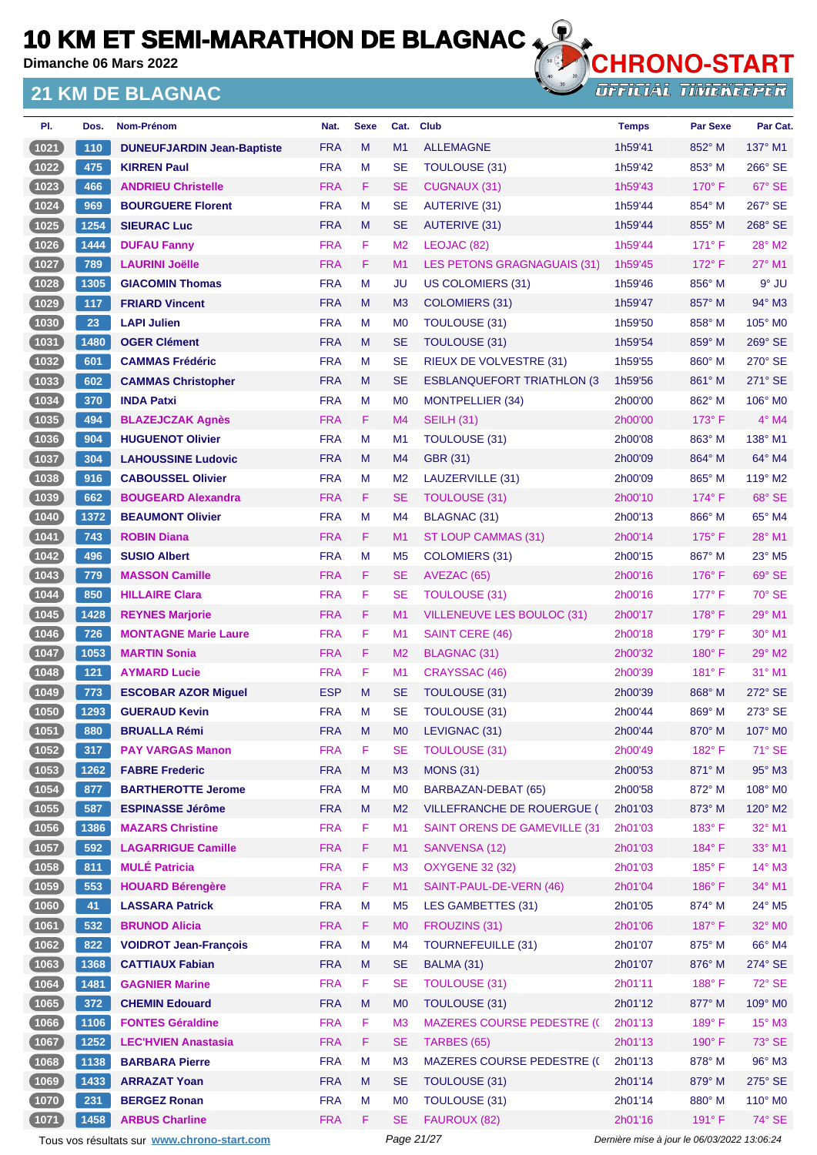**Dimanche 06 Mars 2022**

#### **21 KM DE BLAGNAC**



**OFFICIAL TIMEKEEPER** 

| PI.            | Dos.          | Nom-Prénom                        | Nat.       | <b>Sexe</b> | Cat.           | <b>Club</b>                        | <b>Temps</b> | <b>Par Sexe</b> | Par Cat.            |
|----------------|---------------|-----------------------------------|------------|-------------|----------------|------------------------------------|--------------|-----------------|---------------------|
| (1021)         | 110           | <b>DUNEUFJARDIN Jean-Baptiste</b> | <b>FRA</b> | M           | M1             | <b>ALLEMAGNE</b>                   | 1h59'41      | 852° M          | $137^\circ$ M1      |
| $\boxed{1022}$ | 475           | <b>KIRREN Paul</b>                | <b>FRA</b> | M           | <b>SE</b>      | <b>TOULOUSE (31)</b>               | 1h59'42      | 853° M          | 266° SE             |
| (1023)         | 466           | <b>ANDRIEU Christelle</b>         | <b>FRA</b> | F.          | <b>SE</b>      | <b>CUGNAUX (31)</b>                | 1h59'43      | $170^\circ$ F   | 67° SE              |
| $\boxed{1024}$ | 969           | <b>BOURGUERE Florent</b>          | <b>FRA</b> | M           | <b>SE</b>      | <b>AUTERIVE (31)</b>               | 1h59'44      | 854° M          | 267° SE             |
| (1025)         | 1254          | <b>SIEURAC Luc</b>                | <b>FRA</b> | M           | <b>SE</b>      | AUTERIVE (31)                      | 1h59'44      | 855° M          | 268° SE             |
| (1026)         | 1444          | <b>DUFAU Fanny</b>                | <b>FRA</b> | F           | M <sub>2</sub> | LEOJAC (82)                        | 1h59'44      | $171^\circ$ F   | 28° M2              |
| (1027)         | 789           | <b>LAURINI Joëlle</b>             | <b>FRA</b> | F           | M <sub>1</sub> | LES PETONS GRAGNAGUAIS (31)        | 1h59'45      | $172^\circ$ F   | $27^\circ$ M1       |
| $1028$         | 1305          | <b>GIACOMIN Thomas</b>            | <b>FRA</b> | м           | JU             | <b>US COLOMIERS (31)</b>           | 1h59'46      | 856° M          | $9°$ JU             |
| (1029)         | 117           | <b>FRIARD Vincent</b>             | <b>FRA</b> | M           | M <sub>3</sub> | COLOMIERS (31)                     | 1h59'47      | 857° M          | 94° M3              |
| $\boxed{1030}$ | 23            | <b>LAPI Julien</b>                | <b>FRA</b> | M           | M <sub>0</sub> | <b>TOULOUSE (31)</b>               | 1h59'50      | $858^\circ$ M   | 105° M <sub>0</sub> |
| (1031)         | 1480          | <b>OGER Clément</b>               | <b>FRA</b> | M           | <b>SE</b>      | TOULOUSE (31)                      | 1h59'54      | 859° M          | $269^\circ$ SE      |
| (1032)         | 601           | <b>CAMMAS Frédéric</b>            | <b>FRA</b> | M           | <b>SE</b>      | RIEUX DE VOLVESTRE (31)            | 1h59'55      | $860^\circ$ M   | $270^\circ$ SE      |
| (1033)         | 602           | <b>CAMMAS Christopher</b>         | <b>FRA</b> | M           | <b>SE</b>      | <b>ESBLANQUEFORT TRIATHLON (3)</b> | 1h59'56      | 861° M          | 271° SE             |
| (1034)         | 370           | <b>INDA Patxi</b>                 | <b>FRA</b> | M           | M <sub>0</sub> | <b>MONTPELLIER (34)</b>            | 2h00'00      | 862° M          | 106° M0             |
| (1035)         | 494           | <b>BLAZEJCZAK Agnès</b>           | <b>FRA</b> | F.          | M4             | <b>SEILH (31)</b>                  | 2h00'00      | $173^\circ$ F   | $4^\circ$ M4        |
| $\boxed{1036}$ | 904           | <b>HUGUENOT Olivier</b>           | <b>FRA</b> | M           | M <sub>1</sub> | <b>TOULOUSE (31)</b>               | 2h00'08      | 863° M          | 138° M1             |
| (1037)         | 304           | <b>LAHOUSSINE Ludovic</b>         | <b>FRA</b> | M           | M <sub>4</sub> | <b>GBR (31)</b>                    | 2h00'09      | 864° M          | 64° M4              |
| (1038)         | 916           | <b>CABOUSSEL Olivier</b>          | <b>FRA</b> | M           | M <sub>2</sub> | LAUZERVILLE (31)                   | 2h00'09      | 865° M          | $119^\circ$ M2      |
| 1039           | 662           | <b>BOUGEARD Alexandra</b>         | <b>FRA</b> | F           | <b>SE</b>      | <b>TOULOUSE (31)</b>               | 2h00'10      | $174^\circ$ F   | 68° SE              |
| (1040)         | 1372          | <b>BEAUMONT Olivier</b>           | <b>FRA</b> | M           | M <sub>4</sub> | <b>BLAGNAC (31)</b>                | 2h00'13      | 866° M          | 65° M4              |
| (1041)         | 743           | <b>ROBIN Diana</b>                | <b>FRA</b> | F.          | M <sub>1</sub> | ST LOUP CAMMAS (31)                | 2h00'14      | $175^\circ$ F   | $28^\circ$ M1       |
| $1042$         | 496           | <b>SUSIO Albert</b>               | <b>FRA</b> | M           | M <sub>5</sub> | <b>COLOMIERS (31)</b>              | 2h00'15      | 867° M          | 23° M5              |
| (1043)         | 779           | <b>MASSON Camille</b>             | <b>FRA</b> | F           | <b>SE</b>      | AVEZAC (65)                        | 2h00'16      | $176^\circ$ F   | 69° SE              |
| $\boxed{1044}$ | 850           | <b>HILLAIRE Clara</b>             | <b>FRA</b> | F           | SE             | <b>TOULOUSE (31)</b>               | 2h00'16      | $177^\circ$ F   | 70° SE              |
| (1045)         | 1428          | <b>REYNES Marjorie</b>            | <b>FRA</b> | F           | M <sub>1</sub> | VILLENEUVE LES BOULOC (31)         | 2h00'17      | $178^\circ$ F   | 29° M1              |
| (1046)         | 726           | <b>MONTAGNE Marie Laure</b>       | <b>FRA</b> | F           | M <sub>1</sub> | <b>SAINT CERE (46)</b>             | 2h00'18      | $179^\circ$ F   | $30^\circ$ M1       |
| (1047          | 1053          | <b>MARTIN Sonia</b>               | <b>FRA</b> | F.          | M <sub>2</sub> | BLAGNAC (31)                       | 2h00'32      | $180^\circ$ F   | $29^\circ$ M2       |
| $1048$         | $121$         | <b>AYMARD Lucie</b>               | <b>FRA</b> | F           | M <sub>1</sub> | CRAYSSAC (46)                      | 2h00'39      | $181^\circ$ F   | 31° M1              |
| $1049$         | 773           | <b>ESCOBAR AZOR Miguel</b>        | <b>ESP</b> | M           | <b>SE</b>      | TOULOUSE (31)                      | 2h00'39      | $868^\circ$ M   | $272^\circ$ SE      |
| (1050)         | 1293          | <b>GUERAUD Kevin</b>              | <b>FRA</b> | M           | <b>SE</b>      | <b>TOULOUSE (31)</b>               | 2h00'44      | 869° M          | $273^\circ$ SE      |
| $(1051)$       | $ 880\rangle$ | <b>BRUALLA Rémi</b>               | <b>FRA</b> | M           | M0             | LEVIGNAC (31)                      | 2h00'44      | 870° M          | $107^\circ$ MO      |
| (1052)         | 317           | <b>PAY VARGAS Manon</b>           | <b>FRA</b> | F           | SE             | <b>TOULOUSE (31)</b>               | 2h00'49      | $182^{\circ}$ F | 71° SE              |
| (1053)         | 1262          | <b>FABRE Frederic</b>             | <b>FRA</b> | M           | M <sub>3</sub> | <b>MONS (31)</b>                   | 2h00'53      | 871° M          | 95° M3              |
| (1054)         | 877           | <b>BARTHEROTTE Jerome</b>         | <b>FRA</b> | M           | M <sub>0</sub> | BARBAZAN-DEBAT (65)                | 2h00'58      | 872° M          | 108° M0             |
| (1055)         | 587           | <b>ESPINASSE Jérôme</b>           | <b>FRA</b> | M           | M <sub>2</sub> | VILLEFRANCHE DE ROUERGUE (         | 2h01'03      | $873^\circ$ M   | 120° M2             |
| (1056)         | 1386          | <b>MAZARS Christine</b>           | <b>FRA</b> | F           | M <sub>1</sub> | SAINT ORENS DE GAMEVILLE (31       | 2h01'03      | 183° F          | 32° M1              |
| (1057)         | 592           | <b>LAGARRIGUE Camille</b>         | <b>FRA</b> | F.          | M1             | SANVENSA (12)                      | 2h01'03      | 184°F           | 33° M1              |
| (1058)         | 811           | <b>MULÉ Patricia</b>              | <b>FRA</b> | F           | M <sub>3</sub> | <b>OXYGENE 32 (32)</b>             | 2h01'03      | 185°F           | 14° M3              |
| (1059)         | 553           | <b>HOUARD Bérengère</b>           | <b>FRA</b> | F           | M1             | SAINT-PAUL-DE-VERN (46)            | 2h01'04      | 186°F           | 34° M1              |
| (1060)         | 41            | <b>LASSARA Patrick</b>            | <b>FRA</b> | M           | M <sub>5</sub> | <b>LES GAMBETTES (31)</b>          | 2h01'05      | 874° M          | 24° M5              |
| (1061)         | 532           | <b>BRUNOD Alicia</b>              | <b>FRA</b> | F           | M <sub>0</sub> | FROUZINS (31)                      | 2h01'06      | 187°F           | 32° M0              |
| (1062)         | 822           | <b>VOIDROT Jean-François</b>      | <b>FRA</b> | M           | M <sub>4</sub> | <b>TOURNEFEUILLE (31)</b>          | 2h01'07      | 875° M          | 66° M4              |
| (1063)         | 1368          | <b>CATTIAUX Fabian</b>            | <b>FRA</b> | M           | <b>SE</b>      | BALMA (31)                         | 2h01'07      | 876° M          | $274^\circ$ SE      |
| (1064)         | 1481          | <b>GAGNIER Marine</b>             | <b>FRA</b> | F           | <b>SE</b>      | <b>TOULOUSE (31)</b>               | 2h01'11      | 188°F           | 72° SE              |
| (1065)         | 372           | <b>CHEMIN Edouard</b>             | <b>FRA</b> | M           | M <sub>0</sub> | TOULOUSE (31)                      | 2h01'12      | 877° M          | 109° M0             |
| (1066)         | 1106          | <b>FONTES Géraldine</b>           | <b>FRA</b> | F           | M <sub>3</sub> | <b>MAZERES COURSE PEDESTRE (C</b>  | 2h01'13      | $189^\circ$ F   | $15^{\circ}$ M3     |
| (1067)         | 1252          | <b>LEC'HVIEN Anastasia</b>        | <b>FRA</b> | F           | <b>SE</b>      | TARBES (65)                        | 2h01'13      | 190° F          | 73° SE              |
| (1068)         | 1138          | <b>BARBARA Pierre</b>             | <b>FRA</b> | M           | M <sub>3</sub> | <b>MAZERES COURSE PEDESTRE (C</b>  | 2h01'13      | 878° M          | $96^\circ$ M3       |
| (1069)         | 1433          | <b>ARRAZAT Yoan</b>               | <b>FRA</b> | M           | <b>SE</b>      | TOULOUSE (31)                      | 2h01'14      | 879° M          | 275° SE             |
| (1070)         | 231           | <b>BERGEZ Ronan</b>               | <b>FRA</b> | М           | M <sub>0</sub> | <b>TOULOUSE (31)</b>               | 2h01'14      | 880° M          | 110° M0             |
| (1071)         | 1458          | <b>ARBUS Charline</b>             | <b>FRA</b> | F.          | <b>SE</b>      | FAUROUX (82)                       | 2h01'16      | 191° F          | 74° SE              |

Tous vos résultats sur **[www.chrono-start.com](https://www.chrono-start.com/)** Page 21/27 Page 21/27 Dernière mise à jour le 06/03/2022 13:06:24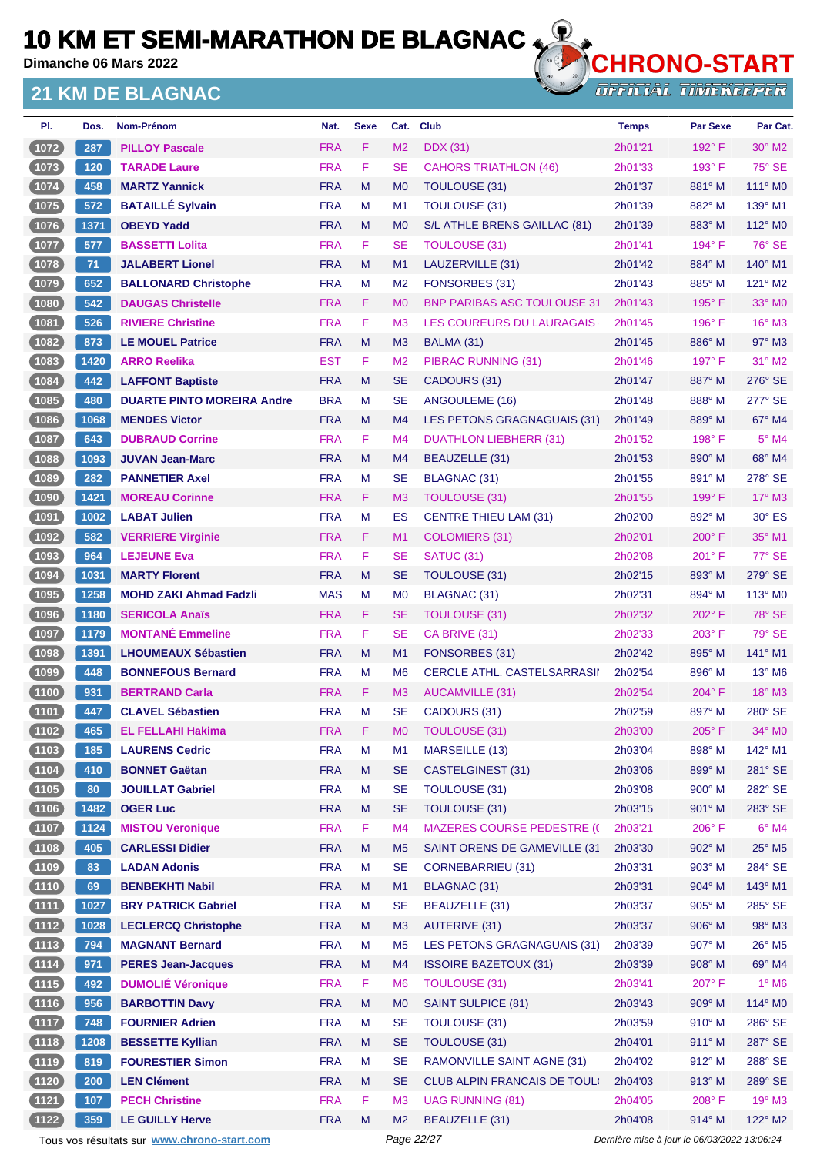**Dimanche 06 Mars 2022**

#### **21 KM DE BLAGNAC**



**OFFICIAL TIMEKEEPER** 

| PI.            | Dos. | Nom-Prénom                        | Nat.       | <b>Sexe</b> | Cat.           | <b>Club</b>                          | <b>Temps</b> | <b>Par Sexe</b> | Par Cat.                  |
|----------------|------|-----------------------------------|------------|-------------|----------------|--------------------------------------|--------------|-----------------|---------------------------|
| (1072)         | 287  | <b>PILLOY Pascale</b>             | <b>FRA</b> | F           | M <sub>2</sub> | <b>DDX</b> (31)                      | 2h01'21      | $192^\circ$ F   | $30^\circ$ M2             |
| $(1073)$       | 120  | <b>TARADE Laure</b>               | <b>FRA</b> | F           | <b>SE</b>      | <b>CAHORS TRIATHLON (46)</b>         | 2h01'33      | $193^\circ$ F   | $75^\circ$ SE             |
| (1074)         | 458  | <b>MARTZ Yannick</b>              | <b>FRA</b> | M           | M <sub>0</sub> | TOULOUSE (31)                        | 2h01'37      | $881^\circ$ M   | $111^\circ$ MO            |
| 1075           | 572  | <b>BATAILLÉ Sylvain</b>           | <b>FRA</b> | м           | M1             | <b>TOULOUSE (31)</b>                 | 2h01'39      | 882° M          | 139° M1                   |
| (1076)         | 1371 | <b>OBEYD Yadd</b>                 | <b>FRA</b> | M           | M <sub>0</sub> | S/L ATHLE BRENS GAILLAC (81)         | 2h01'39      | $883^\circ$ M   | 112° M0                   |
| 1077           | 577  | <b>BASSETTI Lolita</b>            | <b>FRA</b> | F           | <b>SE</b>      | TOULOUSE (31)                        | 2h01'41      | $194^\circ$ F   | 76° SE                    |
| $(1078)$       | 71   | <b>JALABERT Lionel</b>            | <b>FRA</b> | M           | M1             | LAUZERVILLE (31)                     | 2h01'42      | 884° M          | 140° M1                   |
| $\boxed{1079}$ | 652  | <b>BALLONARD Christophe</b>       | <b>FRA</b> | м           | M <sub>2</sub> | FONSORBES (31)                       | 2h01'43      | 885° M          | $121^\circ$ M2            |
| (1080)         | 542  | <b>DAUGAS Christelle</b>          | <b>FRA</b> | F.          | M <sub>0</sub> | <b>BNP PARIBAS ASC TOULOUSE 31</b>   | 2h01'43      | $195^\circ$ F   | 33° MO                    |
| 1081           | 526  | <b>RIVIERE Christine</b>          | <b>FRA</b> | F           | M <sub>3</sub> | LES COUREURS DU LAURAGAIS            | 2h01'45      | $196^\circ$ F   | $16^\circ$ M3             |
| (1082)         | 873  | <b>LE MOUEL Patrice</b>           | <b>FRA</b> | M           | M <sub>3</sub> | BALMA (31)                           | 2h01'45      | $886^\circ$ M   | $97^\circ$ M3             |
| $\boxed{1083}$ | 1420 | <b>ARRO Reelika</b>               | <b>EST</b> | F           | M <sub>2</sub> | PIBRAC RUNNING (31)                  | 2h01'46      | $197^\circ$ F   | 31° M2                    |
| (1084)         | 442  | <b>LAFFONT Baptiste</b>           | <b>FRA</b> | M           | <b>SE</b>      | CADOURS (31)                         | 2h01'47      | 887° M          | 276° SE                   |
| $\boxed{1085}$ | 480  | <b>DUARTE PINTO MOREIRA Andre</b> | <b>BRA</b> | M           | <b>SE</b>      | ANGOULEME (16)                       | 2h01'48      | 888° M          | 277° SE                   |
| 1086           | 1068 | <b>MENDES Victor</b>              | <b>FRA</b> | M           | M <sub>4</sub> | LES PETONS GRAGNAGUAIS (31)          | 2h01'49      | 889° M          | 67° M4                    |
| $1087$         | 643  | <b>DUBRAUD Corrine</b>            | <b>FRA</b> | F           | M <sub>4</sub> | <b>DUATHLON LIEBHERR (31)</b>        | 2h01'52      | $198^\circ$ F   | $5^\circ$ M4              |
| (1088)         | 1093 | <b>JUVAN Jean-Marc</b>            | <b>FRA</b> | M           | M <sub>4</sub> | BEAUZELLE (31)                       | 2h01'53      | 890° M          | 68° M4                    |
| 1089           | 282  | <b>PANNETIER Axel</b>             | <b>FRA</b> | M           | <b>SE</b>      | <b>BLAGNAC (31)</b>                  | 2h01'55      | 891° M          | 278° SE                   |
| 1090           | 1421 | <b>MOREAU Corinne</b>             | <b>FRA</b> | F           | M <sub>3</sub> | <b>TOULOUSE (31)</b>                 | 2h01'55      | $199^\circ$ F   | $17^\circ$ M3             |
| 1091           | 1002 | <b>LABAT Julien</b>               | <b>FRA</b> | М           | ES             | <b>CENTRE THIEU LAM (31)</b>         | 2h02'00      | 892° M          | $30^\circ$ ES             |
| (1092)         | 582  | <b>VERRIERE Virginie</b>          | <b>FRA</b> | F.          | M1             | COLOMIERS (31)                       | 2h02'01      | $200^{\circ}$ F | 35° M1                    |
| 1093           | 964  | <b>LEJEUNE Eva</b>                | <b>FRA</b> | F           | <b>SE</b>      | SATUC (31)                           | 2h02'08      | 201° F          | 77° SE                    |
| 1094           | 1031 | <b>MARTY Florent</b>              | <b>FRA</b> | M           | <b>SE</b>      | TOULOUSE (31)                        | 2h02'15      | 893° M          | 279° SE                   |
| $1095$         | 1258 | <b>MOHD ZAKI Ahmad Fadzli</b>     | <b>MAS</b> | м           | M <sub>0</sub> | <b>BLAGNAC (31)</b>                  | 2h02'31      | 894° M          | 113° M0                   |
| (1096)         | 1180 | <b>SERICOLA Anaïs</b>             | <b>FRA</b> | F           | <b>SE</b>      | <b>TOULOUSE (31)</b>                 | 2h02'32      | $202^{\circ}$ F | 78° SE                    |
| 1097           | 1179 | <b>MONTANÉ Emmeline</b>           | <b>FRA</b> | F           | <b>SE</b>      | CA BRIVE (31)                        | 2h02'33      | $203^\circ$ F   | $79^\circ$ SE             |
| (1098)         | 1391 | <b>LHOUMEAUX Sébastien</b>        | <b>FRA</b> | M           | M1             | FONSORBES (31)                       | 2h02'42      | 895° M          | 141° M1                   |
| (1099)         | 448  | <b>BONNEFOUS Bernard</b>          | <b>FRA</b> | м           | M <sub>6</sub> | <b>CERCLE ATHL, CASTELSARRASII</b>   | 2h02'54      | 896° M          | $13^\circ$ M <sub>6</sub> |
| (1100)         | 931  | <b>BERTRAND Carla</b>             | <b>FRA</b> | F           | M <sub>3</sub> | <b>AUCAMVILLE (31)</b>               | 2h02'54      | $204^\circ$ F   | $18^\circ$ M3             |
| $1101$         | 447  | <b>CLAVEL Sébastien</b>           | <b>FRA</b> | M           | <b>SE</b>      | CADOURS (31)                         | 2h02'59      | 897° M          | 280° SE                   |
| (1102)         | 465  | <b>EL FELLAHI Hakima</b>          | <b>FRA</b> | F           | MO             | TOULOUSE (31)                        | 2h03'00      | 205°F           | 34° M0                    |
| (1103)         | 185  | <b>LAURENS Cedric</b>             | <b>FRA</b> | M           | M1             | MARSEILLE (13)                       | 2h03'04      | 898° M          | 142° M1                   |
| $(1104)$       | 410  | <b>BONNET Gaëtan</b>              | <b>FRA</b> | ${\sf M}$   | <b>SE</b>      | CASTELGINEST (31)                    | 2h03'06      | 899° M          | 281° SE                   |
| $(1105)$       | 80   | <b>JOUILLAT Gabriel</b>           | <b>FRA</b> | M           | <b>SE</b>      | <b>TOULOUSE (31)</b>                 | 2h03'08      | 900° M          | 282° SE                   |
| (1106)         | 1482 | <b>OGER Luc</b>                   | <b>FRA</b> | M           | <b>SE</b>      | <b>TOULOUSE (31)</b>                 | 2h03'15      | 901° M          | 283° SE                   |
| (1107)         | 1124 | <b>MISTOU Veronique</b>           | <b>FRA</b> | F           | M4             | <b>MAZERES COURSE PEDESTRE (C</b>    | 2h03'21      | 206°F           | $6^\circ$ M4              |
| (1108)         | 405  | <b>CARLESSI Didier</b>            | <b>FRA</b> | M           | M <sub>5</sub> | <b>SAINT ORENS DE GAMEVILLE (31)</b> | 2h03'30      | 902° M          | 25° M5                    |
| (1109)         | 83   | <b>LADAN Adonis</b>               | <b>FRA</b> | M           | <b>SE</b>      | <b>CORNEBARRIEU (31)</b>             | 2h03'31      | 903° M          | 284° SE                   |
| (1110)         | 69   | <b>BENBEKHTI Nabil</b>            | <b>FRA</b> | M           | M1             | <b>BLAGNAC (31)</b>                  | 2h03'31      | 904° M          | 143° M1                   |
| (1111)         | 1027 | <b>BRY PATRICK Gabriel</b>        | <b>FRA</b> | M           | <b>SE</b>      | BEAUZELLE (31)                       | 2h03'37      | 905° M          | 285° SE                   |
| $(1112)$       | 1028 | <b>LECLERCQ Christophe</b>        | <b>FRA</b> | M           | M <sub>3</sub> | <b>AUTERIVE (31)</b>                 | 2h03'37      | 906° M          | 98° M3                    |
| (1113)         | 794  | <b>MAGNANT Bernard</b>            | <b>FRA</b> | M           | M <sub>5</sub> | LES PETONS GRAGNAGUAIS (31)          | 2h03'39      | 907° M          | 26° M5                    |
| (1114)         | 971  | <b>PERES Jean-Jacques</b>         | <b>FRA</b> | M           | M4             | <b>ISSOIRE BAZETOUX (31)</b>         | 2h03'39      | 908° M          | 69° M4                    |
| (1115)         | 492  | <b>DUMOLIÉ Véronique</b>          | <b>FRA</b> | F           | M <sub>6</sub> | <b>TOULOUSE (31)</b>                 | 2h03'41      | 207°F           | $1^\circ$ M6              |
| (1116)         | 956  | <b>BARBOTTIN Davy</b>             | <b>FRA</b> | M           | M <sub>0</sub> | <b>SAINT SULPICE (81)</b>            | 2h03'43      | 909° M          | 114° M0                   |
| (1117)         | 748  | <b>FOURNIER Adrien</b>            | <b>FRA</b> | М           | <b>SE</b>      | <b>TOULOUSE (31)</b>                 | 2h03'59      | $910^\circ$ M   | 286° SE                   |
| (1118)         | 1208 | <b>BESSETTE Kyllian</b>           | <b>FRA</b> | M           | <b>SE</b>      | TOULOUSE (31)                        | 2h04'01      | $911^\circ$ M   | 287° SE                   |
| (1119)         | 819  | <b>FOURESTIER Simon</b>           | <b>FRA</b> | M           | <b>SE</b>      | <b>RAMONVILLE SAINT AGNE (31)</b>    | 2h04'02      | 912° M          | 288° SE                   |
| (1120)         | 200  | <b>LEN Clément</b>                | <b>FRA</b> | M           | <b>SE</b>      | CLUB ALPIN FRANCAIS DE TOUL!         | 2h04'03      | $913^\circ$ M   | 289° SE                   |
| (1121)         | 107  | <b>PECH Christine</b>             | <b>FRA</b> | F           | M <sub>3</sub> | <b>UAG RUNNING (81)</b>              | 2h04'05      | 208°F           | 19° M3                    |
| (1122)         | 359  | <b>LE GUILLY Herve</b>            | <b>FRA</b> | M           | M <sub>2</sub> | BEAUZELLE (31)                       | 2h04'08      | 914° M          | 122° M2                   |
|                |      |                                   |            |             |                |                                      |              |                 |                           |

Tous vos résultats sur **[www.chrono-start.com](https://www.chrono-start.com/)** Page 22/27 Page 22/27 Dernière mise à jour le 06/03/2022 13:06:24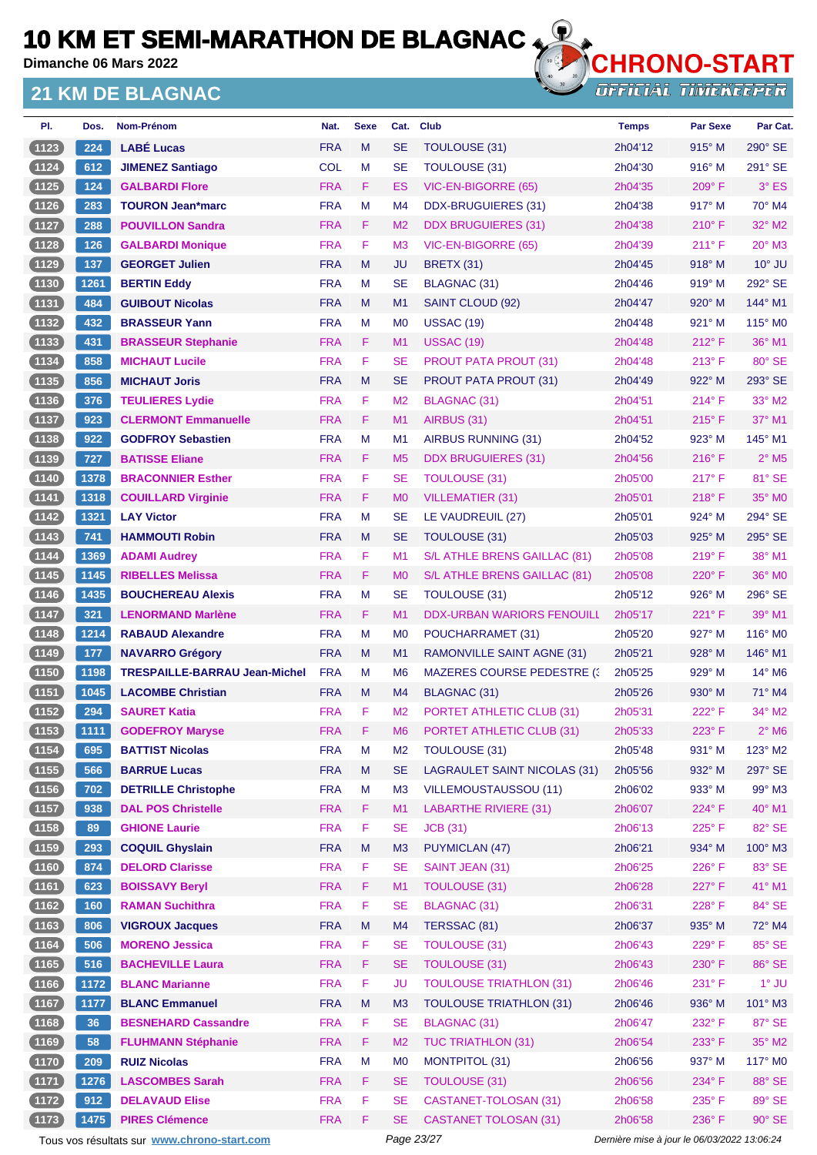**Dimanche 06 Mars 2022**

#### **21 KM DE BLAGNAC**



**OFFICIAL TIMEKEEPER** 

| PI.      | Dos.             | Nom-Prénom                           | Nat.       | <b>Sexe</b> | Cat.           | <b>Club</b>                         | <b>Temps</b> | <b>Par Sexe</b> | Par Cat.                    |
|----------|------------------|--------------------------------------|------------|-------------|----------------|-------------------------------------|--------------|-----------------|-----------------------------|
| (1123)   | 224              | <b>LABE Lucas</b>                    | <b>FRA</b> | M           | <b>SE</b>      | <b>TOULOUSE (31)</b>                | 2h04'12      | $915^\circ$ M   | 290° SE                     |
| (1124)   | 612              | <b>JIMENEZ Santiago</b>              | <b>COL</b> | М           | <b>SE</b>      | TOULOUSE (31)                       | 2h04'30      | $916^\circ$ M   | 291° SE                     |
| (1125)   | 124              | <b>GALBARDI Flore</b>                | <b>FRA</b> | F.          | ES             | VIC-EN-BIGORRE (65)                 | 2h04'35      | $209^\circ$ F   | $3°$ ES                     |
| $(1126)$ | 283              | <b>TOURON Jean*marc</b>              | <b>FRA</b> | M           | M4             | DDX-BRUGUIERES (31)                 | 2h04'38      | $917^\circ$ M   | 70° M4                      |
| (1127)   | 288              | <b>POUVILLON Sandra</b>              | <b>FRA</b> | F.          | M <sub>2</sub> | <b>DDX BRUGUIERES (31)</b>          | 2h04'38      | $210^{\circ}$ F | $32^\circ$ M2               |
| (1128)   | 126              | <b>GALBARDI Monique</b>              | <b>FRA</b> | F           | M <sub>3</sub> | VIC-EN-BIGORRE (65)                 | 2h04'39      | 211° F          | $20^\circ$ M3               |
| (1129)   | $\overline{137}$ | <b>GEORGET Julien</b>                | <b>FRA</b> | M           | JU             | <b>BRETX (31)</b>                   | 2h04'45      | $918^\circ$ M   | $10^{\circ}$ JU             |
| (1130)   | 1261             | <b>BERTIN Eddy</b>                   | <b>FRA</b> | М           | <b>SE</b>      | <b>BLAGNAC (31)</b>                 | 2h04'46      | $919°$ M        | 292° SE                     |
| (1131)   | 484              | <b>GUIBOUT Nicolas</b>               | <b>FRA</b> | M           | M1             | SAINT CLOUD (92)                    | 2h04'47      | $920^\circ$ M   | 144° M1                     |
| (1132)   | 432              | <b>BRASSEUR Yann</b>                 | <b>FRA</b> | М           | M <sub>0</sub> | <b>USSAC (19)</b>                   | 2h04'48      | $921^\circ$ M   | $115^\circ$ MO              |
| (1133)   | 431              | <b>BRASSEUR Stephanie</b>            | <b>FRA</b> | F.          | M1             | <b>USSAC (19)</b>                   | 2h04'48      | $212^{\circ}$ F | $36^\circ$ M1               |
| (1134)   | 858              | <b>MICHAUT Lucile</b>                | <b>FRA</b> | F           | <b>SE</b>      | <b>PROUT PATA PROUT (31)</b>        | 2h04'48      | $213^\circ$ F   | $80^\circ$ SE               |
| (1135)   | 856              | <b>MICHAUT Joris</b>                 | <b>FRA</b> | M           | <b>SE</b>      | <b>PROUT PATA PROUT (31)</b>        | 2h04'49      | $922^\circ$ M   | 293° SE                     |
| (1136)   | 376              | <b>TEULIERES Lydie</b>               | <b>FRA</b> | F.          | M <sub>2</sub> | BLAGNAC (31)                        | 2h04'51      | $214^{\circ}$ F | 33° M2                      |
| $(1137)$ | 923              | <b>CLERMONT Emmanuelle</b>           | <b>FRA</b> | F           | M1             | AIRBUS (31)                         | 2h04'51      | $215^{\circ}$ F | 37° M1                      |
| (1138)   | 922              | <b>GODFROY Sebastien</b>             | <b>FRA</b> | М           | M <sub>1</sub> | AIRBUS RUNNING (31)                 | 2h04'52      | $923^\circ$ M   | $145^\circ$ M1              |
| (1139)   | 727              | <b>BATISSE Eliane</b>                | <b>FRA</b> | F           | M <sub>5</sub> | <b>DDX BRUGUIERES (31)</b>          | 2h04'56      | $216^{\circ}$ F | $2^{\circ}$ M <sub>5</sub>  |
| (1140)   | 1378             | <b>BRACONNIER Esther</b>             | <b>FRA</b> | F           | <b>SE</b>      | <b>TOULOUSE (31)</b>                | 2h05'00      | $217^\circ$ F   | 81° SE                      |
| (1141)   | 1318             | <b>COUILLARD Virginie</b>            | <b>FRA</b> | F           | M <sub>0</sub> | <b>VILLEMATIER (31)</b>             | 2h05'01      | 218° F          | 35° MO                      |
| (1142)   | 1321             | <b>LAY Victor</b>                    | <b>FRA</b> | М           | <b>SE</b>      | LE VAUDREUIL (27)                   | 2h05'01      | $924^\circ$ M   | 294° SE                     |
| (1143)   | 741              | <b>HAMMOUTI Robin</b>                | <b>FRA</b> | M           | <b>SE</b>      | <b>TOULOUSE (31)</b>                | 2h05'03      | 925° M          | 295° SE                     |
| 1144     | 1369             | <b>ADAMI Audrey</b>                  | <b>FRA</b> | F.          | M1             | S/L ATHLE BRENS GAILLAC (81)        | 2h05'08      | $219^\circ$ F   | 38° M1                      |
| (1145)   | 1145             | <b>RIBELLES Melissa</b>              | <b>FRA</b> | F           | M <sub>0</sub> | S/L ATHLE BRENS GAILLAC (81)        | 2h05'08      | $220^\circ$ F   | 36° MO                      |
| (1146)   | 1435             | <b>BOUCHEREAU Alexis</b>             | <b>FRA</b> | М           | <b>SE</b>      | TOULOUSE (31)                       | 2h05'12      | $926^\circ$ M   | 296° SE                     |
| (1147)   | 321              | <b>LENORMAND Marlène</b>             | <b>FRA</b> | F.          | M <sub>1</sub> | <b>DDX-URBAN WARIORS FENOUILL</b>   | 2h05'17      | $221^\circ F$   | $39^\circ$ M1               |
| (1148)   | 1214             | <b>RABAUD Alexandre</b>              | <b>FRA</b> | M           | M <sub>0</sub> | POUCHARRAMET (31)                   | 2h05'20      | $927^\circ$ M   | 116° M <sub>0</sub>         |
| (1149)   | 177              | <b>NAVARRO Grégory</b>               | <b>FRA</b> | м           | M1             | RAMONVILLE SAINT AGNE (31)          | 2h05'21      | $928^\circ$ M   | 146° M1                     |
| (1150)   | 1198             | <b>TRESPAILLE-BARRAU Jean-Michel</b> | <b>FRA</b> | М           | M <sub>6</sub> | <b>MAZERES COURSE PEDESTRE (3)</b>  | 2h05'25      | $929^\circ$ M   | $14^{\circ}$ M <sub>6</sub> |
| (1151)   | 1045             | <b>LACOMBE Christian</b>             | <b>FRA</b> | M           | M4             | BLAGNAC (31)                        | 2h05'26      | $930^\circ$ M   | $71^\circ$ M4               |
| $(1152)$ | 294              | <b>SAURET Katia</b>                  | <b>FRA</b> | F           | M <sub>2</sub> | PORTET ATHLETIC CLUB (31)           | 2h05'31      | 222°F           | $34^\circ$ M2               |
| $(1153)$ | $1111$           | <b>GODEFROY Maryse</b>               | <b>FRA</b> | F           | M <sub>6</sub> | PORTET ATHLETIC CLUB (31)           | 2h05'33      | 223° F          | $2^{\circ}$ M <sub>6</sub>  |
| (1154)   | 695              | <b>BATTIST Nicolas</b>               | <b>FRA</b> | M           | M <sub>2</sub> | TOULOUSE (31)                       | 2h05'48      | 931° M          | $123^\circ$ M2              |
| (1155)   | 566              | <b>BARRUE Lucas</b>                  | <b>FRA</b> | M           | <b>SE</b>      | <b>LAGRAULET SAINT NICOLAS (31)</b> | 2h05'56      | 932° M          | 297° SE                     |
| $(1156)$ | 702              | <b>DETRILLE Christophe</b>           | <b>FRA</b> | M           | M3             | <b>VILLEMOUSTAUSSOU (11)</b>        | 2h06'02      | 933° M          | 99° M3                      |
| (1157)   | 938              | <b>DAL POS Christelle</b>            | <b>FRA</b> | F.          | M1             | LABARTHE RIVIERE (31)               | 2h06'07      | 224°F           | $40^\circ$ M1               |
| (1158)   | 89               | <b>GHIONE Laurie</b>                 | <b>FRA</b> | F           | <b>SE</b>      | <b>JCB</b> (31)                     | 2h06'13      | $225^\circ$ F   | 82° SE                      |
| $(1159)$ | 293              | <b>COQUIL Ghyslain</b>               | <b>FRA</b> | M           | M3             | <b>PUYMICLAN (47)</b>               | 2h06'21      | 934° M          | 100° M3                     |
| (1160)   | 874              | <b>DELORD Clarisse</b>               | <b>FRA</b> | F           | <b>SE</b>      | SAINT JEAN (31)                     | 2h06'25      | 226°F           | 83° SE                      |
| (1161)   | 623              | <b>BOISSAVY Beryl</b>                | <b>FRA</b> | F           | M1             | <b>TOULOUSE (31)</b>                | 2h06'28      | 227°F           | 41° M1                      |
| (1162)   | 160              | <b>RAMAN Suchithra</b>               | <b>FRA</b> | F           | <b>SE</b>      | <b>BLAGNAC (31)</b>                 | 2h06'31      | 228°F           | 84° SE                      |
| $(1163)$ | 806              | <b>VIGROUX Jacques</b>               | <b>FRA</b> | M           | M <sub>4</sub> | TERSSAC (81)                        | 2h06'37      | 935° M          | 72° M4                      |
| (1164)   | 506              | <b>MORENO Jessica</b>                | <b>FRA</b> | F           | <b>SE</b>      | <b>TOULOUSE (31)</b>                | 2h06'43      | 229°F           | 85° SE                      |
| (1165)   | 516              | <b>BACHEVILLE Laura</b>              | <b>FRA</b> | F           | <b>SE</b>      | <b>TOULOUSE (31)</b>                | 2h06'43      | 230° F          | 86° SE                      |
| (1166)   | 1172             | <b>BLANC Marianne</b>                | <b>FRA</b> | F           | <b>JU</b>      | <b>TOULOUSE TRIATHLON (31)</b>      | 2h06'46      | 231° F          | $1^\circ$ JU                |
| (1167)   | 1177             | <b>BLANC Emmanuel</b>                | <b>FRA</b> | M           | M <sub>3</sub> | <b>TOULOUSE TRIATHLON (31)</b>      | 2h06'46      | 936° M          | 101° M3                     |
| (1168)   | 36               | <b>BESNEHARD Cassandre</b>           | <b>FRA</b> | F           | <b>SE</b>      | <b>BLAGNAC (31)</b>                 | 2h06'47      | 232°F           | 87° SE                      |
| (1169)   | 58               | <b>FLUHMANN Stéphanie</b>            | <b>FRA</b> | F.          | M <sub>2</sub> | <b>TUC TRIATHLON (31)</b>           | 2h06'54      | 233° F          | $35^\circ$ M2               |
| (1170)   | 209              | <b>RUIZ Nicolas</b>                  | <b>FRA</b> | M           | M <sub>0</sub> | <b>MONTPITOL (31)</b>               | 2h06'56      | 937° M          | 117° M0                     |
| (1171)   | 1276             | <b>LASCOMBES Sarah</b>               | <b>FRA</b> | F           | <b>SE</b>      | <b>TOULOUSE (31)</b>                | 2h06'56      | 234°F           | 88° SE                      |
| (1172)   | 912              | <b>DELAVAUD Elise</b>                | <b>FRA</b> | F           | <b>SE</b>      | <b>CASTANET-TOLOSAN (31)</b>        | 2h06'58      | 235° F          | 89° SE                      |
| (1173)   | 1475             | <b>PIRES Clémence</b>                | <b>FRA</b> | F           | <b>SE</b>      | <b>CASTANET TOLOSAN (31)</b>        | 2h06'58      | 236°F           | 90° SE                      |

Tous vos résultats sur **[www.chrono-start.com](https://www.chrono-start.com/)** Page 23/27 Page 23/27 Dernière mise à jour le 06/03/2022 13:06:24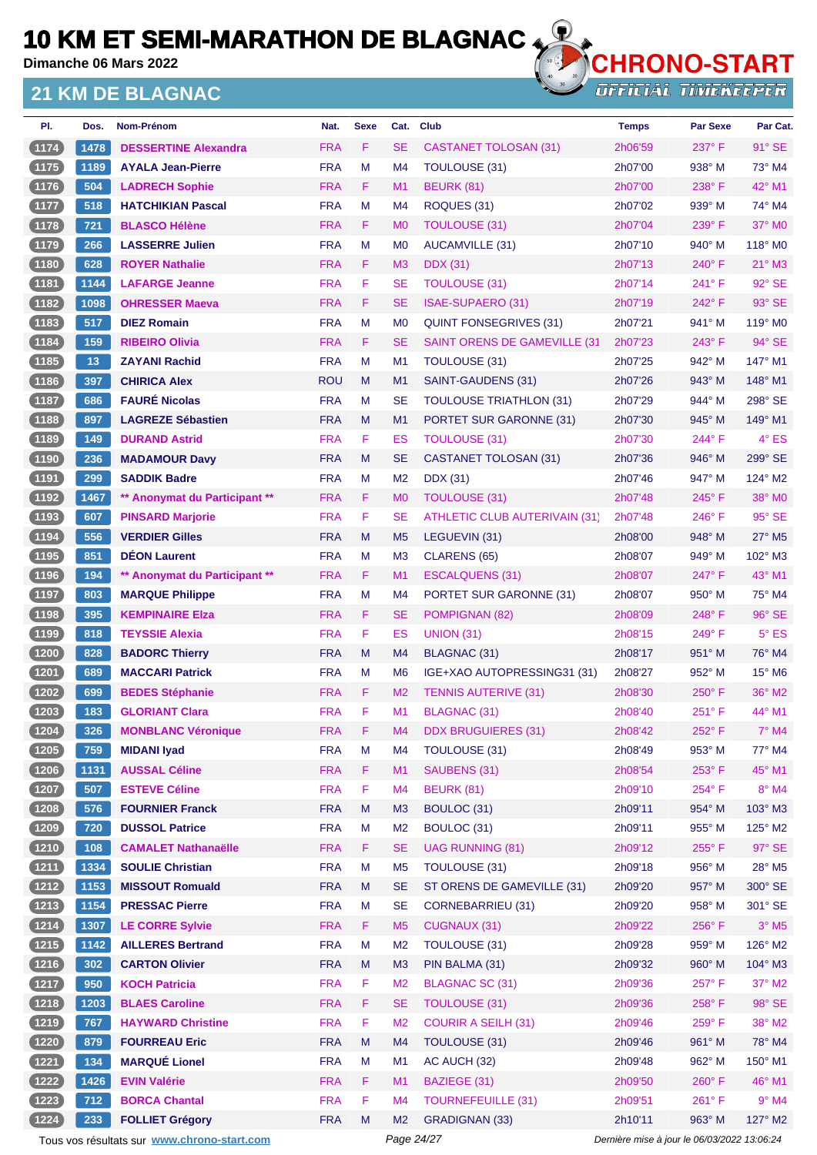**Dimanche 06 Mars 2022**

#### **21 KM DE BLAGNAC**



**OFFICIAL TIMEKEEPER** 

| PI.      | Dos. | Nom-Prénom                    | Nat.       | <b>Sexe</b> | Cat.           | <b>Club</b>                          | <b>Temps</b> | <b>Par Sexe</b> | Par Cat.                  |
|----------|------|-------------------------------|------------|-------------|----------------|--------------------------------------|--------------|-----------------|---------------------------|
| (1174)   | 1478 | <b>DESSERTINE Alexandra</b>   | <b>FRA</b> | F           | <b>SE</b>      | <b>CASTANET TOLOSAN (31)</b>         | 2h06'59      | 237° F          | $91^\circ$ SE             |
| (1175)   | 1189 | <b>AYALA Jean-Pierre</b>      | <b>FRA</b> | М           | M4             | <b>TOULOUSE (31)</b>                 | 2h07'00      | $938^\circ$ M   | 73° M4                    |
| (1176)   | 504  | <b>LADRECH Sophie</b>         | <b>FRA</b> | F           | M <sub>1</sub> | <b>BEURK (81)</b>                    | 2h07'00      | 238°F           | $42^{\circ}$ M1           |
| (1177)   | 518  | <b>HATCHIKIAN Pascal</b>      | <b>FRA</b> | М           | M4             | ROQUES (31)                          | 2h07'02      | $939^\circ$ M   | 74° M4                    |
| (1178)   | 721  | <b>BLASCO Hélène</b>          | <b>FRA</b> | F.          | M <sub>0</sub> | TOULOUSE (31)                        | 2h07'04      | 239° F          | $37^\circ$ MO             |
| (1179)   | 266  | <b>LASSERRE Julien</b>        | <b>FRA</b> | M           | M <sub>0</sub> | AUCAMVILLE (31)                      | 2h07'10      | $940^\circ$ M   | 118° M0                   |
| (1180)   | 628  | <b>ROYER Nathalie</b>         | <b>FRA</b> | F           | M <sub>3</sub> | <b>DDX</b> (31)                      | 2h07'13      | $240^\circ$ F   | $21^\circ$ M3             |
| (1181)   | 1144 | <b>LAFARGE Jeanne</b>         | <b>FRA</b> | F           | <b>SE</b>      | <b>TOULOUSE (31)</b>                 | 2h07'14      | 241°F           | 92° SE                    |
| (1182)   | 1098 | <b>OHRESSER Maeva</b>         | <b>FRA</b> | F           | <b>SE</b>      | <b>ISAE-SUPAERO (31)</b>             | 2h07'19      | 242°F           | 93° SE                    |
| $(1183)$ | 517  | <b>DIEZ Romain</b>            | <b>FRA</b> | M           | M <sub>0</sub> | <b>QUINT FONSEGRIVES (31)</b>        | 2h07'21      | 941° M          | 119° M0                   |
| (1184)   | 159  | <b>RIBEIRO Olivia</b>         | <b>FRA</b> | F.          | <b>SE</b>      | <b>SAINT ORENS DE GAMEVILLE (31)</b> | 2h07'23      | $243^\circ$ F   | $94^\circ$ SE             |
| $(1185)$ | 13   | <b>ZAYANI Rachid</b>          | <b>FRA</b> | M           | M1             | TOULOUSE (31)                        | 2h07'25      | 942° M          | 147° M1                   |
| (1186)   | 397  | <b>CHIRICA Alex</b>           | <b>ROU</b> | M           | M1             | SAINT-GAUDENS (31)                   | 2h07'26      | $943^\circ$ M   | $148^\circ$ M1            |
| (1187)   | 686  | <b>FAURÉ Nicolas</b>          | <b>FRA</b> | М           | <b>SE</b>      | <b>TOULOUSE TRIATHLON (31)</b>       | 2h07'29      | $944^\circ$ M   | 298° SE                   |
| (1188)   | 897  | <b>LAGREZE Sébastien</b>      | <b>FRA</b> | M           | M1             | PORTET SUR GARONNE (31)              | 2h07'30      | $945^\circ$ M   | 149° M1                   |
| $(1189)$ | 149  | <b>DURAND Astrid</b>          | <b>FRA</b> | F.          | ES             | <b>TOULOUSE (31)</b>                 | 2h07'30      | 244°F           | 4° ES                     |
| (1190)   | 236  | <b>MADAMOUR Davy</b>          | <b>FRA</b> | M           | <b>SE</b>      | <b>CASTANET TOLOSAN (31)</b>         | 2h07'36      | $946^\circ$ M   | 299° SE                   |
| (1191)   | 299  | <b>SADDIK Badre</b>           | <b>FRA</b> | М           | M <sub>2</sub> | <b>DDX</b> (31)                      | 2h07'46      | $947^\circ$ M   | 124° M2                   |
| (1192)   | 1467 | ** Anonymat du Participant ** | <b>FRA</b> | F.          | M <sub>0</sub> | <b>TOULOUSE (31)</b>                 | 2h07'48      | $245^\circ$ F   | 38° MO                    |
| (1193)   | 607  | <b>PINSARD Marjorie</b>       | <b>FRA</b> | F           | <b>SE</b>      | <b>ATHLETIC CLUB AUTERIVAIN (31)</b> | 2h07'48      | $246^{\circ}$ F | 95° SE                    |
| (1194)   | 556  | <b>VERDIER Gilles</b>         | <b>FRA</b> | M           | M <sub>5</sub> | LEGUEVIN (31)                        | 2h08'00      | 948° M          | 27° M5                    |
| (1195)   | 851  | <b>DEON Laurent</b>           | <b>FRA</b> | М           | M <sub>3</sub> | CLARENS (65)                         | 2h08'07      | $949^\circ$ M   | 102° M3                   |
| (1196)   | 194  | ** Anonymat du Participant ** | <b>FRA</b> | F           | M <sub>1</sub> | ESCALQUENS (31)                      | 2h08'07      | 247°F           | 43° M1                    |
| (1197)   | 803  | <b>MARQUE Philippe</b>        | <b>FRA</b> | М           | M4             | PORTET SUR GARONNE (31)              | 2h08'07      | $950^\circ$ M   | 75° M4                    |
| (1198)   | 395  | <b>KEMPINAIRE EIza</b>        | <b>FRA</b> | F           | <b>SE</b>      | POMPIGNAN (82)                       | 2h08'09      | 248°F           | 96° SE                    |
| (1199)   | 818  | <b>TEYSSIE Alexia</b>         | <b>FRA</b> | F           | ES             | <b>UNION (31)</b>                    | 2h08'15      | $249^\circ$ F   | $5^\circ$ ES              |
| (1200)   | 828  | <b>BADORC Thierry</b>         | <b>FRA</b> | M           | M4             | BLAGNAC (31)                         | 2h08'17      | $951^\circ$ M   | 76° M4                    |
| (1201)   | 689  | <b>MACCARI Patrick</b>        | <b>FRA</b> | М           | M <sub>6</sub> | IGE+XAO AUTOPRESSING31 (31)          | 2h08'27      | $952^\circ$ M   | $15^\circ$ M <sub>6</sub> |
| (1202)   | 699  | <b>BEDES Stéphanie</b>        | <b>FRA</b> | F           | M <sub>2</sub> | <b>TENNIS AUTERIVE (31)</b>          | 2h08'30      | $250^\circ$ F   | 36° M2                    |
| (1203)   | 183  | <b>GLORIANT Clara</b>         | <b>FRA</b> | F           | M1             | BLAGNAC (31)                         | 2h08'40      | $251^{\circ}$ F | 44° M1                    |
| (1204)   | 326  | <b>MONBLANC Véronique</b>     | <b>FRA</b> | F           | M4             | <b>DDX BRUGUIERES (31)</b>           | 2h08'42      | 252°F           | 7° M4                     |
| (1205)   | 759  | <b>MIDANI Iyad</b>            | <b>FRA</b> | M           | M4             | TOULOUSE (31)                        | 2h08'49      | 953° M          | 77° M4                    |
| (1206)   | 1131 | <b>AUSSAL Céline</b>          | <b>FRA</b> | F           | M1             | SAUBENS (31)                         | 2h08'54      | 253° F          | 45° M1                    |
| (1207)   | 507  | <b>ESTEVE Céline</b>          | <b>FRA</b> | F           | M <sub>4</sub> | <b>BEURK (81)</b>                    | 2h09'10      | 254°F           | 8° M4                     |
| (1208)   | 576  | <b>FOURNIER Franck</b>        | <b>FRA</b> | M           | M3             | BOULOC (31)                          | 2h09'11      | 954° M          | 103° M3                   |
| (1209)   | 720  | <b>DUSSOL Patrice</b>         | <b>FRA</b> | M           | M <sub>2</sub> | BOULOC (31)                          | 2h09'11      | 955° M          | 125° M2                   |
| (1210)   | 108  | <b>CAMALET Nathanaëlle</b>    | <b>FRA</b> | F           | <b>SE</b>      | <b>UAG RUNNING (81)</b>              | 2h09'12      | 255°F           | 97° SE                    |
| (1211)   | 1334 | <b>SOULIE Christian</b>       | <b>FRA</b> | M           | M <sub>5</sub> | TOULOUSE (31)                        | 2h09'18      | 956° M          | 28° M5                    |
| (1212)   | 1153 | <b>MISSOUT Romuald</b>        | <b>FRA</b> | M           | <b>SE</b>      | ST ORENS DE GAMEVILLE (31)           | 2h09'20      | 957° M          | 300° SE                   |
| (1213)   | 1154 | <b>PRESSAC Pierre</b>         | <b>FRA</b> | M           | <b>SE</b>      | <b>CORNEBARRIEU (31)</b>             | 2h09'20      | 958° M          | 301° SE                   |
| (1214)   | 1307 | <b>LE CORRE Sylvie</b>        | <b>FRA</b> | F           | M <sub>5</sub> | <b>CUGNAUX (31)</b>                  | 2h09'22      | 256°F           | $3°$ M <sub>5</sub>       |
| (1215)   | 1142 | <b>AILLERES Bertrand</b>      | <b>FRA</b> | M           | M <sub>2</sub> | <b>TOULOUSE (31)</b>                 | 2h09'28      | 959° M          | 126° M2                   |
| (1216)   | 302  | <b>CARTON Olivier</b>         | <b>FRA</b> | M           | M <sub>3</sub> | PIN BALMA (31)                       | 2h09'32      | 960° M          | 104° M3                   |
| (1217)   | 950  | <b>KOCH Patricia</b>          | <b>FRA</b> | F           | M <sub>2</sub> | <b>BLAGNAC SC (31)</b>               | 2h09'36      | 257°F           | $37^\circ$ M2             |
| (1218)   | 1203 | <b>BLAES Caroline</b>         | <b>FRA</b> | F           | <b>SE</b>      | <b>TOULOUSE (31)</b>                 | 2h09'36      | 258°F           | 98° SE                    |
| (1219)   | 767  | <b>HAYWARD Christine</b>      | <b>FRA</b> | F           | M <sub>2</sub> | <b>COURIR A SEILH (31)</b>           | 2h09'46      | $259^{\circ}$ F | 38° M2                    |
| (1220)   | 879  | <b>FOURREAU Eric</b>          | <b>FRA</b> | M           | M4             | TOULOUSE (31)                        | 2h09'46      | 961° M          | 78° M4                    |
| (1221)   | 134  | <b>MARQUÉ Lionel</b>          | <b>FRA</b> | M           | M1             | AC AUCH (32)                         | 2h09'48      | 962° M          | 150° M1                   |
| (1222)   | 1426 | <b>EVIN Valérie</b>           | <b>FRA</b> | F           | M1             | BAZIEGE (31)                         | 2h09'50      | 260°F           | 46° M1                    |
| (1223)   | 712  | <b>BORCA Chantal</b>          | <b>FRA</b> | F           | M <sub>4</sub> | <b>TOURNEFEUILLE (31)</b>            | 2h09'51      | $261^\circ$ F   | $9°$ M4                   |
| (1224)   | 233  | <b>FOLLIET Grégory</b>        | <b>FRA</b> | M           | M <sub>2</sub> | <b>GRADIGNAN (33)</b>                | 2h10'11      | 963° M          | 127° M2                   |

Tous vos résultats sur **[www.chrono-start.com](https://www.chrono-start.com/)** Page 24/27 Page 24/27 Dernière mise à jour le 06/03/2022 13:06:24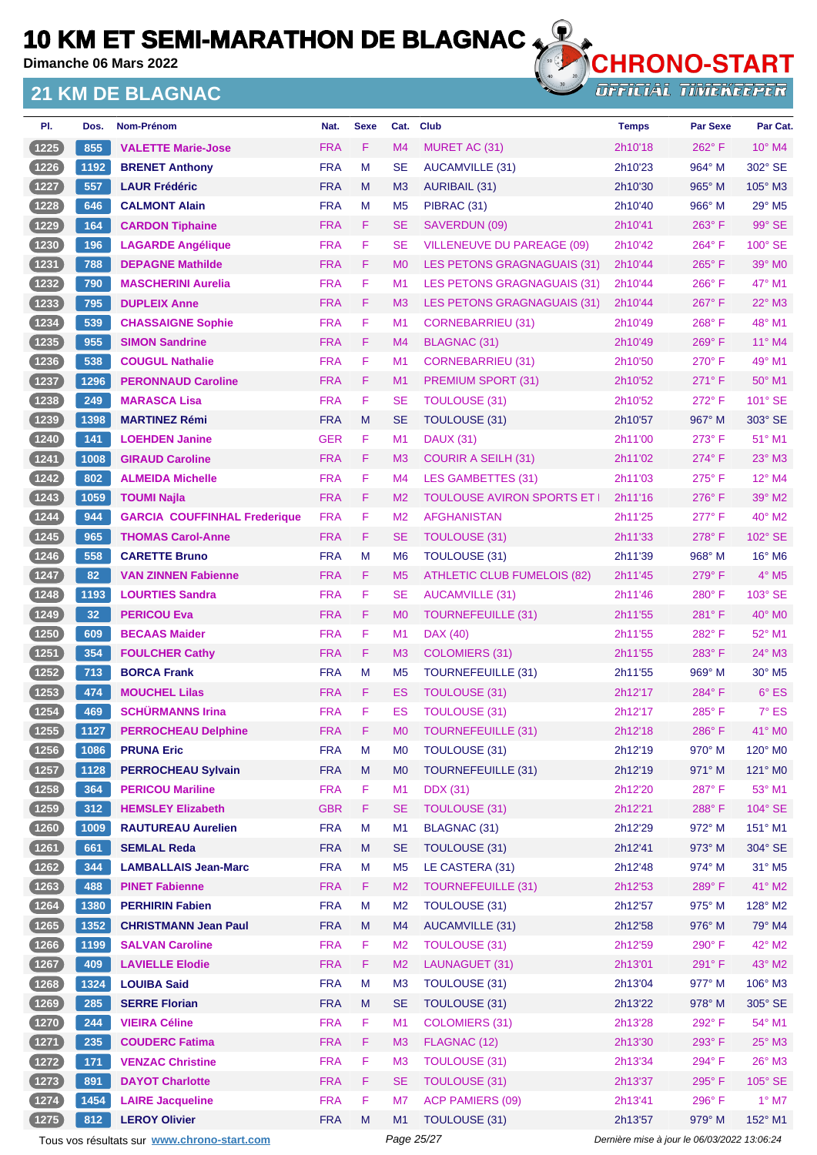**Dimanche 06 Mars 2022**

#### **21 KM DE BLAGNAC**



**OTHLOW ON WILL** 

| PI.              | Dos.            | Nom-Prénom                                            | Nat.                     | <b>Sexe</b> | Cat.                             | <b>Club</b>                             | <b>Temps</b>       | <b>Par Sexe</b> | Par Cat.                    |
|------------------|-----------------|-------------------------------------------------------|--------------------------|-------------|----------------------------------|-----------------------------------------|--------------------|-----------------|-----------------------------|
| (1225)           | 855             | <b>VALETTE Marie-Jose</b>                             | <b>FRA</b>               | F.          | M <sub>4</sub>                   | MURET AC (31)                           | 2h10'18            | 262°F           | $10^{\circ}$ M4             |
| (1226)           | 1192            | <b>BRENET Anthony</b>                                 | <b>FRA</b>               | M           | <b>SE</b>                        | AUCAMVILLE (31)                         | 2h10'23            | 964° M          | 302° SE                     |
| (1227)           | 557             | <b>LAUR Frédéric</b>                                  | <b>FRA</b>               | M           | M <sub>3</sub>                   | <b>AURIBAIL (31)</b>                    | 2h10'30            | $965^\circ$ M   | 105° M3                     |
| (1228)           | 646             | <b>CALMONT Alain</b>                                  | <b>FRA</b>               | M           | M <sub>5</sub>                   | PIBRAC (31)                             | 2h10'40            | $966^\circ$ M   | $29^\circ$ M <sub>5</sub>   |
| (1229)           | 164             | <b>CARDON Tiphaine</b>                                | <b>FRA</b>               | F.          | <b>SE</b>                        | SAVERDUN (09)                           | 2h10'41            | $263^\circ$ F   | 99° SE                      |
| (1230)           | 196             | <b>LAGARDE Angélique</b>                              | <b>FRA</b>               | F           | <b>SE</b>                        | <b>VILLENEUVE DU PAREAGE (09)</b>       | 2h10'42            | 264°F           | 100° SE                     |
| (1231)           | 788             | <b>DEPAGNE Mathilde</b>                               | <b>FRA</b>               | F.          | M <sub>0</sub>                   | LES PETONS GRAGNAGUAIS (31)             | 2h10'44            | $265^{\circ}$ F | $39^\circ$ MO               |
| $(1232)$         | 790             | <b>MASCHERINI Aurelia</b>                             | <b>FRA</b>               | F           | M <sub>1</sub>                   | LES PETONS GRAGNAGUAIS (31)             | 2h10'44            | $266^{\circ}$ F | 47° M1                      |
| (1233)           | 795             | <b>DUPLEIX Anne</b>                                   | <b>FRA</b>               | F           | M <sub>3</sub>                   | LES PETONS GRAGNAGUAIS (31)             | 2h10'44            | 267°F           | 22° M3                      |
| (1234)           | 539             | <b>CHASSAIGNE Sophie</b>                              | <b>FRA</b>               | F           | M <sub>1</sub>                   | CORNEBARRIEU (31)                       | 2h10'49            | 268°F           | 48° M1                      |
| (1235)           | 955             | <b>SIMON Sandrine</b>                                 | <b>FRA</b>               | F.          | M <sub>4</sub>                   | <b>BLAGNAC (31)</b>                     | 2h10'49            | $269^\circ$ F   | $11^{\circ}$ M4             |
| (1236)           | 538             | <b>COUGUL Nathalie</b>                                | <b>FRA</b>               | F           | M <sub>1</sub>                   | CORNEBARRIEU (31)                       | 2h10'50            | $270^\circ$ F   | 49° M1                      |
| (1237)           | 1296            | <b>PERONNAUD Caroline</b>                             | <b>FRA</b>               | F.          | M <sub>1</sub>                   | <b>PREMIUM SPORT (31)</b>               | 2h10'52            | $271^\circ$ F   | $50^\circ$ M1               |
| (1238)           | 249             | <b>MARASCA Lisa</b>                                   | <b>FRA</b>               | F           | <b>SE</b>                        | <b>TOULOUSE (31)</b>                    | 2h10'52            | $272^{\circ}$ F | 101° SE                     |
| (1239)           | 1398            | <b>MARTINEZ Rémi</b>                                  | <b>FRA</b>               | M           | <b>SE</b>                        | TOULOUSE (31)                           | 2h10'57            | 967° M          | 303° SE                     |
| (1240)           | 141             | <b>LOEHDEN Janine</b>                                 | <b>GER</b>               | F           | M <sub>1</sub>                   | <b>DAUX (31)</b>                        | 2h11'00            | $273^\circ$ F   | 51° M1                      |
| (1241)           | 1008            | <b>GIRAUD Caroline</b>                                | <b>FRA</b>               | F           | M <sub>3</sub>                   | <b>COURIR A SEILH (31)</b>              | 2h11'02            | 274°F           | 23° M3                      |
| (1242)           | 802             | <b>ALMEIDA Michelle</b>                               | <b>FRA</b>               | F           | M <sub>4</sub>                   | <b>LES GAMBETTES (31)</b>               | 2h11'03            | $275^{\circ}$ F | $12^{\circ}$ M4             |
| (1243)           | 1059            | <b>TOUMI Najla</b>                                    | <b>FRA</b>               | F           | M <sub>2</sub>                   | <b>TOULOUSE AVIRON SPORTS ET  </b>      | 2h11'16            | $276^{\circ}$ F | 39° M2                      |
| (1244)           | 944             | <b>GARCIA COUFFINHAL Frederique</b>                   | <b>FRA</b>               | F           | M <sub>2</sub>                   | <b>AFGHANISTAN</b>                      | 2h11'25            | $277^\circ$ F   | 40° M2                      |
| (1245)           | 965             | <b>THOMAS Carol-Anne</b>                              | <b>FRA</b>               | F.          | <b>SE</b>                        | TOULOUSE (31)                           | 2h11'33            | $278^\circ$ F   | 102° SE                     |
| (1246)           | 558             | <b>CARETTE Bruno</b>                                  | <b>FRA</b>               | м           | M <sub>6</sub>                   | TOULOUSE (31)                           | 2h11'39            | $968^\circ$ M   | $16^{\circ}$ M <sub>6</sub> |
| (1247)           | 82              | <b>VAN ZINNEN Fabienne</b>                            | <b>FRA</b>               | F           | M <sub>5</sub>                   | <b>ATHLETIC CLUB FUMELOIS (82)</b>      | 2h11'45            | $279^\circ$ F   | $4^\circ$ M <sub>5</sub>    |
| (1248)           | 1193            | <b>LOURTIES Sandra</b>                                | <b>FRA</b>               | F           | <b>SE</b>                        | AUCAMVILLE (31)                         | 2h11'46            | $280^\circ$ F   | 103° SE                     |
| (1249)           | 32 <sub>2</sub> | <b>PERICOU Eva</b>                                    | <b>FRA</b>               | F.          | M <sub>0</sub>                   | <b>TOURNEFEUILLE (31)</b>               | 2h11'55            | $281^\circ$ F   | 40° M0                      |
| (1250)           | 609             | <b>BECAAS Maider</b>                                  | <b>FRA</b>               | F           | M <sub>1</sub>                   | DAX (40)                                | 2h11'55            | 282°F           | 52° M1                      |
| (1251)           | 354             | <b>FOULCHER Cathy</b>                                 | <b>FRA</b>               | F.          | M <sub>3</sub>                   | <b>COLOMIERS (31)</b>                   | 2h11'55            | $283^\circ$ F   | $24^\circ$ M3               |
| (1252)           | 713             | <b>BORCA Frank</b>                                    | <b>FRA</b>               | M           | M <sub>5</sub>                   | <b>TOURNEFEUILLE (31)</b>               | 2h11'55            | 969° M          | 30° M5                      |
| (1253)           | 474             | <b>MOUCHEL Lilas</b>                                  | <b>FRA</b>               | F.          | ES                               | TOULOUSE (31)                           | 2h12'17            | 284°F           | $6°$ ES                     |
| 1254             | 469             | <b>SCHÜRMANNS Irina</b>                               | <b>FRA</b>               | F           | ES                               | <b>TOULOUSE (31)</b>                    | 2h12'17            | $285^\circ$ F   | $7^\circ$ ES                |
| (1255)           | 1127            | <b>PERROCHEAU Delphine</b>                            | <b>FRA</b>               | F           | M <sub>0</sub>                   | <b>TOURNEFEUILLE (31)</b>               | 2h12'18            | 286°F           | $41^\circ$ MO               |
| (1256)           | 1086            | <b>PRUNA Eric</b>                                     | <b>FRA</b>               | M           | M <sub>0</sub>                   | TOULOUSE (31)                           | 2h12'19            | 970° M          | 120° M0                     |
| (1257)           | 1128            | <b>PERROCHEAU Sylvain</b>                             | <b>FRA</b>               | M           | M <sub>0</sub>                   | <b>TOURNEFEUILLE (31)</b>               | 2h12'19            | 971° M          | 121° MO                     |
| (1258)           | 364             | <b>PERICOU Mariline</b>                               | <b>FRA</b>               | F           | M1                               | <b>DDX</b> (31)                         | 2h12'20            | 287°F           | 53° M1                      |
| (1259)           | 312             | <b>HEMSLEY Elizabeth</b>                              | <b>GBR</b>               | F           | <b>SE</b>                        | <b>TOULOUSE (31)</b>                    | 2h12'21            | 288°F           | 104° SE                     |
| (1260)           | 1009            | <b>RAUTUREAU Aurelien</b>                             | <b>FRA</b>               | М           | M1                               | BLAGNAC (31)                            | 2h12'29            | 972° M          | 151° M1                     |
| (1261)           | 661             | <b>SEMLAL Reda</b>                                    | <b>FRA</b>               | M           | <b>SE</b>                        | TOULOUSE (31)                           | 2h12'41            | 973° M          | 304° SE                     |
| (1262)           | 344             | <b>LAMBALLAIS Jean-Marc</b>                           | <b>FRA</b>               | M           | M <sub>5</sub>                   | LE CASTERA (31)                         | 2h12'48            | 974° M          | $31^\circ$ M <sub>5</sub>   |
| (1263)           | 488             | <b>PINET Fabienne</b>                                 | <b>FRA</b>               | F           | M <sub>2</sub>                   | <b>TOURNEFEUILLE (31)</b>               | 2h12'53            | 289°F           | 41° M2                      |
| (1264)           | 1380            | <b>PERHIRIN Fabien</b>                                | <b>FRA</b>               | М<br>M      | M <sub>2</sub><br>M <sub>4</sub> | <b>TOULOUSE (31)</b>                    | 2h12'57            | 975° M          | 128° M2                     |
| (1265)<br>(1266) | 1352<br>1199    | <b>CHRISTMANN Jean Paul</b><br><b>SALVAN Caroline</b> | <b>FRA</b><br><b>FRA</b> | F.          | M <sub>2</sub>                   | AUCAMVILLE (31)<br><b>TOULOUSE (31)</b> | 2h12'58            | 976° M<br>290°F | 79° M4<br>42° M2            |
| (1267)           | 409             | <b>LAVIELLE Elodie</b>                                | <b>FRA</b>               | F           | M <sub>2</sub>                   | LAUNAGUET (31)                          | 2h12'59<br>2h13'01 | 291°F           | 43° M2                      |
| (1268)           | 1324            | <b>LOUIBA Said</b>                                    | <b>FRA</b>               | M           | M <sub>3</sub>                   | TOULOUSE (31)                           | 2h13'04            | 977° M          | 106° M3                     |
| (1269)           | 285             | <b>SERRE Florian</b>                                  | <b>FRA</b>               | M           | <b>SE</b>                        | TOULOUSE (31)                           | 2h13'22            | 978° M          | 305° SE                     |
|                  | 244             | <b>VIEIRA Céline</b>                                  | <b>FRA</b>               | F           | M1                               | <b>COLOMIERS (31)</b>                   | 2h13'28            | 292°F           | 54° M1                      |
| (1270)<br>(1271) | 235             | <b>COUDERC Fatima</b>                                 | <b>FRA</b>               | F           | M <sub>3</sub>                   | FLAGNAC (12)                            | 2h13'30            | 293°F           | $25^\circ$ M3               |
| (1272)           | 171             | <b>VENZAC Christine</b>                               | <b>FRA</b>               | F           | M3                               | <b>TOULOUSE (31)</b>                    | 2h13'34            | 294°F           | $26^\circ$ M3               |
| (1273)           | 891             | <b>DAYOT Charlotte</b>                                | <b>FRA</b>               | F           | <b>SE</b>                        | <b>TOULOUSE (31)</b>                    | 2h13'37            | 295°F           | 105° SE                     |
| (1274)           | 1454            | <b>LAIRE Jacqueline</b>                               | <b>FRA</b>               | F           | M7                               | <b>ACP PAMIERS (09)</b>                 | 2h13'41            | 296°F           | $1^\circ$ M7                |
| (1275)           | 812             | <b>LEROY Olivier</b>                                  | <b>FRA</b>               | M           | M1                               | TOULOUSE (31)                           | 2h13'57            | $979^\circ$ M   | 152° M1                     |
|                  |                 |                                                       |                          |             |                                  |                                         |                    |                 |                             |

Tous vos résultats sur **[www.chrono-start.com](https://www.chrono-start.com/)** Page 25/27 Page 25/27 Dernière mise à jour le 06/03/2022 13:06:24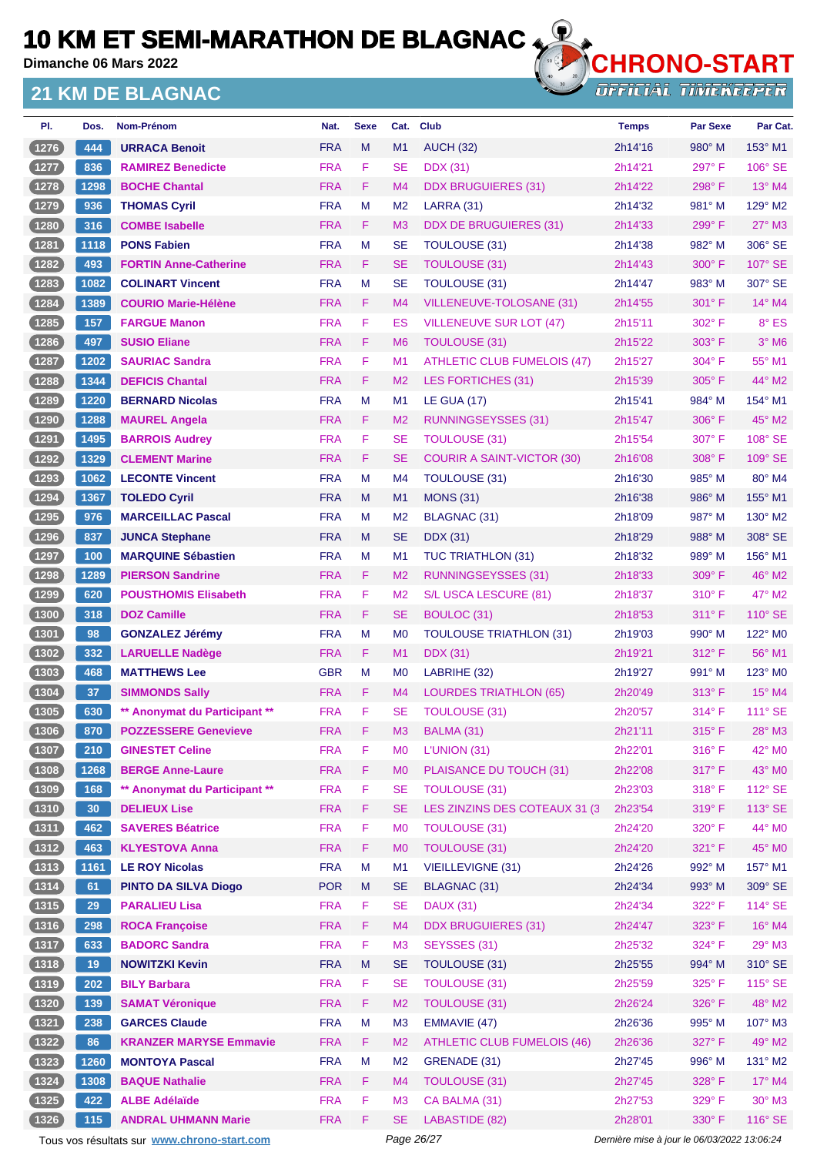**Dimanche 06 Mars 2022**

#### **21 KM DE BLAGNAC**



**OFFICIAL TIMEKEEPER** 

| PI.      | Dos. | Nom-Prénom                    | Nat.       | <b>Sexe</b> | Cat.           | <b>Club</b>                        | <b>Temps</b> | <b>Par Sexe</b> | Par Cat.            |
|----------|------|-------------------------------|------------|-------------|----------------|------------------------------------|--------------|-----------------|---------------------|
| (1276)   | 444  | <b>URRACA Benoit</b>          | <b>FRA</b> | M           | M1             | <b>AUCH (32)</b>                   | 2h14'16      | $980^\circ$ M   | 153° M1             |
| (1277)   | 836  | <b>RAMIREZ Benedicte</b>      | <b>FRA</b> | F           | <b>SE</b>      | <b>DDX</b> (31)                    | 2h14'21      | 297°F           | 106° SE             |
| (1278)   | 1298 | <b>BOCHE Chantal</b>          | <b>FRA</b> | F           | M <sub>4</sub> | <b>DDX BRUGUIERES (31)</b>         | 2h14'22      | 298°F           | 13° M4              |
| $1279$   | 936  | <b>THOMAS Cyril</b>           | <b>FRA</b> | M           | M <sub>2</sub> | LARRA (31)                         | 2h14'32      | 981° M          | 129° M2             |
| (1280    | 316  | <b>COMBE Isabelle</b>         | <b>FRA</b> | F.          | M3             | <b>DDX DE BRUGUIERES (31)</b>      | 2h14'33      | 299°F           | $27^\circ$ M3       |
| 1281     | 1118 | <b>PONS Fabien</b>            | <b>FRA</b> | M           | <b>SE</b>      | TOULOUSE (31)                      | 2h14'38      | 982° M          | 306° SE             |
| (1282)   | 493  | <b>FORTIN Anne-Catherine</b>  | <b>FRA</b> | F.          | <b>SE</b>      | <b>TOULOUSE (31)</b>               | 2h14'43      | $300^\circ$ F   | $107^\circ$ SE      |
| (1283)   | 1082 | <b>COLINART Vincent</b>       | <b>FRA</b> | M           | <b>SE</b>      | <b>TOULOUSE (31)</b>               | 2h14'47      | 983° M          | 307° SE             |
| (1284)   | 1389 | <b>COURIO Marie-Hélène</b>    | <b>FRA</b> | F           | M <sub>4</sub> | VILLENEUVE-TOLOSANE (31)           | 2h14'55      | $301^\circ$ F   | $14^{\circ}$ M4     |
| $(1285)$ | 157  | <b>FARGUE Manon</b>           | <b>FRA</b> | F           | ES             | VILLENEUVE SUR LOT (47)            | 2h15'11      | 302° F          | 8° ES               |
| (1286)   | 497  | <b>SUSIO Eliane</b>           | <b>FRA</b> | F           | M <sub>6</sub> | TOULOUSE (31)                      | 2h15'22      | 303° F          | $3°$ M <sub>6</sub> |
| $1287$   | 1202 | <b>SAURIAC Sandra</b>         | <b>FRA</b> | F           | M <sub>1</sub> | <b>ATHLETIC CLUB FUMELOIS (47)</b> | 2h15'27      | 304° F          | 55° M1              |
| (1288)   | 1344 | <b>DEFICIS Chantal</b>        | <b>FRA</b> | F           | M <sub>2</sub> | LES FORTICHES (31)                 | 2h15'39      | $305^\circ$ F   | $44^{\circ}$ M2     |
| 1289     | 1220 | <b>BERNARD Nicolas</b>        | <b>FRA</b> | M           | M1             | <b>LE GUA (17)</b>                 | 2h15'41      | 984° M          | 154° M1             |
| (1290    | 1288 | <b>MAUREL Angela</b>          | <b>FRA</b> | F           | M <sub>2</sub> | <b>RUNNINGSEYSSES (31)</b>         | 2h15'47      | $306^\circ$ F   | 45° M2              |
| 1291     | 1495 | <b>BARROIS Audrey</b>         | <b>FRA</b> | F           | <b>SE</b>      | <b>TOULOUSE (31)</b>               | 2h15'54      | $307^\circ$ F   | 108° SE             |
| (1292)   | 1329 | <b>CLEMENT Marine</b>         | <b>FRA</b> | F           | <b>SE</b>      | <b>COURIR A SAINT-VICTOR (30)</b>  | 2h16'08      | $308^\circ$ F   | 109° SE             |
| 1293     | 1062 | <b>LECONTE Vincent</b>        | <b>FRA</b> | M           | M <sub>4</sub> | TOULOUSE (31)                      | 2h16'30      | 985° M          | 80° M4              |
| (1294)   | 1367 | <b>TOLEDO Cyril</b>           | <b>FRA</b> | M           | M <sub>1</sub> | <b>MONS (31)</b>                   | 2h16'38      | $986^\circ$ M   | 155° M1             |
| 1295     | 976  | <b>MARCEILLAC Pascal</b>      | <b>FRA</b> | M           | M <sub>2</sub> | <b>BLAGNAC (31)</b>                | 2h18'09      | $987^\circ$ M   | $130^\circ$ M2      |
| (1296)   | 837  | <b>JUNCA Stephane</b>         | <b>FRA</b> | M           | <b>SE</b>      | <b>DDX</b> (31)                    | 2h18'29      | 988° M          | 308° SE             |
| 1297     | 100  | <b>MARQUINE Sébastien</b>     | <b>FRA</b> | M           | M <sub>1</sub> | TUC TRIATHLON (31)                 | 2h18'32      | $989°$ M        | 156° M1             |
| (1298    | 1289 | <b>PIERSON Sandrine</b>       | <b>FRA</b> | F.          | M <sub>2</sub> | <b>RUNNINGSEYSSES (31)</b>         | 2h18'33      | $309^\circ$ F   | 46° M2              |
| $1299$   | 620  | <b>POUSTHOMIS Elisabeth</b>   | <b>FRA</b> | F           | M <sub>2</sub> | S/L USCA LESCURE (81)              | 2h18'37      | $310^\circ$ F   | $47^\circ$ M2       |
| (1300)   | 318  | <b>DOZ Camille</b>            | <b>FRA</b> | F           | <b>SE</b>      | BOULOC (31)                        | 2h18'53      | $311^\circ$ F   | $110^\circ$ SE      |
| $1301$   | 98   | <b>GONZALEZ Jérémy</b>        | <b>FRA</b> | M           | M <sub>0</sub> | <b>TOULOUSE TRIATHLON (31)</b>     | 2h19'03      | $990^\circ$ M   | 122° M <sub>0</sub> |
| (1302)   | 332  | <b>LARUELLE Nadège</b>        | <b>FRA</b> | F.          | M1             | <b>DDX</b> (31)                    | 2h19'21      | 312°F           | 56° M1              |
| (1303)   | 468  | <b>MATTHEWS Lee</b>           | <b>GBR</b> | M           | M <sub>0</sub> | LABRIHE (32)                       | 2h19'27      | 991° M          | 123° M0             |
| (1304)   | 37   | <b>SIMMONDS Sally</b>         | <b>FRA</b> | F.          | M <sub>4</sub> | <b>LOURDES TRIATHLON (65)</b>      | 2h20'49      | $313^\circ$ F   | $15^{\circ}$ M4     |
| 1305     | 630  | ** Anonymat du Participant ** | <b>FRA</b> | F           | SE             | <b>TOULOUSE (31)</b>               | 2h20'57      | $314^{\circ}$ F | 111° SE             |
| (1306)   | 870  | <b>POZZESSERE Genevieve</b>   | <b>FRA</b> | F           | M <sub>3</sub> | BALMA (31)                         | 2h21'11      | 315°F           | 28° M3              |
| $(1307)$ | 210  | <b>GINESTET Celine</b>        | <b>FRA</b> | F           | M <sub>0</sub> | L'UNION (31)                       | 2h22'01      | $316^\circ$ F   | 42° MO              |
| (1308)   | 1268 | <b>BERGE Anne-Laure</b>       | <b>FRA</b> | F           | M <sub>0</sub> | PLAISANCE DU TOUCH (31)            | 2h22'08      | 317°F           | 43° MO              |
| $1309$   | 168  | ** Anonymat du Participant ** | <b>FRA</b> | F           | <b>SE</b>      | <b>TOULOUSE (31)</b>               | 2h23'03      | 318°F           | 112° SE             |
| (1310)   | 30   | <b>DELIEUX Lise</b>           | <b>FRA</b> | F           | <b>SE</b>      | LES ZINZINS DES COTEAUX 31 (3)     | 2h23'54      | 319°F           | 113° SE             |
| (1311)   | 462  | <b>SAVERES Béatrice</b>       | <b>FRA</b> | F           | M <sub>0</sub> | <b>TOULOUSE (31)</b>               | 2h24'20      | 320° F          | $44^{\circ}$ MO     |
| (1312)   | 463  | <b>KLYESTOVA Anna</b>         | <b>FRA</b> | F           | M <sub>0</sub> | <b>TOULOUSE (31)</b>               | 2h24'20      | 321° F          | 45° MO              |
| (1313)   | 1161 | <b>LE ROY Nicolas</b>         | <b>FRA</b> | M           | M1             | VIEILLEVIGNE (31)                  | 2h24'26      | 992° M          | 157° M1             |
| (1314)   | 61   | <b>PINTO DA SILVA Diogo</b>   | <b>POR</b> | ${\sf M}$   | <b>SE</b>      | <b>BLAGNAC (31)</b>                | 2h24'34      | 993° M          | 309° SE             |
| $(1315)$ | 29   | <b>PARALIEU Lisa</b>          | <b>FRA</b> | F           | <b>SE</b>      | <b>DAUX (31)</b>                   | 2h24'34      | 322° F          | 114° SE             |
| (1316)   | 298  | <b>ROCA Françoise</b>         | <b>FRA</b> | F.          | M4             | <b>DDX BRUGUIERES (31)</b>         | 2h24'47      | 323° F          | $16^{\circ}$ M4     |
| (1317)   | 633  | <b>BADORC Sandra</b>          | <b>FRA</b> | F           | M <sub>3</sub> | SEYSSES (31)                       | 2h25'32      | 324°F           | 29° M3              |
| (1318)   | 19   | <b>NOWITZKI Kevin</b>         | <b>FRA</b> | M           | <b>SE</b>      | TOULOUSE (31)                      | 2h25'55      | 994° M          | 310° SE             |
| (1319)   | 202  | <b>BILY Barbara</b>           | <b>FRA</b> | F           | <b>SE</b>      | <b>TOULOUSE (31)</b>               | 2h25'59      | 325° F          | 115° SE             |
| (1320)   | 139  | <b>SAMAT Véronique</b>        | <b>FRA</b> | F           | M <sub>2</sub> | <b>TOULOUSE (31)</b>               | 2h26'24      | 326°F           | 48° M2              |
| $(1321)$ | 238  | <b>GARCES Claude</b>          | <b>FRA</b> | M           | M3             | EMMAVIE (47)                       | 2h26'36      | 995° M          | 107° M3             |
| $(1322)$ | 86   | <b>KRANZER MARYSE Emmavie</b> | <b>FRA</b> | F.          | M <sub>2</sub> | <b>ATHLETIC CLUB FUMELOIS (46)</b> | 2h26'36      | 327° F          | 49° M2              |
| (1323)   | 1260 | <b>MONTOYA Pascal</b>         | <b>FRA</b> | M           | M <sub>2</sub> | GRENADE (31)                       | 2h27'45      | 996° M          | 131° M2             |
| $(1324)$ | 1308 | <b>BAQUE Nathalie</b>         | <b>FRA</b> | F.          | M4             | <b>TOULOUSE (31)</b>               | 2h27'45      | 328°F           | $17^\circ$ M4       |
| $(1325)$ | 422  | <b>ALBE Adélaïde</b>          | <b>FRA</b> | F           | M <sub>3</sub> | CA BALMA (31)                      | 2h27'53      | 329° F          | $30^\circ$ M3       |
| $(1326)$ | 115  | <b>ANDRAL UHMANN Marie</b>    | <b>FRA</b> | F           | <b>SE</b>      | LABASTIDE (82)                     | 2h28'01      | 330° F          | $116^\circ$ SE      |
|          |      |                               |            |             |                |                                    |              |                 |                     |

Tous vos résultats sur **[www.chrono-start.com](https://www.chrono-start.com/)** Page 26/27 Page 26/27 Dernière mise à jour le 06/03/2022 13:06:24